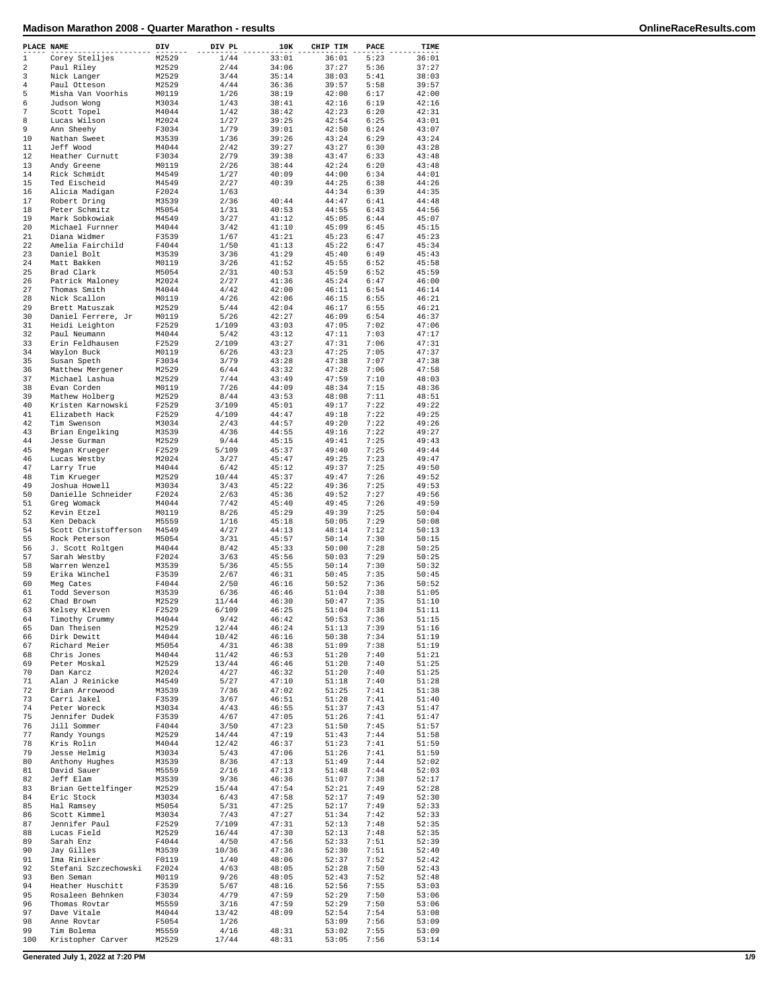| PLACE NAME     |                      | DIV   | DIV PL | 10K   | CHIP TIM | PACE | TIME  |
|----------------|----------------------|-------|--------|-------|----------|------|-------|
| $\,1$          | Corey Stelljes       | M2529 | 1/44   | 33:01 | 36:01    | 5:23 | 36:01 |
| $\overline{2}$ | Paul Rilev           | M2529 | 2/44   | 34:06 | 37:27    | 5:36 | 37:27 |
| 3              | Nick Langer          | M2529 | 3/44   | 35:14 | 38:03    | 5:41 | 38:03 |
| $\overline{4}$ | Paul Otteson         | M2529 | 4/44   | 36:36 | 39:57    | 5:58 | 39:57 |
| 5              | Misha Van Voorhis    | M0119 | 1/26   | 38:19 | 42:00    | 6:17 | 42:00 |
| 6              |                      |       |        |       | 42:16    | 6:19 |       |
| 7              | Judson Wong          | M3034 | 1/43   | 38:41 | 42:23    |      | 42:16 |
|                | Scott Topel          | M4044 | 1/42   | 38:42 |          | 6:20 | 42:31 |
| 8              | Lucas Wilson         | M2024 | 1/27   | 39:25 | 42:54    | 6:25 | 43:01 |
| 9              | Ann Sheehy           | F3034 | 1/79   | 39:01 | 42:50    | 6:24 | 43:07 |
| 10             | Nathan Sweet         | M3539 | 1/36   | 39:26 | 43:24    | 6:29 | 43:24 |
| 11             | Jeff Wood            | M4044 | 2/42   | 39:27 | 43:27    | 6:30 | 43:28 |
| 12             | Heather Curnutt      | F3034 | 2/79   | 39:38 | 43:47    | 6:33 | 43:48 |
| 13             | Andy Greene          | M0119 | 2/26   | 38:44 | 42:24    | 6:20 | 43:48 |
| 14             | Rick Schmidt         | M4549 | 1/27   | 40:09 | 44:00    | 6:34 | 44:01 |
| 15             | Ted Eischeid         | M4549 | 2/27   | 40:39 | 44:25    | 6:38 | 44:26 |
| 16             | Alicia Madigan       | F2024 | 1/63   |       | 44:34    | 6:39 | 44:35 |
| 17             | Robert Dring         | M3539 | 2/36   | 40:44 | 44:47    | 6:41 | 44:48 |
| 18             | Peter Schmitz        | M5054 | 1/31   | 40:53 | 44:55    | 6:43 | 44:56 |
| 19             | Mark Sobkowiak       | M4549 | 3/27   | 41:12 | 45:05    | 6:44 | 45:07 |
|                |                      |       |        |       |          |      |       |
| 20             | Michael Furnner      | M4044 | 3/42   | 41:10 | 45:09    | 6:45 | 45:15 |
| 21             | Diana Widmer         | F3539 | 1/67   | 41:21 | 45:23    | 6:47 | 45:23 |
| 22             | Amelia Fairchild     | F4044 | 1/50   | 41:13 | 45:22    | 6:47 | 45:34 |
| 23             | Daniel Bolt          | M3539 | 3/36   | 41:29 | 45:40    | 6:49 | 45:43 |
| 24             | Matt Bakken          | M0119 | 3/26   | 41:52 | 45:55    | 6:52 | 45:58 |
| 25             | Brad Clark           | M5054 | 2/31   | 40:53 | 45:59    | 6:52 | 45:59 |
| 26             | Patrick Maloney      | M2024 | 2/27   | 41:36 | 45:24    | 6:47 | 46:00 |
| 27             | Thomas Smith         | M4044 | 4/42   | 42:00 | 46:11    | 6:54 | 46:14 |
| 28             | Nick Scallon         | M0119 | 4/26   | 42:06 | 46:15    | 6:55 | 46:21 |
| 29             | Brett Matuszak       | M2529 | 5/44   | 42:04 | 46:17    | 6:55 | 46:21 |
| 30             |                      | M0119 | 5/26   | 42:27 | 46:09    | 6:54 | 46:37 |
|                | Daniel Ferrere, Jr   |       |        |       |          |      |       |
| 31             | Heidi Leighton       | F2529 | 1/109  | 43:03 | 47:05    | 7:02 | 47:06 |
| 32             | Paul Neumann         | M4044 | 5/42   | 43:12 | 47:11    | 7:03 | 47:17 |
| 33             | Erin Feldhausen      | F2529 | 2/109  | 43:27 | 47:31    | 7:06 | 47:31 |
| 34             | Waylon Buck          | M0119 | 6/26   | 43:23 | 47:25    | 7:05 | 47:37 |
| 35             | Susan Speth          | F3034 | 3/79   | 43:28 | 47:38    | 7:07 | 47:38 |
| 36             | Matthew Mergener     | M2529 | 6/44   | 43:32 | 47:28    | 7:06 | 47:58 |
| 37             | Michael Lashua       | M2529 | 7/44   | 43:49 | 47:59    | 7:10 | 48:03 |
| 38             | Evan Corden          | M0119 | 7/26   | 44:09 | 48:34    | 7:15 | 48:36 |
| 39             | Mathew Holberg       | M2529 | 8/44   | 43:53 | 48:08    | 7:11 | 48:51 |
| 40             | Kristen Karnowski    | F2529 | 3/109  | 45:01 | 49:17    | 7:22 | 49:22 |
| 41             | Elizabeth Hack       | F2529 | 4/109  | 44:47 | 49:18    | 7:22 | 49:25 |
| 42             |                      |       |        |       |          | 7:22 |       |
|                | Tim Swenson          | M3034 | 2/43   | 44:57 | 49:20    |      | 49:26 |
| 43             | Brian Engelking      | M3539 | 4/36   | 44:55 | 49:16    | 7:22 | 49:27 |
| 44             | Jesse Gurman         | M2529 | 9/44   | 45:15 | 49:41    | 7:25 | 49:43 |
| 45             | Megan Krueger        | F2529 | 5/109  | 45:37 | 49:40    | 7:25 | 49:44 |
| 46             | Lucas Westby         | M2024 | 3/27   | 45:47 | 49:25    | 7:23 | 49:47 |
| 47             | Larry True           | M4044 | 6/42   | 45:12 | 49:37    | 7:25 | 49:50 |
| 48             | Tim Krueger          | M2529 | 10/44  | 45:37 | 49:47    | 7:26 | 49:52 |
| 49             | Joshua Howell        | M3034 | 3/43   | 45:22 | 49:36    | 7:25 | 49:53 |
| 50             | Danielle Schneider   | F2024 | 2/63   | 45:36 | 49:52    | 7:27 | 49:56 |
| 51             | Greg Womack          | M4044 | 7/42   | 45:40 | 49:45    | 7:26 | 49:59 |
| 52             |                      |       |        |       | 49:39    |      |       |
|                | Kevin Etzel          | M0119 | 8/26   | 45:29 |          | 7:25 | 50:04 |
| 53             | Ken Deback           | M5559 | 1/16   | 45:18 | 50:05    | 7:29 | 50:08 |
| 54             | Scott Christofferson | M4549 | 4/27   | 44:13 | 48:14    | 7:12 | 50:13 |
| 55             | Rock Peterson        | M5054 | 3/31   | 45:57 | 50:14    | 7:30 | 50:15 |
| 56             | J. Scott Roltgen     | M4044 | 8/42   | 45:33 | 50:00    | 7:28 | 50:25 |
| 57             | Sarah Westby         | F2024 | 3/63   | 45:56 | 50:03    | 7:29 | 50:25 |
| 58             | Warren Wenzel        | M3539 | 5/36   | 45:55 | 50:14    | 7:30 | 50:32 |
| 59             | Erika Winchel        | F3539 | 2/67   | 46:31 | 50:45    | 7:35 | 50:45 |
| 60             | Meg Cates            | F4044 | 2/50   | 46:16 | 50:52    | 7:36 | 50:52 |
| 61             | Todd Severson        | M3539 | 6/36   | 46:46 | 51:04    | 7:38 | 51:05 |
| 62             | Chad Brown           | M2529 | 11/44  | 46:30 | 50:47    | 7:35 | 51:10 |
| 63             | Kelsey Kleven        | F2529 | 6/109  | 46:25 | 51:04    | 7:38 | 51:11 |
| 64             | Timothy Crummy       | M4044 | 9/42   | 46:42 | 50:53    | 7:36 | 51:15 |
| 65             | Dan Theisen          | M2529 | 12/44  | 46:24 | 51:13    | 7:39 | 51:16 |
|                |                      |       |        |       |          |      |       |
| 66             | Dirk Dewitt          | M4044 | 10/42  | 46:16 | 50:38    | 7:34 | 51:19 |
| 67             | Richard Meier        | M5054 | 4/31   | 46:38 | 51:09    | 7:38 | 51:19 |
| 68             | Chris Jones          | M4044 | 11/42  | 46:53 | 51:20    | 7:40 | 51:21 |
| 69             | Peter Moskal         | M2529 | 13/44  | 46:46 | 51:20    | 7:40 | 51:25 |
| 70             | Dan Karcz            | M2024 | 4/27   | 46:32 | 51:20    | 7:40 | 51:25 |
| 71             | Alan J Reinicke      | M4549 | 5/27   | 47:10 | 51:18    | 7:40 | 51:28 |
| 72             | Brian Arrowood       | M3539 | 7/36   | 47:02 | 51:25    | 7:41 | 51:38 |
| 73             | Carri Jakel          | F3539 | 3/67   | 46:51 | 51:28    | 7:41 | 51:40 |
| 74             | Peter Woreck         | M3034 | 4/43   | 46:55 | 51:37    | 7:43 | 51:47 |
| 75             | Jennifer Dudek       | F3539 | 4/67   | 47:05 | 51:26    | 7:41 | 51:47 |
| 76             | Jill Sommer          | F4044 | 3/50   | 47:23 | 51:50    | 7:45 | 51:57 |
| 77             | Randy Youngs         | M2529 | 14/44  | 47:19 | 51:43    | 7:44 | 51:58 |
| 78             | Kris Rolin           | M4044 | 12/42  | 46:37 | 51:23    | 7:41 | 51:59 |
| 79             | Jesse Helmig         |       | 5/43   |       | 51:26    | 7:41 | 51:59 |
|                |                      | M3034 |        | 47:06 |          |      |       |
| 80             | Anthony Hughes       | M3539 | 8/36   | 47:13 | 51:49    | 7:44 | 52:02 |
| 81             | David Sauer          | M5559 | 2/16   | 47:13 | 51:48    | 7:44 | 52:03 |
| 82             | Jeff Elam            | M3539 | 9/36   | 46:36 | 51:07    | 7:38 | 52:17 |
| 83             | Brian Gettelfinger   | M2529 | 15/44  | 47:54 | 52:21    | 7:49 | 52:28 |
| 84             | Eric Stock           | M3034 | 6/43   | 47:58 | 52:17    | 7:49 | 52:30 |
| 85             | Hal Ramsey           | M5054 | 5/31   | 47:25 | 52:17    | 7:49 | 52:33 |
| 86             | Scott Kimmel         | M3034 | 7/43   | 47:27 | 51:34    | 7:42 | 52:33 |
| 87             | Jennifer Paul        | F2529 | 7/109  | 47:31 | 52:13    | 7:48 | 52:35 |
| 88             | Lucas Field          | M2529 | 16/44  | 47:30 | 52:13    | 7:48 | 52:35 |
| 89             | Sarah Enz            | F4044 | 4/50   | 47:56 | 52:33    | 7:51 | 52:39 |
|                |                      |       |        |       |          |      |       |
| 90             | Jay Gilles           | M3539 | 10/36  | 47:36 | 52:30    | 7:51 | 52:40 |
| 91             | Ima Riniker          | F0119 | 1/40   | 48:06 | 52:37    | 7:52 | 52:42 |
| 92             | Stefani Szczechowski | F2024 | 4/63   | 48:05 | 52:28    | 7:50 | 52:43 |
| 93             | Ben Seman            | M0119 | 9/26   | 48:05 | 52:43    | 7:52 | 52:48 |
| 94             | Heather Huschitt     | F3539 | 5/67   | 48:16 | 52:56    | 7:55 | 53:03 |
| 95             | Rosaleen Behnken     | F3034 | 4/79   | 47:59 | 52:29    | 7:50 | 53:06 |
| 96             | Thomas Rovtar        | M5559 | 3/16   | 47:59 | 52:29    | 7:50 | 53:06 |
| 97             | Dave Vitale          | M4044 | 13/42  | 48:09 | 52:54    | 7:54 | 53:08 |
| 98             | Anne Rovtar          | F5054 | 1/26   |       | 53:09    | 7:56 | 53:09 |
| 99             | Tim Bolema           | M5559 | 4/16   | 48:31 | 53:02    | 7:55 | 53:09 |
| 100            | Kristopher Carver    | M2529 | 17/44  | 48:31 | 53:05    | 7:56 | 53:14 |
|                |                      |       |        |       |          |      |       |

**Generated July 1, 2022 at 7:20 PM 1/9**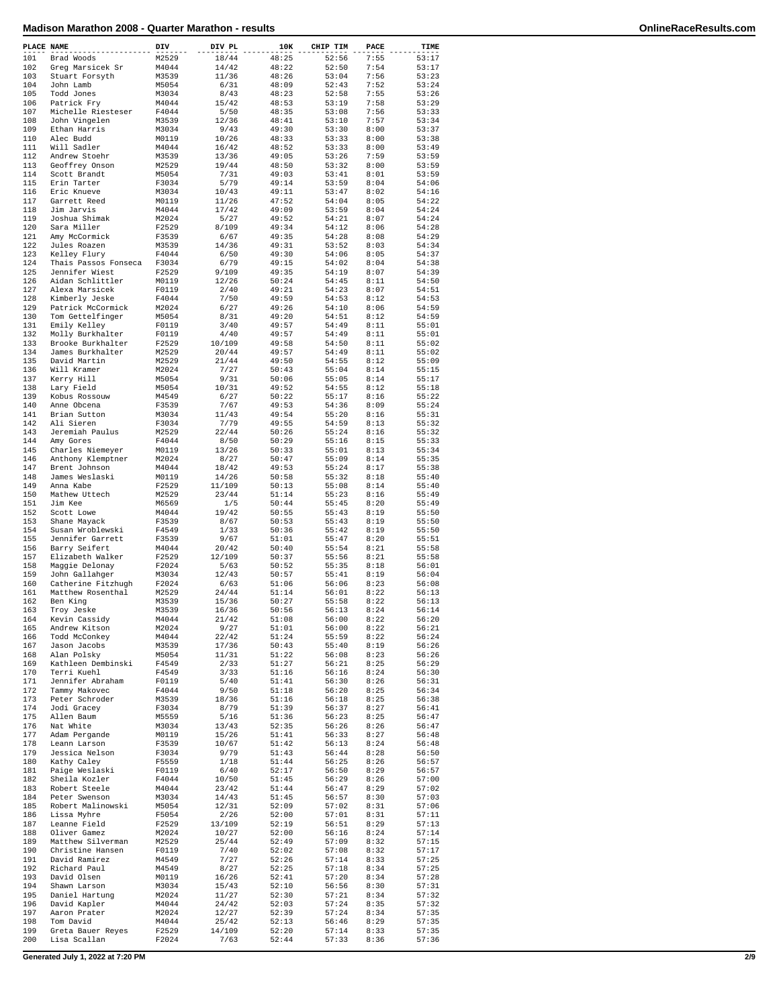|            | PLACE NAME                          | DIV            | DIV PL          | 10K            | CHIP TIM       | PACE         | TIME           |
|------------|-------------------------------------|----------------|-----------------|----------------|----------------|--------------|----------------|
| 101        | Brad Woods                          | M2529          | 18/44           | 48:25          | 52:56          | 7:55         | 53:17          |
| 102        | Greg Marsicek Sr                    | M4044          | 14/42           | 48:22          | 52:50          | 7:54         | 53:17          |
| 103        | Stuart Forsyth                      | M3539          | 11/36           | 48:26          | 53:04          | 7:56         | 53:23          |
| 104<br>105 | John Lamb<br>Todd Jones             | M5054<br>M3034 | 6/31<br>8/43    | 48:09<br>48:23 | 52:43<br>52:58 | 7:52<br>7:55 | 53:24<br>53:26 |
| 106        | Patrick Fry                         | M4044          | 15/42           | 48:53          | 53:19          | 7:58         | 53:29          |
| 107        | Michelle Riesteser                  | F4044          | 5/50            | 48:35          | 53:08          | 7:56         | 53:33          |
| 108        | John Vingelen                       | M3539          | 12/36           | 48:41          | 53:10          | 7:57         | 53:34          |
| 109        | Ethan Harris                        | M3034          | 9/43            | 49:30          | 53:30          | 8:00         | 53:37          |
| 110<br>111 | Alec Budd<br>Will Sadler            | M0119<br>M4044 | 10/26<br>16/42  | 48:33<br>48:52 | 53:33<br>53:33 | 8:00<br>8:00 | 53:38<br>53:49 |
| 112        | Andrew Stoehr                       | M3539          | 13/36           | 49:05          | 53:26          | 7:59         | 53:59          |
| 113        | Geoffrey Onson                      | M2529          | 19/44           | 48:50          | 53:32          | 8:00         | 53:59          |
| 114        | Scott Brandt                        | M5054          | 7/31            | 49:03          | 53:41          | 8:01         | 53:59          |
| 115        | Erin Tarter                         | F3034          | 5/79            | 49:14          | 53:59          | 8:04<br>8:02 | 54:06          |
| 116<br>117 | Eric Knueve<br>Garrett Reed         | M3034<br>M0119 | 10/43<br>11/26  | 49:11<br>47:52 | 53:47<br>54:04 | 8:05         | 54:16<br>54:22 |
| 118        | Jim Jarvis                          | M4044          | 17/42           | 49:09          | 53:59          | 8:04         | 54:24          |
| 119        | Joshua Shimak                       | M2024          | 5/27            | 49:52          | 54:21          | 8:07         | 54:24          |
| 120        | Sara Miller                         | F2529          | 8/109           | 49:34          | 54:12          | 8:06         | 54:28          |
| 121        | Amy McCormick                       | F3539          | 6/67            | 49:35          | 54:28          | 8:08         | 54:29          |
| 122<br>123 | Jules Roazen<br>Kelley Flury        | M3539<br>F4044 | 14/36<br>6/50   | 49:31<br>49:30 | 53:52<br>54:06 | 8:03<br>8:05 | 54:34<br>54:37 |
| 124        | Thais Passos Fonseca                | F3034          | 6/79            | 49:15          | 54:02          | 8:04         | 54:38          |
| 125        | Jennifer Wiest                      | F2529          | 9/109           | 49:35          | 54:19          | 8:07         | 54:39          |
| 126        | Aidan Schlittler                    | M0119          | 12/26           | 50:24          | 54:45          | 8:11         | 54:50          |
| 127        | Alexa Marsicek                      | F0119          | 2/40            | 49:21          | 54:23          | 8:07         | 54:51          |
| 128<br>129 | Kimberly Jeske<br>Patrick McCormick | F4044<br>M2024 | 7/50<br>6/27    | 49:59<br>49:26 | 54:53<br>54:10 | 8:12<br>8:06 | 54:53<br>54:59 |
| 130        | Tom Gettelfinger                    | M5054          | 8/31            | 49:20          | 54:51          | 8:12         | 54:59          |
| 131        | Emily Kelley                        | F0119          | 3/40            | 49:57          | 54:49          | 8:11         | 55:01          |
| 132        | Molly Burkhalter                    | F0119          | 4/40            | 49:57          | 54:49          | 8:11         | 55:01          |
| 133        | Brooke Burkhalter                   | F2529          | 10/109          | 49:58          | 54:50          | 8:11         | 55:02          |
| 134        | James Burkhalter                    | M2529          | 20/44           | 49:57          | 54:49          | 8:11         | 55:02          |
| 135<br>136 | David Martin<br>Will Kramer         | M2529<br>M2024 | 21/44<br>7/27   | 49:50<br>50:43 | 54:55<br>55:04 | 8:12<br>8:14 | 55:09<br>55:15 |
| 137        | Kerry Hill                          | M5054          | 9/31            | 50:06          | 55:05          | 8:14         | 55:17          |
| 138        | Lary Field                          | M5054          | 10/31           | 49:52          | 54:55          | 8:12         | 55:18          |
| 139        | Kobus Rossouw                       | M4549          | 6/27            | 50:22          | 55:17          | 8:16         | 55:22          |
| 140        | Anne Obcena                         | F3539          | 7/67            | 49:53          | 54:36          | 8:09         | 55:24          |
| 141        | Brian Sutton                        | M3034          | 11/43           | 49:54          | 55:20          | 8:16         | 55:31          |
| 142<br>143 | Ali Sieren<br>Jeremiah Paulus       | F3034<br>M2529 | 7/79<br>22/44   | 49:55<br>50:26 | 54:59<br>55:24 | 8:13<br>8:16 | 55:32<br>55:32 |
| 144        | Amy Gores                           | F4044          | 8/50            | 50:29          | 55:16          | 8:15         | 55:33          |
| 145        | Charles Niemeyer                    | M0119          | 13/26           | 50:33          | 55:01          | 8:13         | 55:34          |
| 146        | Anthony Klemptner                   | M2024          | 8/27            | 50:47          | 55:09          | 8:14         | 55:35          |
| 147        | Brent Johnson                       | M4044          | 18/42           | 49:53          | 55:24          | 8:17         | 55:38          |
| 148<br>149 | James Weslaski<br>Anna Kabe         | M0119          | 14/26           | 50:58<br>50:13 | 55:32<br>55:08 | 8:18<br>8:14 | 55:40<br>55:40 |
| 150        | Mathew Uttech                       | F2529<br>M2529 | 11/109<br>23/44 | 51:14          | 55:23          | 8:16         | 55:49          |
| 151        | Jim Kee                             | M6569          | 1/5             | 50:44          | 55:45          | 8:20         | 55:49          |
| 152        | Scott Lowe                          | M4044          | 19/42           | 50:55          | 55:43          | 8:19         | 55:50          |
| 153        | Shane Mayack                        | F3539          | 8/67            | 50:53          | 55:43          | 8:19         | 55:50          |
| 154        | Susan Wroblewski                    | F4549          | 1/33            | 50:36          | 55:42          | 8:19         | 55:50          |
| 155<br>156 | Jennifer Garrett<br>Barry Seifert   | F3539<br>M4044 | 9/67<br>20/42   | 51:01<br>50:40 | 55:47<br>55:54 | 8:20<br>8:21 | 55:51<br>55:58 |
| 157        | Elizabeth Walker                    | F2529          | 12/109          | 50:37          | 55:56          | 8:21         | 55:58          |
| 158        | Maggie Delonay                      | F2024          | 5/63            | 50:52          | 55:35          | 8:18         | 56:01          |
| 159        | John Gallahger                      | M3034          | 12/43           | 50:57          | 55:41          | 8:19         | 56:04          |
| 160        | Catherine Fitzhugh                  | F2024          | 6/63            | 51:06          | 56:06          | 8:23         | 56:08          |
| 161        | Matthew Rosenthal                   | M2529          | 24/44           | 51:14          | 56:01          | 8:22         | 56:13          |
| 162<br>163 | Ben King                            | M3539<br>M3539 | 15/36           | 50:27<br>50:56 | 55:58<br>56:13 | 8:22<br>8:24 | 56:13<br>56:14 |
| 164        | Troy Jeske<br>Kevin Cassidy         | M4044          | 16/36<br>21/42  | 51:08          | 56:00          | 8:22         | 56:20          |
| 165        | Andrew Kitson                       | M2024          | 9/27            | 51:01          | 56:00          | 8:22         | 56:21          |
| 166        | Todd McConkey                       | M4044          | 22/42           | 51:24          | 55:59          | 8:22         | 56:24          |
| 167        | Jason Jacobs                        | M3539          | 17/36           | 50:43          | 55:40          | 8:19         | 56:26          |
| 168<br>169 | Alan Polsky<br>Kathleen Dembinski   | M5054<br>F4549 | 11/31           | 51:22<br>51:27 | 56:08<br>56:21 | 8:23<br>8:25 | 56:26<br>56:29 |
| 170        | Terri Kuehl                         | F4549          | 2/33<br>3/33    | 51:16          | 56:16          | 8:24         | 56:30          |
| 171        | Jennifer Abraham                    | F0119          | 5/40            | 51:41          | 56:30          | 8:26         | 56:31          |
| 172        | Tammy Makovec                       | F4044          | 9/50            | 51:18          | 56:20          | 8:25         | 56:34          |
| 173        | Peter Schroder                      | M3539          | 18/36           | 51:16          | 56:18          | 8:25         | 56:38          |
| 174        | Jodi Gracey                         | F3034<br>M5559 | 8/79            | 51:39          | 56:37          | 8:27<br>8:25 | 56:41<br>56:47 |
| 175<br>176 | Allen Baum<br>Nat White             | M3034          | 5/16<br>13/43   | 51:36<br>52:35 | 56:23<br>56:26 | 8:26         | 56:47          |
| 177        | Adam Pergande                       | M0119          | 15/26           | 51:41          | 56:33          | 8:27         | 56:48          |
| 178        | Leann Larson                        | F3539          | 10/67           | 51:42          | 56:13          | 8:24         | 56:48          |
| 179        | Jessica Nelson                      | F3034          | 9/79            | 51:43          | 56:44          | 8:28         | 56:50          |
| 180        | Kathy Caley                         | F5559          | 1/18            | 51:44          | 56:25          | 8:26         | 56:57          |
| 181<br>182 | Paige Weslaski<br>Sheila Kozler     | F0119<br>F4044 | 6/40<br>10/50   | 52:17<br>51:45 | 56:50<br>56:29 | 8:29<br>8:26 | 56:57<br>57:00 |
| 183        | Robert Steele                       | M4044          | 23/42           | 51:44          | 56:47          | 8:29         | 57:02          |
| 184        | Peter Swenson                       | M3034          | 14/43           | 51:45          | 56:57          | 8:30         | 57:03          |
| 185        | Robert Malinowski                   | M5054          | 12/31           | 52:09          | 57:02          | 8:31         | 57:06          |
| 186        | Lissa Myhre                         | F5054          | 2/26            | 52:00          | 57:01          | 8:31         | 57:11          |
| 187        | Leanne Field                        | F2529          | 13/109          | 52:19          | 56:51          | 8:29         | 57:13          |
| 188<br>189 | Oliver Gamez<br>Matthew Silverman   | M2024<br>M2529 | 10/27<br>25/44  | 52:00<br>52:49 | 56:16<br>57:09 | 8:24<br>8:32 | 57:14<br>57:15 |
| 190        | Christine Hansen                    | F0119          | 7/40            | 52:02          | 57:08          | 8:32         | 57:17          |
| 191        | David Ramirez                       | M4549          | 7/27            | 52:26          | 57:14          | 8:33         | 57:25          |
| 192        | Richard Paul                        | M4549          | 8/27            | 52:25          | 57:18          | 8:34         | 57:25          |
| 193        | David Olsen                         | M0119          | 16/26           | 52:41          | 57:20          | 8:34         | 57:28          |
| 194<br>195 | Shawn Larson<br>Daniel Hartung      | M3034<br>M2024 | 15/43<br>11/27  | 52:10<br>52:30 | 56:56<br>57:21 | 8:30<br>8:34 | 57:31<br>57:32 |
| 196        | David Kapler                        | M4044          | 24/42           | 52:03          | 57:24          | 8:35         | 57:32          |
| 197        | Aaron Prater                        | M2024          | 12/27           | 52:39          | 57:24          | 8:34         | 57:35          |
| 198        | Tom David                           | M4044          | 25/42           | 52:13          | 56:46          | 8:29         | 57:35          |
| 199        | Greta Bauer Reyes                   | F2529          | 14/109          | 52:20          | 57:14          | 8:33         | 57:35          |
| 200        | Lisa Scallan                        | F2024          | 7/63            | 52:44          | 57:33          | 8:36         | 57:36          |

**Generated July 1, 2022 at 7:20 PM 2/9**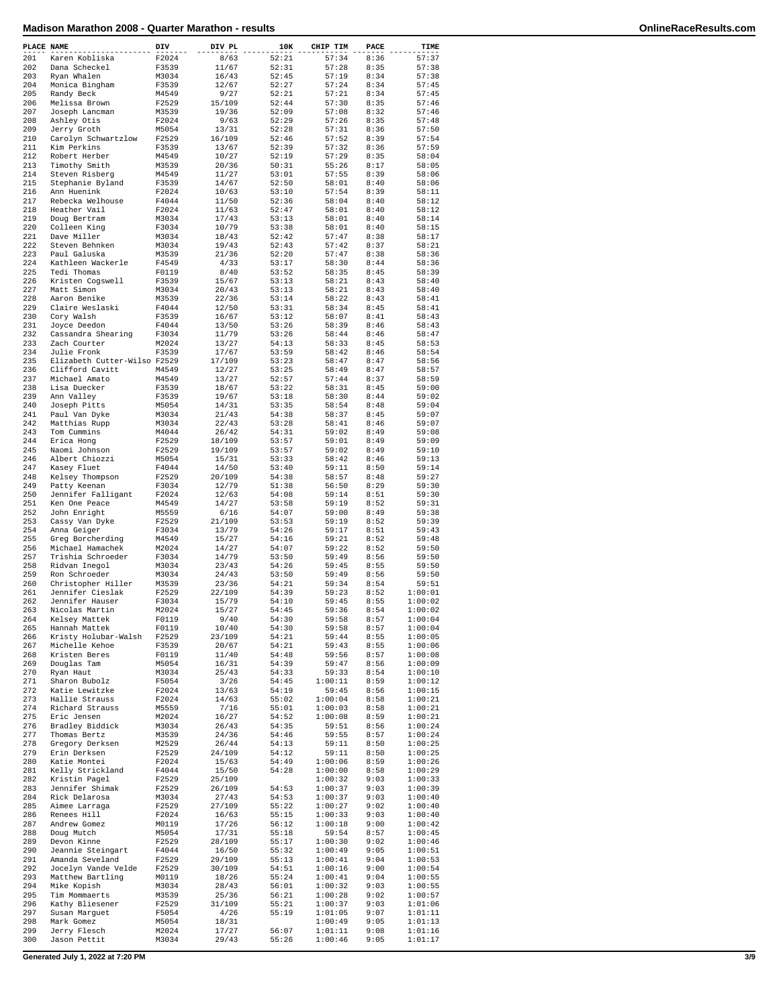| PLACE NAME |                                        | DIV            | DIV PL          | 10K            | CHIP TIM           | PACE         | TIME               |
|------------|----------------------------------------|----------------|-----------------|----------------|--------------------|--------------|--------------------|
| 201        | Karen Kobliska                         | F2024          | 8/63            | 52:21          | 57:34              | 8:36         | 57:37              |
| 202        | Dana Scheckel                          | F3539          | 11/67           | 52:31          | 57:28              | 8:35         | 57:38              |
| 203        | Ryan Whalen                            | M3034          | 16/43           | 52:45          | 57:19              | 8:34         | 57:38              |
| 204<br>205 | Monica Bingham<br>Randy Beck           | F3539<br>M4549 | 12/67<br>9/27   | 52:27<br>52:21 | 57:24<br>57:21     | 8:34<br>8:34 | 57:45<br>57:45     |
| 206        | Melissa Brown                          | F2529          | 15/109          | 52:44          | 57:30              | 8:35         | 57:46              |
| 207        | Joseph Lancman                         | M3539          | 19/36           | 52:09          | 57:08              | 8:32         | 57:46              |
| 208        | Ashley Otis                            | F2024          | 9/63            | 52:29          | 57:26              | 8:35         | 57:48              |
| 209        | Jerry Groth                            | M5054          | 13/31           | 52:28          | 57:31              | 8:36         | 57:50              |
| 210        | Carolyn Schwartzlow                    | F2529          | 16/109          | 52:46          | 57:52              | 8:39         | 57:54              |
| 211        | Kim Perkins                            | F3539          | 13/67           | 52:39          | 57:32              | 8:36         | 57:59              |
| 212        | Robert Herber                          | M4549          | 10/27           | 52:19          | 57:29              | 8:35         | 58:04              |
| 213        | Timothy Smith                          | M3539          | 20/36           | 50:31          | 55:26              | 8:17         | 58:05              |
| 214<br>215 | Steven Risberg<br>Stephanie Byland     | M4549<br>F3539 | 11/27<br>14/67  | 53:01<br>52:50 | 57:55<br>58:01     | 8:39<br>8:40 | 58:06<br>58:06     |
| 216        | Ann Huenink                            | F2024          | 10/63           | 53:10          | 57:54              | 8:39         | 58:11              |
| 217        | Rebecka Welhouse                       | F4044          | 11/50           | 52:36          | 58:04              | 8:40         | 58:12              |
| 218        | Heather Vail                           | F2024          | 11/63           | 52:47          | 58:01              | 8:40         | 58:12              |
| 219        | Doug Bertram                           | M3034          | 17/43           | 53:13          | 58:01              | 8:40         | 58:14              |
| 220        | Colleen King                           | F3034          | 10/79           | 53:38          | 58:01              | 8:40         | 58:15              |
| 221        | Dave Miller                            | M3034          | 18/43           | 52:42          | 57:47              | 8:38         | 58:17              |
| 222        | Steven Behnken                         | M3034          | 19/43           | 52:43          | 57:42              | 8:37         | 58:21              |
| 223<br>224 | Paul Galuska<br>Kathleen Wackerle      | M3539<br>F4549 | 21/36<br>4/33   | 52:20<br>53:17 | 57:47<br>58:30     | 8:38<br>8:44 | 58:36<br>58:36     |
| 225        | Tedi Thomas                            | F0119          | 8/40            | 53:52          | 58:35              | 8:45         | 58:39              |
| 226        | Kristen Cogswell                       | F3539          | 15/67           | 53:13          | 58:21              | 8:43         | 58:40              |
| 227        | Matt Simon                             | M3034          | 20/43           | 53:13          | 58:21              | 8:43         | 58:40              |
| 228        | Aaron Benike                           | M3539          | 22/36           | 53:14          | 58:22              | 8:43         | 58:41              |
| 229        | Claire Weslaski                        | F4044          | 12/50           | 53:31          | 58:34              | 8:45         | 58:41              |
| 230        | Corv Walsh                             | F3539          | 16/67           | 53:12          | 58:07              | 8:41         | 58:43              |
| 231        | Joyce Deedon                           | F4044          | 13/50           | 53:26          | 58:39              | 8:46         | 58:43              |
| 232<br>233 | Cassandra Shearing<br>Zach Courter     | F3034<br>M2024 | 11/79<br>13/27  | 53:26<br>54:13 | 58:44<br>58:33     | 8:46<br>8:45 | 58:47<br>58:53     |
| 234        | Julie Fronk                            | F3539          | 17/67           | 53:59          | 58:42              | 8:46         | 58:54              |
| 235        | Elizabeth Cutter-Wilso F2529           |                | 17/109          | 53:23          | 58:47              | 8:47         | 58:56              |
| 236        | Clifford Cavitt                        | M4549          | 12/27           | 53:25          | 58:49              | 8:47         | 58:57              |
| 237        | Michael Amato                          | M4549          | 13/27           | 52:57          | 57:44              | 8:37         | 58:59              |
| 238        | Lisa Duecker                           | F3539          | 18/67           | 53:22          | 58:31              | 8:45         | 59:00              |
| 239        | Ann Valley                             | F3539          | 19/67           | 53:18          | 58:30              | 8:44         | 59:02              |
| 240        | Joseph Pitts                           | M5054          | 14/31           | 53:35          | 58:54              | 8:48         | 59:04              |
| 241        | Paul Van Dyke                          | M3034          | 21/43           | 54:38          | 58:37              | 8:45         | 59:07              |
| 242<br>243 | Matthias Rupp                          | M3034<br>M4044 | 22/43<br>26/42  | 53:28<br>54:31 | 58:41<br>59:02     | 8:46<br>8:49 | 59:07<br>59:08     |
| 244        | Tom Cummins<br>Erica Hong              | F2529          | 18/109          | 53:57          | 59:01              | 8:49         | 59:09              |
| 245        | Naomi Johnson                          | F2529          | 19/109          | 53:57          | 59:02              | 8:49         | 59:10              |
| 246        | Albert Chiozzi                         | M5054          | 15/31           | 53:33          | 58:42              | 8:46         | 59:13              |
| 247        | Kasey Fluet                            | F4044          | 14/50           | 53:40          | 59:11              | 8:50         | 59:14              |
| 248        | Kelsey Thompson                        | F2529          | 20/109          | 54:38          | 58:57              | 8:48         | 59:27              |
| 249        | Patty Keenan                           | F3034          | 12/79           | 51:38          | 56:50              | 8:29         | 59:30              |
| 250        | Jennifer Falligant                     | F2024          | 12/63           | 54:08          | 59:14              | 8:51         | 59:30              |
| 251<br>252 | Ken One Peace<br>John Enright          | M4549<br>M5559 | 14/27<br>6/16   | 53:58<br>54:07 | 59:19<br>59:00     | 8:52<br>8:49 | 59:31<br>59:38     |
| 253        | Cassy Van Dyke                         | F2529          | 21/109          | 53:53          | 59:19              | 8:52         | 59:39              |
| 254        | Anna Geiger                            | F3034          | 13/79           | 54:26          | 59:17              | 8:51         | 59:43              |
| 255        | Greg Borcherding                       | M4549          | 15/27           | 54:16          | 59:21              | 8:52         | 59:48              |
| 256        | Michael Hamachek                       | M2024          | 14/27           | 54:07          | 59:22              | 8:52         | 59:50              |
| 257        | Trishia Schroeder                      | F3034          | 14/79           | 53:50          | 59:49              | 8:56         | 59:50              |
| 258        | Ridvan Inegol                          | M3034          | 23/43           | 54:26          | 59:45              | 8:55         | 59:50              |
| 259        | Ron Schroeder                          | M3034          | 24/43           | 53:50          | 59:49              | 8:56         | 59:50              |
| 260<br>261 | Christopher Hiller<br>Jennifer Cieslak | M3539<br>F2529 | 23/36<br>22/109 | 54:21<br>54:39 | 59:34<br>59:23     | 8:54<br>8:52 | 59:51<br>1:00:01   |
| 262        | Jennifer Hauser                        | F3034          | 15/79           | 54:10          | 59:45              | 8:55         | 1:00:02            |
| 263        | Nicolas Martin                         | M2024          | 15/27           | 54:45          | 59:36              | 8:54         | 1:00:02            |
| 264        | Kelsey Mattek                          | F0119          | 9/40            | 54:30          | 59:58              | 8:57         | 1:00:04            |
| 265        | Hannah Mattek                          | F0119          | 10/40           | 54:30          | 59:58              | 8:57         | 1:00:04            |
| 266        | Kristy Holubar-Walsh                   | F2529          | 23/109          | 54:21          | 59:44              | 8:55         | 1:00:05            |
| 267        | Michelle Kehoe                         | F3539          | 20/67           | 54:21          | 59:43              | 8:55         | 1:00:06            |
| 268        | Kristen Beres                          | F0119          | 11/40           | 54:48          | 59:56              | 8:57         | 1:00:08            |
| 269<br>270 | Douglas Tam<br>Ryan Haut               | M5054<br>M3034 | 16/31<br>25/43  | 54:39<br>54:33 | 59:47<br>59:33     | 8:56<br>8:54 | 1:00:09<br>1:00:10 |
| 271        | Sharon Bubolz                          | F5054          | 3/26            | 54:45          | 1:00:11            | 8:59         | 1:00:12            |
| 272        | Katie Lewitzke                         | F2024          | 13/63           | 54:19          | 59:45              | 8:56         | 1:00:15            |
| 273        | Hallie Strauss                         | F2024          | 14/63           | 55:02          | 1:00:04            | 8:58         | 1:00:21            |
| 274        | Richard Strauss                        | M5559          | 7/16            | 55:01          | 1:00:03            | 8:58         | 1:00:21            |
| 275        | Eric Jensen                            | M2024          | 16/27           | 54:52          | 1:00:08            | 8:59         | 1:00:21            |
| 276        | Bradley Biddick                        | M3034          | 26/43           | 54:35          | 59:51              | 8:56         | 1:00:24            |
| 277<br>278 | Thomas Bertz                           | M3539<br>M2529 | 24/36<br>26/44  | 54:46<br>54:13 | 59:55<br>59:11     | 8:57         | 1:00:24            |
| 279        | Gregory Derksen<br>Erin Derksen        | F2529          | 24/109          | 54:12          | 59:11              | 8:50<br>8:50 | 1:00:25<br>1:00:25 |
| 280        | Katie Montei                           | F2024          | 15/63           | 54:49          | 1:00:06            | 8:59         | 1:00:26            |
| 281        | Kelly Strickland                       | F4044          | 15/50           | 54:28          | 1:00:00            | 8:58         | 1:00:29            |
| 282        | Kristin Pagel                          | F2529          | 25/109          |                | 1:00:32            | 9:03         | 1:00:33            |
| 283        | Jennifer Shimak                        | F2529          | 26/109          | 54:53          | 1:00:37            | 9:03         | 1:00:39            |
| 284        | Rick Delarosa                          | M3034          | 27/43           | 54:53          | 1:00:37            | 9:03         | 1:00:40            |
| 285        | Aimee Larraga                          | F2529          | 27/109          | 55:22          | 1:00:27            | 9:02         | 1:00:40            |
| 286        | Renees Hill                            | F2024          | 16/63           | 55:15          | 1:00:33            | 9:03         | 1:00:40            |
| 287<br>288 | Andrew Gomez<br>Doug Mutch             | M0119          | 17/26<br>17/31  | 56:12          | 1:00:18            | 9:00         | 1:00:42            |
| 289        | Devon Kinne                            | M5054<br>F2529 | 28/109          | 55:18<br>55:17 | 59:54<br>1:00:30   | 8:57<br>9:02 | 1:00:45<br>1:00:46 |
| 290        | Jeannie Steingart                      | F4044          | 16/50           | 55:32          | 1:00:49            | 9:05         | 1:00:51            |
| 291        | Amanda Seveland                        | F2529          | 29/109          | 55:13          | 1:00:41            | 9:04         | 1:00:53            |
| 292        | Jocelyn Vande Velde                    | F2529          | 30/109          | 54:51          | 1:00:16            | 9:00         | 1:00:54            |
| 293        | Matthew Bartling                       | M0119          | 18/26           | 55:24          | 1:00:41            | 9:04         | 1:00:55            |
| 294        | Mike Kopish                            | M3034          | 28/43           | 56:01          | 1:00:32            | 9:03         | 1:00:55            |
| 295        | Tim Mommaerts                          | M3539          | 25/36           | 56:21          | 1:00:28            | 9:02         | 1:00:57            |
| 296<br>297 | Kathy Bliesener                        | F2529          | 31/109          | 55:21          | 1:00:37            | 9:03<br>9:07 | 1:01:06            |
| 298        | Susan Marguet<br>Mark Gomez            | F5054<br>M5054 | 4/26<br>18/31   | 55:19          | 1:01:05<br>1:00:49 | 9:05         | 1:01:11<br>1:01:13 |
| 299        | Jerry Flesch                           | M2024          | 17/27           | 56:07          | 1:01:11            | 9:08         | 1:01:16            |
| 300        | Jason Pettit                           | M3034          | 29/43           | 55:26          | 1:00:46            | 9:05         | 1:01:17            |
|            |                                        |                |                 |                |                    |              |                    |

**Generated July 1, 2022 at 7:20 PM 3/9**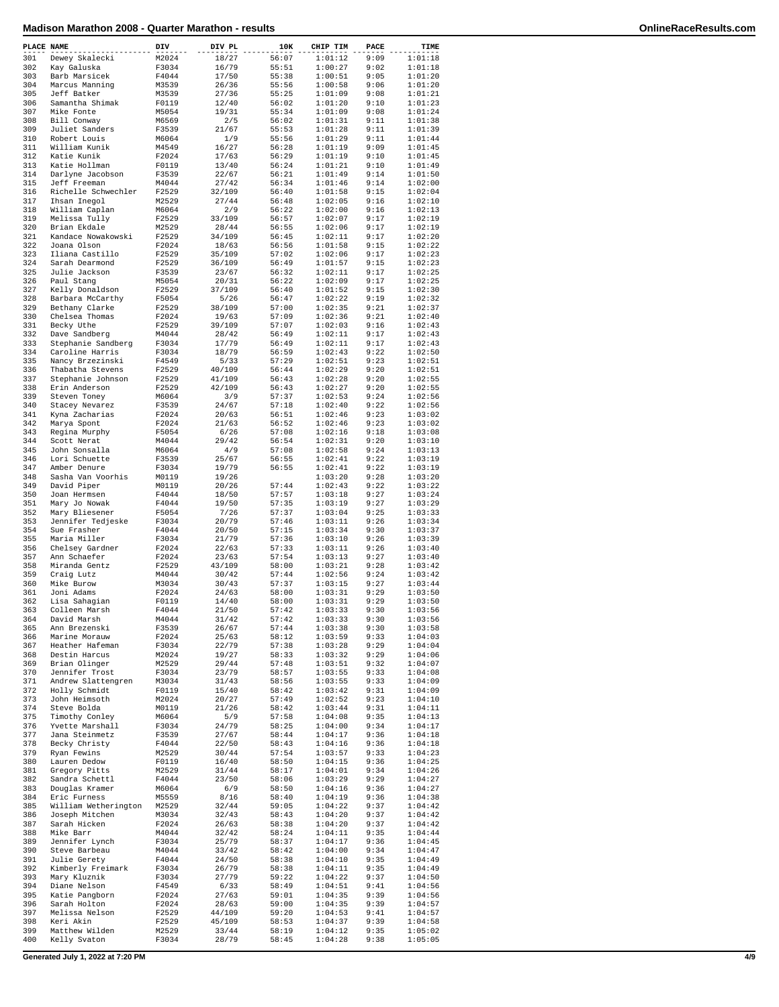| PLACE NAME |                      | DIV   | DIV PL | 10K   | CHIP TIM | PACE | TIME    |
|------------|----------------------|-------|--------|-------|----------|------|---------|
| 301        | Dewey Skalecki       | M2024 | 18/27  | 56:07 | 1:01:12  | 9:09 | 1:01:18 |
| 302        | Kay Galuska          | F3034 | 16/79  | 55:51 | 1:00:27  | 9:02 | 1:01:18 |
| 303        | Barb Marsicek        | F4044 | 17/50  | 55:38 | 1:00:51  | 9:05 | 1:01:20 |
| 304        | Marcus Manning       | M3539 | 26/36  | 55:56 | 1:00:58  | 9:06 | 1:01:20 |
| 305        | Jeff Batker          | M3539 | 27/36  | 55:25 | 1:01:09  | 9:08 | 1:01:21 |
| 306        | Samantha Shimak      | F0119 | 12/40  | 56:02 | 1:01:20  | 9:10 | 1:01:23 |
| 307        |                      |       |        |       |          |      |         |
|            | Mike Fonte           | M5054 | 19/31  | 55:34 | 1:01:09  | 9:08 | 1:01:24 |
| 308        | Bill Conway          | M6569 | 2/5    | 56:02 | 1:01:31  | 9:11 | 1:01:38 |
| 309        | Juliet Sanders       | F3539 | 21/67  | 55:53 | 1:01:28  | 9:11 | 1:01:39 |
| 310        | Robert Louis         | M6064 | 1/9    | 55:56 | 1:01:29  | 9:11 | 1:01:44 |
| 311        | William Kunik        | M4549 | 16/27  | 56:28 | 1:01:19  | 9:09 | 1:01:45 |
| 312        | Katie Kunik          | F2024 | 17/63  | 56:29 | 1:01:19  | 9:10 | 1:01:45 |
| 313        | Katie Hollman        | F0119 | 13/40  | 56:24 | 1:01:21  | 9:10 | 1:01:49 |
| 314        | Darlyne Jacobson     | F3539 | 22/67  | 56:21 | 1:01:49  | 9:14 | 1:01:50 |
| 315        | Jeff Freeman         | M4044 | 27/42  | 56:34 | 1:01:46  | 9:14 | 1:02:00 |
| 316        | Richelle Schwechler  | F2529 | 32/109 | 56:40 | 1:01:58  | 9:15 | 1:02:04 |
| 317        | Ihsan Inegol         | M2529 | 27/44  | 56:48 | 1:02:05  | 9:16 | 1:02:10 |
| 318        | William Caplan       | M6064 | 2/9    | 56:22 | 1:02:00  | 9:16 | 1:02:13 |
| 319        |                      | F2529 |        | 56:57 | 1:02:07  | 9:17 | 1:02:19 |
|            | Melissa Tully        |       | 33/109 |       |          |      |         |
| 320        | Brian Ekdale         | M2529 | 28/44  | 56:55 | 1:02:06  | 9:17 | 1:02:19 |
| 321        | Kandace Nowakowski   | F2529 | 34/109 | 56:45 | 1:02:11  | 9:17 | 1:02:20 |
| 322        | Joana Olson          | F2024 | 18/63  | 56:56 | 1:01:58  | 9:15 | 1:02:22 |
| 323        | Iliana Castillo      | F2529 | 35/109 | 57:02 | 1:02:06  | 9:17 | 1:02:23 |
| 324        | Sarah Dearmond       | F2529 | 36/109 | 56:49 | 1:01:57  | 9:15 | 1:02:23 |
| 325        | Julie Jackson        | F3539 | 23/67  | 56:32 | 1:02:11  | 9:17 | 1:02:25 |
| 326        | Paul Stang           | M5054 | 20/31  | 56:22 | 1:02:09  | 9:17 | 1:02:25 |
| 327        | Kelly Donaldson      | F2529 | 37/109 | 56:40 | 1:01:52  | 9:15 | 1:02:30 |
| 328        | Barbara McCarthy     | F5054 | 5/26   | 56:47 | 1:02:22  | 9:19 | 1:02:32 |
| 329        | Bethany Clarke       | F2529 | 38/109 | 57:00 | 1:02:35  | 9:21 | 1:02:37 |
| 330        | Chelsea Thomas       | F2024 | 19/63  | 57:09 | 1:02:36  | 9:21 | 1:02:40 |
|            |                      |       |        |       |          |      |         |
| 331        | Becky Uthe           | F2529 | 39/109 | 57:07 | 1:02:03  | 9:16 | 1:02:43 |
| 332        | Dave Sandberg        | M4044 | 28/42  | 56:49 | 1:02:11  | 9:17 | 1:02:43 |
| 333        | Stephanie Sandberg   | F3034 | 17/79  | 56:49 | 1:02:11  | 9:17 | 1:02:43 |
| 334        | Caroline Harris      | F3034 | 18/79  | 56:59 | 1:02:43  | 9:22 | 1:02:50 |
| 335        | Nancy Brzezinski     | F4549 | 5/33   | 57:29 | 1:02:51  | 9:23 | 1:02:51 |
| 336        | Thabatha Stevens     | F2529 | 40/109 | 56:44 | 1:02:29  | 9:20 | 1:02:51 |
| 337        | Stephanie Johnson    | F2529 | 41/109 | 56:43 | 1:02:28  | 9:20 | 1:02:55 |
| 338        | Erin Anderson        | F2529 | 42/109 | 56:43 | 1:02:27  | 9:20 | 1:02:55 |
| 339        | Steven Toney         | M6064 | 3/9    | 57:37 | 1:02:53  | 9:24 | 1:02:56 |
| 340        | Stacey Nevarez       | F3539 | 24/67  | 57:18 | 1:02:40  | 9:22 | 1:02:56 |
| 341        |                      |       |        |       |          |      |         |
|            | Kyna Zacharias       | F2024 | 20/63  | 56:51 | 1:02:46  | 9:23 | 1:03:02 |
| 342        | Marya Spont          | F2024 | 21/63  | 56:52 | 1:02:46  | 9:23 | 1:03:02 |
| 343        | Regina Murphy        | F5054 | 6/26   | 57:08 | 1:02:16  | 9:18 | 1:03:08 |
| 344        | Scott Nerat          | M4044 | 29/42  | 56:54 | 1:02:31  | 9:20 | 1:03:10 |
| 345        | John Sonsalla        | M6064 | 4/9    | 57:08 | 1:02:58  | 9:24 | 1:03:13 |
| 346        | Lori Schuette        | F3539 | 25/67  | 56:55 | 1:02:41  | 9:22 | 1:03:19 |
| 347        | Amber Denure         | F3034 | 19/79  | 56:55 | 1:02:41  | 9:22 | 1:03:19 |
| 348        | Sasha Van Voorhis    | M0119 | 19/26  |       | 1:03:20  | 9:28 | 1:03:20 |
| 349        | David Piper          | M0119 | 20/26  | 57:44 | 1:02:43  | 9:22 | 1:03:22 |
| 350        | Joan Hermsen         | F4044 | 18/50  | 57:57 | 1:03:18  | 9:27 | 1:03:24 |
| 351        | Mary Jo Nowak        | F4044 | 19/50  | 57:35 | 1:03:19  | 9:27 | 1:03:29 |
|            |                      |       |        |       |          |      |         |
| 352        | Mary Bliesener       | F5054 | 7/26   | 57:37 | 1:03:04  | 9:25 | 1:03:33 |
| 353        | Jennifer Tedjeske    | F3034 | 20/79  | 57:46 | 1:03:11  | 9:26 | 1:03:34 |
| 354        | Sue Frasher          | F4044 | 20/50  | 57:15 | 1:03:34  | 9:30 | 1:03:37 |
| 355        | Maria Miller         | F3034 | 21/79  | 57:36 | 1:03:10  | 9:26 | 1:03:39 |
| 356        | Chelsey Gardner      | F2024 | 22/63  | 57:33 | 1:03:11  | 9:26 | 1:03:40 |
| 357        | Ann Schaefer         | F2024 | 23/63  | 57:54 | 1:03:13  | 9:27 | 1:03:40 |
| 358        | Miranda Gentz        | F2529 | 43/109 | 58:00 | 1:03:21  | 9:28 | 1:03:42 |
| 359        | Craig Lutz           | M4044 | 30/42  | 57:44 | 1:02:56  | 9:24 | 1:03:42 |
| 360        | Mike Burow           | M3034 | 30/43  | 57:37 | 1:03:15  | 9:27 | 1:03:44 |
| 361        | Joni Adams           | F2024 | 24/63  | 58:00 | 1:03:31  | 9:29 | 1:03:50 |
| 362        | Lisa Sahagian        | F0119 | 14/40  | 58:00 | 1:03:31  | 9:29 | 1:03:50 |
| 363        | Colleen Marsh        | F4044 | 21/50  | 57:42 | 1:03:33  | 9:30 | 1:03:56 |
|            |                      |       |        |       |          |      |         |
| 364        | David Marsh          | M4044 | 31/42  | 57:42 | 1:03:33  | 9:30 | 1:03:56 |
| 365        | Ann Brezenski        | F3539 | 26/67  | 57:44 | 1:03:38  | 9:30 | 1:03:58 |
| 366        | Marine Morauw        | F2024 | 25/63  | 58:12 | 1:03:59  | 9:33 | 1:04:03 |
| 367        | Heather Hafeman      | F3034 | 22/79  | 57:38 | 1:03:28  | 9:29 | 1:04:04 |
| 368        | Destin Harcus        | M2024 | 19/27  | 58:33 | 1:03:32  | 9:29 | 1:04:06 |
| 369        | Brian Olinger        | M2529 | 29/44  | 57:48 | 1:03:51  | 9:32 | 1:04:07 |
| 370        | Jennifer Trost       | F3034 | 23/79  | 58:57 | 1:03:55  | 9:33 | 1:04:08 |
| 371        | Andrew Slattengren   | M3034 | 31/43  | 58:56 | 1:03:55  | 9:33 | 1:04:09 |
| 372        | Holly Schmidt        | F0119 | 15/40  | 58:42 | 1:03:42  | 9:31 | 1:04:09 |
| 373        | John Heimsoth        | M2024 | 20/27  | 57:49 | 1:02:52  | 9:23 | 1:04:10 |
| 374        | Steve Bolda          | M0119 | 21/26  | 58:42 | 1:03:44  | 9:31 | 1:04:11 |
| 375        | Timothy Conley       | M6064 | 5/9    | 57:58 | 1:04:08  | 9:35 | 1:04:13 |
| 376        | Yvette Marshall      | F3034 | 24/79  | 58:25 | 1:04:00  | 9:34 | 1:04:17 |
| 377        | Jana Steinmetz       | F3539 | 27/67  | 58:44 | 1:04:17  | 9:36 | 1:04:18 |
| 378        |                      |       |        |       |          |      |         |
|            | Becky Christy        | F4044 | 22/50  | 58:43 | 1:04:16  | 9:36 | 1:04:18 |
| 379        | Ryan Fewins          | M2529 | 30/44  | 57:54 | 1:03:57  | 9:33 | 1:04:23 |
| 380        | Lauren Dedow         | F0119 | 16/40  | 58:50 | 1:04:15  | 9:36 | 1:04:25 |
| 381        | Gregory Pitts        | M2529 | 31/44  | 58:17 | 1:04:01  | 9:34 | 1:04:26 |
| 382        | Sandra Schettl       | F4044 | 23/50  | 58:06 | 1:03:29  | 9:29 | 1:04:27 |
| 383        | Douglas Kramer       | M6064 | 6/9    | 58:50 | 1:04:16  | 9:36 | 1:04:27 |
| 384        | Eric Furness         | M5559 | 8/16   | 58:40 | 1:04:19  | 9:36 | 1:04:38 |
| 385        | William Wetherington | M2529 | 32/44  | 59:05 | 1:04:22  | 9:37 | 1:04:42 |
| 386        | Joseph Mitchen       | M3034 | 32/43  | 58:43 | 1:04:20  | 9:37 | 1:04:42 |
| 387        | Sarah Hicken         | F2024 | 26/63  | 58:38 | 1:04:20  | 9:37 | 1:04:42 |
| 388        | Mike Barr            | M4044 | 32/42  |       | 1:04:11  | 9:35 | 1:04:44 |
|            |                      |       |        | 58:24 |          |      |         |
| 389        | Jennifer Lynch       | F3034 | 25/79  | 58:37 | 1:04:17  | 9:36 | 1:04:45 |
| 390        | Steve Barbeau        | M4044 | 33/42  | 58:42 | 1:04:00  | 9:34 | 1:04:47 |
| 391        | Julie Gerety         | F4044 | 24/50  | 58:38 | 1:04:10  | 9:35 | 1:04:49 |
| 392        | Kimberly Freimark    | F3034 | 26/79  | 58:38 | 1:04:11  | 9:35 | 1:04:49 |
| 393        | Mary Kluznik         | F3034 | 27/79  | 59:22 | 1:04:22  | 9:37 | 1:04:50 |
| 394        | Diane Nelson         | F4549 | 6/33   | 58:49 | 1:04:51  | 9:41 | 1:04:56 |
| 395        | Katie Pangborn       | F2024 | 27/63  | 59:01 | 1:04:35  | 9:39 | 1:04:56 |
| 396        | Sarah Holton         | F2024 | 28/63  | 59:00 | 1:04:35  | 9:39 | 1:04:57 |
| 397        | Melissa Nelson       | F2529 | 44/109 | 59:20 | 1:04:53  | 9:41 | 1:04:57 |
| 398        | Keri Akin            | F2529 | 45/109 | 58:53 | 1:04:37  | 9:39 | 1:04:58 |
| 399        | Matthew Wilden       | M2529 | 33/44  | 58:19 | 1:04:12  | 9:35 | 1:05:02 |
| 400        | Kelly Svaton         | F3034 | 28/79  | 58:45 | 1:04:28  | 9:38 | 1:05:05 |
|            |                      |       |        |       |          |      |         |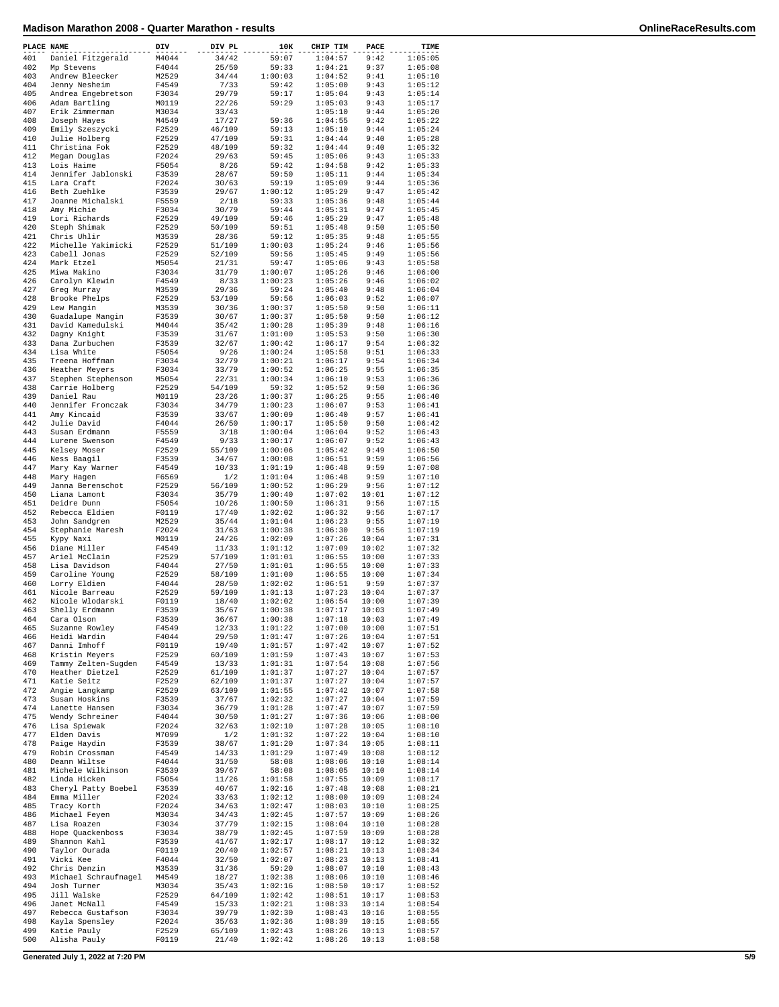| PLACE NAME |                                      | DIV            | DIV PL          | 10K                | CHIP TIM           | PACE           | TIME               |
|------------|--------------------------------------|----------------|-----------------|--------------------|--------------------|----------------|--------------------|
| 401        | Daniel Fitzgerald                    | M4044          | 34/42           | 59:07              | 1:04:57            | 9:42           | 1:05:05            |
| 402        | Mp Stevens                           | F4044          | 25/50           | 59:33              | 1:04:21            | 9:37           | 1:05:08            |
| 403        | Andrew Bleecker                      | M2529          | 34/44           | 1:00:03            | 1:04:52            | 9:41           | 1:05:10            |
| 404        | Jenny Nesheim                        | F4549          | 7/33            | 59:42              | 1:05:00            | 9:43           | 1:05:12            |
| 405<br>406 | Andrea Engebretson<br>Adam Bartling  | F3034<br>M0119 | 29/79<br>22/26  | 59:17<br>59:29     | 1:05:04<br>1:05:03 | 9:43<br>9:43   | 1:05:14<br>1:05:17 |
| 407        | Erik Zimmerman                       | M3034          | 33/43           |                    | 1:05:10            | 9:44           | 1:05:20            |
| 408        | Joseph Hayes                         | M4549          | 17/27           | 59:36              | 1:04:55            | 9:42           | 1:05:22            |
| 409        | Emily Szeszycki                      | F2529          | 46/109          | 59:13              | 1:05:10            | 9:44           | 1:05:24            |
| 410        | Julie Holberg                        | F2529          | 47/109          | 59:31              | 1:04:44            | 9:40           | 1:05:28            |
| 411        | Christina Fok                        | F2529          | 48/109          | 59:32              | 1:04:44            | 9:40           | 1:05:32            |
| 412        | Megan Douglas                        | F2024          | 29/63           | 59:45              | 1:05:06            | 9:43           | 1:05:33            |
| 413        | Lois Haime                           | F5054          | 8/26            | 59:42              | 1:04:58            | 9:42           | 1:05:33            |
| 414        | Jennifer Jablonski                   | F3539          | 28/67           | 59:50              | 1:05:11            | 9:44           | 1:05:34            |
| 415        | Lara Craft                           | F2024          | 30/63           | 59:19              | 1:05:09            | 9:44           | 1:05:36            |
| 416        | Beth Zuehlke                         | F3539          | 29/67           | 1:00:12            | 1:05:29            | 9:47           | 1:05:42            |
| 417<br>418 | Joanne Michalski<br>Amy Michie       | F5559<br>F3034 | 2/18<br>30/79   | 59:33<br>59:44     | 1:05:36<br>1:05:31 | 9:48<br>9:47   | 1:05:44<br>1:05:45 |
| 419        | Lori Richards                        | F2529          | 49/109          | 59:46              | 1:05:29            | 9:47           | 1:05:48            |
| 420        | Steph Shimak                         | F2529          | 50/109          | 59:51              | 1:05:48            | 9:50           | 1:05:50            |
| 421        | Chris Uhlir                          | M3539          | 28/36           | 59:12              | 1:05:35            | 9:48           | 1:05:55            |
| 422        | Michelle Yakimicki                   | F2529          | 51/109          | 1:00:03            | 1:05:24            | 9:46           | 1:05:56            |
| 423        | Cabell Jonas                         | F2529          | 52/109          | 59:56              | 1:05:45            | 9:49           | 1:05:56            |
| 424        | Mark Etzel                           | M5054          | 21/31           | 59:47              | 1:05:06            | 9:43           | 1:05:58            |
| 425        | Miwa Makino                          | F3034          | 31/79           | 1:00:07            | 1:05:26            | 9:46           | 1:06:00            |
| 426        | Carolyn Klewin                       | F4549          | 8/33            | 1:00:23            | 1:05:26            | 9:46           | 1:06:02            |
| 427        | Greg Murray                          | M3539          | 29/36           | 59:24              | 1:05:40            | 9:48           | 1:06:04            |
| 428        | Brooke Phelps                        | F2529          | 53/109          | 59:56              | 1:06:03            | 9:52           | 1:06:07            |
| 429        | Lew Mangin                           | M3539          | 30/36           | 1:00:37            | 1:05:50            | 9:50           | 1:06:11            |
| 430        | Guadalupe Mangin                     | F3539          | 30/67           | 1:00:37            | 1:05:50            | 9:50           | 1:06:12            |
| 431        | David Kamedulski                     | M4044          | 35/42           | 1:00:28            | 1:05:39            | 9:48           | 1:06:16            |
| 432        | Dagny Knight                         | F3539          | 31/67           | 1:01:00            | 1:05:53            | 9:50           | 1:06:30            |
| 433        | Dana Zurbuchen                       | F3539          | 32/67           | 1:00:42            | 1:06:17            | 9:54           | 1:06:32            |
| 434        | Lisa White                           | F5054          | 9/26            | 1:00:24            | 1:05:58            | 9:51           | 1:06:33            |
| 435        | Treena Hoffman                       | F3034          | 32/79           | 1:00:21            | 1:06:17            | 9:54           | 1:06:34            |
| 436        | Heather Meyers                       | F3034          | 33/79           | 1:00:52            | 1:06:25            | 9:55           | 1:06:35            |
| 437<br>438 | Stephen Stephenson<br>Carrie Holberg | M5054<br>F2529 | 22/31           | 1:00:34<br>59:32   | 1:06:10<br>1:05:52 | 9:53<br>9:50   | 1:06:36<br>1:06:36 |
| 439        | Daniel Rau                           | M0119          | 54/109<br>23/26 | 1:00:37            | 1:06:25            | 9:55           | 1:06:40            |
| 440        | Jennifer Fronczak                    | F3034          | 34/79           | 1:00:23            | 1:06:07            | 9:53           | 1:06:41            |
| 441        | Amy Kincaid                          | F3539          | 33/67           | 1:00:09            | 1:06:40            | 9:57           | 1:06:41            |
| 442        | Julie David                          | F4044          | 26/50           | 1:00:17            | 1:05:50            | 9:50           | 1:06:42            |
| 443        | Susan Erdmann                        | F5559          | 3/18            | 1:00:04            | 1:06:04            | 9:52           | 1:06:43            |
| 444        | Lurene Swenson                       | F4549          | 9/33            | 1:00:17            | 1:06:07            | 9:52           | 1:06:43            |
| 445        | Kelsey Moser                         | F2529          | 55/109          | 1:00:06            | 1:05:42            | 9:49           | 1:06:50            |
| 446        | Ness Baagil                          | F3539          | 34/67           | 1:00:08            | 1:06:51            | 9:59           | 1:06:56            |
| 447        | Mary Kay Warner                      | F4549          | 10/33           | 1:01:19            | 1:06:48            | 9:59           | 1:07:08            |
| 448        | Mary Hagen                           | F6569          | 1/2             | 1:01:04            | 1:06:48            | 9:59           | 1:07:10            |
| 449        | Janna Berenschot                     | F2529          | 56/109          | 1:00:52            | 1:06:29            | 9:56           | 1:07:12            |
| 450        | Liana Lamont                         | F3034          | 35/79           | 1:00:40            | 1:07:02            | 10:01          | 1:07:12            |
| 451        | Deidre Dunn                          | F5054          | 10/26           | 1:00:50            | 1:06:31            | 9:56           | 1:07:15            |
| 452        | Rebecca Eldien                       | F0119          | 17/40           | 1:02:02            | 1:06:32            | 9:56           | 1:07:17            |
| 453        | John Sandgren                        | M2529          | 35/44           | 1:01:04            | 1:06:23            | 9:55           | 1:07:19            |
| 454        | Stephanie Maresh                     | F2024          | 31/63           | 1:00:38            | 1:06:30            | 9:56           | 1:07:19            |
| 455        | Kypy Naxi                            | M0119          | 24/26           | 1:02:09            | 1:07:26            | 10:04          | 1:07:31            |
| 456        | Diane Miller                         | F4549          | 11/33           | 1:01:12            | 1:07:09            | 10:02          | 1:07:32            |
| 457        | Ariel McClain                        | F2529          | 57/109          | 1:01:01            | 1:06:55            | 10:00          | 1:07:33            |
| 458        | Lisa Davidson                        | F4044          | 27/50           | 1:01:01            | 1:06:55            | 10:00          | 1:07:33            |
| 459<br>460 | Caroline Young<br>Lorry Eldien       | F2529<br>F4044 | 58/109<br>28/50 | 1:01:00<br>1:02:02 | 1:06:55<br>1:06:51 | 10:00<br>9:59  | 1:07:34<br>1:07:37 |
| 461        | Nicole Barreau                       | F2529          | 59/109          | 1:01:13            | 1:07:23            | 10:04          | 1:07:37            |
| 462        | Nicole Wlodarski                     | F0119          | 18/40           | 1:02:02            | 1:06:54            | 10:00          | 1:07:39            |
| 463        | Shelly Erdmann                       | F3539          | 35/67           | 1:00:38            | 1:07:17            | 10:03          | 1:07:49            |
| 464        | Cara Olson                           | F3539          | 36/67           | 1:00:38            | 1:07:18            | 10:03          | 1:07:49            |
| 465        | Suzanne Rowley                       | F4549          | 12/33           | 1:01:22            | 1:07:00            | 10:00          | 1:07:51            |
| 466        | Heidi Wardin                         | F4044          | 29/50           | 1:01:47            | 1:07:26            | 10:04          | 1:07:51            |
| 467        | Danni Imhoff                         | F0119          | 19/40           | 1:01:57            | 1:07:42            | 10:07          | 1:07:52            |
| 468        | Kristin Meyers                       | F2529          | 60/109          | 1:01:59            | 1:07:43            | 10:07          | 1:07:53            |
| 469        | Tammy Zelten-Sugden                  | F4549          | 13/33           | 1:01:31            | 1:07:54            | 10:08          | 1:07:56            |
| 470        | Heather Dietzel                      | F2529          | 61/109          | 1:01:37            | 1:07:27            | 10:04          | 1:07:57            |
| 471        | Katie Seitz                          | F2529          | 62/109          | 1:01:37            | 1:07:27            | 10:04          | 1:07:57            |
| 472        | Angie Langkamp                       | F2529          | 63/109          | 1:01:55            | 1:07:42            | 10:07          | 1:07:58            |
| 473        | Susan Hoskins                        | F3539          | 37/67           | 1:02:32            | 1:07:27            | 10:04          | 1:07:59            |
| 474        | Lanette Hansen                       | F3034          | 36/79           | 1:01:28            | 1:07:47            | 10:07          | 1:07:59            |
| 475        | Wendy Schreiner                      | F4044          | 30/50           | 1:01:27            | 1:07:36            | 10:06          | 1:08:00            |
| 476        | Lisa Spiewak                         | F2024          | 32/63           | 1:02:10            | 1:07:28            | 10:05          | 1:08:10            |
| 477        | Elden Davis                          | M7099          | 1/2             | 1:01:32            | 1:07:22            | 10:04          | 1:08:10            |
| 478        | Paige Haydin                         | F3539          | 38/67           | 1:01:20            | 1:07:34            | 10:05          | 1:08:11            |
| 479        | Robin Crossman                       | F4549          | 14/33           | 1:01:29            | 1:07:49            | 10:08          | 1:08:12            |
| 480        | Deann Wiltse                         | F4044          | 31/50           | 58:08              | 1:08:06<br>1:08:05 | 10:10          | 1:08:14            |
| 481<br>482 | Michele Wilkinson<br>Linda Hicken    | F3539<br>F5054 | 39/67<br>11/26  | 58:08<br>1:01:58   | 1:07:55            | 10:10<br>10:09 | 1:08:14<br>1:08:17 |
| 483        | Cheryl Patty Boebel                  | F3539          | 40/67           | 1:02:16            | 1:07:48            | 10:08          | 1:08:21            |
| 484        | Emma Miller                          | F2024          | 33/63           | 1:02:12            | 1:08:00            | 10:09          | 1:08:24            |
| 485        | Tracy Korth                          | F2024          | 34/63           | 1:02:47            | 1:08:03            | 10:10          | 1:08:25            |
| 486        | Michael Feyen                        | M3034          | 34/43           | 1:02:45            | 1:07:57            | 10:09          | 1:08:26            |
| 487        | Lisa Roazen                          | F3034          | 37/79           | 1:02:15            | 1:08:04            | 10:10          | 1:08:28            |
| 488        | Hope Quackenboss                     | F3034          | 38/79           | 1:02:45            | 1:07:59            | 10:09          | 1:08:28            |
| 489        | Shannon Kahl                         | F3539          | 41/67           | 1:02:17            | 1:08:17            | 10:12          | 1:08:32            |
| 490        | Taylor Ourada                        | F0119          | 20/40           | 1:02:57            | 1:08:21            | 10:13          | 1:08:34            |
| 491        | Vicki Kee                            | F4044          | 32/50           | 1:02:07            | 1:08:23            | 10:13          | 1:08:41            |
| 492        | Chris Denzin                         | M3539          | 31/36           | 59:20              | 1:08:07            | 10:10          | 1:08:43            |
| 493        | Michael Schraufnagel                 | M4549          | 18/27           | 1:02:38            | 1:08:06            | 10:10          | 1:08:46            |
| 494        | Josh Turner                          | M3034          | 35/43           | 1:02:16            | 1:08:50            | 10:17          | 1:08:52            |
| 495        | Jill Walske                          | F2529          | 64/109          | 1:02:42            | 1:08:51            | 10:17          | 1:08:53            |
| 496        | Janet McNall                         | F4549          | 15/33           | 1:02:21            | 1:08:33            | 10:14          | 1:08:54            |
| 497        | Rebecca Gustafson                    | F3034          | 39/79           | 1:02:30            | 1:08:43            | 10:16          | 1:08:55            |
| 498        | Kayla Spensley                       | F2024          | 35/63           | 1:02:36            | 1:08:39            | 10:15          | 1:08:55            |
| 499        | Katie Pauly                          | F2529          | 65/109          | 1:02:43            | 1:08:26            | 10:13          | 1:08:57            |
| 500        | Alisha Pauly                         | F0119          | 21/40           | 1:02:42            | 1:08:26            | 10:13          | 1:08:58            |

**Generated July 1, 2022 at 7:20 PM 5/9**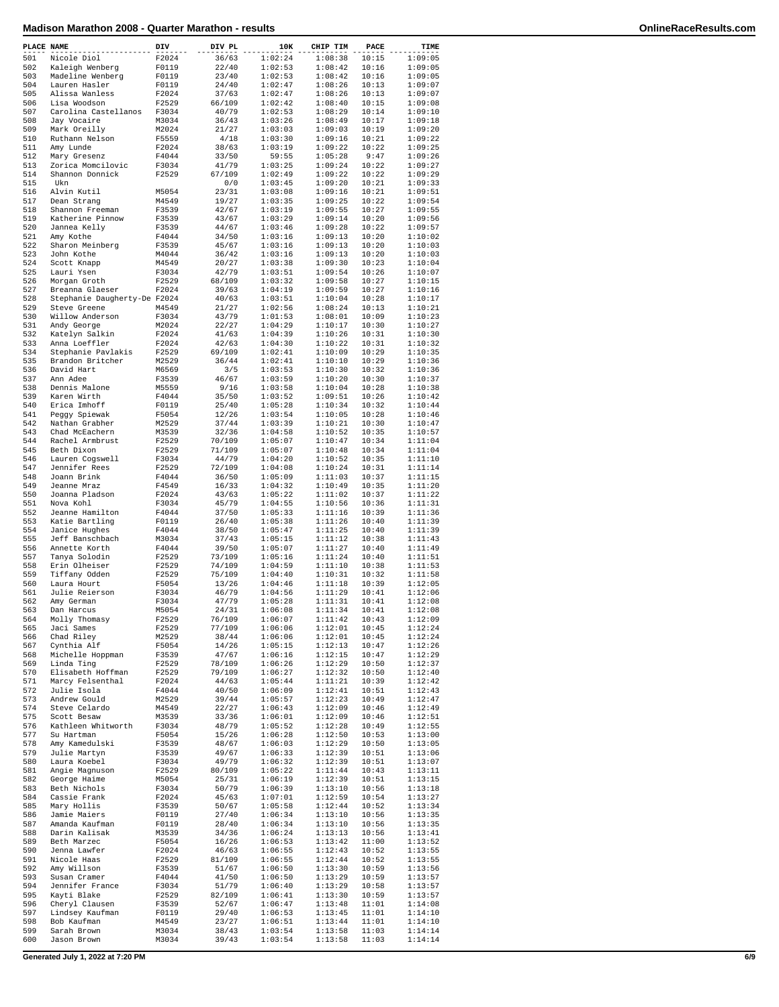| 36/63<br>1:02:24<br>1:09:05<br>F2024<br>1:08:38<br>10:15<br>Nicole Diol<br>F0119<br>1:08:42<br>1:09:05<br>Kaleigh Wenberg<br>22/40<br>1:02:53<br>10:16<br>Madeline Wenberg<br>F0119<br>23/40<br>1:02:53<br>1:08:42<br>10:16<br>1:09:05<br>F0119<br>24/40<br>1:02:47<br>1:08:26<br>10:13<br>1:09:07<br>Lauren Hasler<br>F2024<br>37/63<br>Alissa Wanless<br>1:02:47<br>1:08:26<br>10:13<br>1:09:07<br>Lisa Woodson<br>F2529<br>66/109<br>1:02:42<br>1:08:40<br>10:15<br>1:09:08<br>F3034<br>40/79<br>1:02:53<br>1:08:29<br>Carolina Castellanos<br>10:14<br>1:09:10<br>Jay Vocaire<br>M3034<br>36/43<br>1:03:26<br>1:08:49<br>10:17<br>1:09:18<br>Mark Oreilly<br>M2024<br>21/27<br>1:03:03<br>1:09:03<br>10:19<br>1:09:20<br>Ruthann Nelson<br>F5559<br>4/18<br>1:03:30<br>1:09:16<br>10:21<br>1:09:22<br>Amy Lunde<br>F2024<br>38/63<br>1:03:19<br>1:09:22<br>10:22<br>1:09:25<br>F4044<br>33/50<br>59:55<br>1:05:28<br>9:47<br>Mary Gresenz<br>1:09:26<br>F3034<br>41/79<br>1:03:25<br>1:09:24<br>10:22<br>1:09:27<br>Zorica Momcilovic<br>Shannon Donnick<br>F2529<br>67/109<br>1:02:49<br>1:09:22<br>10:22<br>1:09:29<br>0/0<br>1:03:45<br>1:09:20<br>10:21<br>1:09:33<br>Ukn<br>M5054<br>23/31<br>1:03:08<br>1:09:16<br>10:21<br>Alvin Kutil<br>1:09:51<br>19/27<br>Dean Strang<br>M4549<br>1:03:35<br>1:09:25<br>10:22<br>1:09:54<br>F3539<br>42/67<br>1:03:19<br>1:09:55<br>10:27<br>Shannon Freeman<br>1:09:55<br>F3539<br>43/67<br>1:03:29<br>1:09:14<br>10:20<br>Katherine Pinnow<br>1:09:56<br>Jannea Kelly<br>F3539<br>44/67<br>1:03:46<br>1:09:28<br>10:22<br>1:09:57<br>F4044<br>34/50<br>1:03:16<br>1:09:13<br>10:20<br>Amy Kothe<br>1:10:02<br>F3539<br>45/67<br>1:03:16<br>1:09:13<br>10:20<br>Sharon Meinberg<br>1:10:03<br>John Kothe<br>M4044<br>36/42<br>1:03:16<br>1:09:13<br>10:20<br>1:10:03<br>M4549<br>20/27<br>1:03:38<br>1:09:30<br>10:23<br>Scott Knapp<br>1:10:04<br>F3034<br>42/79<br>1:03:51<br>1:09:54<br>10:26<br>Lauri Ysen<br>1:10:07<br>Morgan Groth<br>F2529<br>68/109<br>1:03:32<br>1:09:58<br>10:27<br>1:10:15<br>F2024<br>39/63<br>1:04:19<br>1:09:59<br>10:27<br>Breanna Glaeser<br>1:10:16<br>Stephanie Daugherty-De F2024<br>40/63<br>1:10:04<br>10:28<br>1:03:51<br>1:10:17<br>Steve Greene<br>M4549<br>21/27<br>1:02:56<br>1:08:24<br>10:13<br>1:10:21<br>F3034<br>43/79<br>1:01:53<br>1:08:01<br>10:09<br>Willow Anderson<br>1:10:23<br>M2024<br>22/27<br>1:04:29<br>1:10:17<br>10:30<br>Andy George<br>1:10:27<br>Katelyn Salkin<br>F2024<br>41/63<br>1:04:39<br>1:10:26<br>10:31<br>1:10:30<br>F2024<br>42/63<br>1:04:30<br>1:10:22<br>10:31<br>Anna Loeffler<br>1:10:32<br>F2529<br>69/109<br>1:02:41<br>1:10:09<br>10:29<br>Stephanie Pavlakis<br>1:10:35<br>Brandon Britcher<br>M2529<br>36/44<br>1:02:41<br>1:10:10<br>10:29<br>1:10:36<br>David Hart<br>M6569<br>3/5<br>1:03:53<br>1:10:30<br>10:32<br>1:10:36<br>F3539<br>46/67<br>1:03:59<br>1:10:20<br>10:30<br>Ann Adee<br>1:10:37<br>Dennis Malone<br>M5559<br>9/16<br>1:03:58<br>1:10:04<br>10:28<br>1:10:38<br>Karen Wirth<br>F4044<br>35/50<br>1:03:52<br>1:09:51<br>10:26<br>1:10:42<br>F0119<br>Erica Imhoff<br>25/40<br>1:05:28<br>1:10:34<br>10:32<br>1:10:44<br>Peggy Spiewak<br>F5054<br>12/26<br>1:03:54<br>1:10:05<br>10:28<br>1:10:46<br>M2529<br>37/44<br>1:03:39<br>1:10:21<br>10:30<br>Nathan Grabher<br>1:10:47<br>Chad McEachern<br>M3539<br>32/36<br>1:04:58<br>1:10:52<br>10:35<br>1:10:57<br>10:34<br>Rachel Armbrust<br>F2529<br>70/109<br>1:05:07<br>1:10:47<br>1:11:04<br>F2529<br>71/109<br>1:05:07<br>1:10:48<br>10:34<br>1:11:04<br>Beth Dixon<br>F3034<br>44/79<br>1:10:52<br>10:35<br>Lauren Cogswell<br>1:04:20<br>1:11:10<br>Jennifer Rees<br>F2529<br>72/109<br>1:04:08<br>1:10:24<br>10:31<br>1:11:14<br>F4044<br>36/50<br>1:05:09<br>1:11:03<br>10:37<br>1:11:15<br>Joann Brink<br>F4549<br>16/33<br>1:04:32<br>1:10:49<br>10:35<br>Jeanne Mraz<br>1:11:20<br>F2024<br>43/63<br>1:05:22<br>1:11:02<br>10:37<br>Joanna Pladson<br>1:11:22<br>F3034<br>45/79<br>1:10:56<br>10:36<br>Nova Kohl<br>1:04:55<br>1:11:31<br>F4044<br>37/50<br>1:05:33<br>1:11:16<br>10:39<br>Jeanne Hamilton<br>1:11:36<br>F0119<br>Katie Bartling<br>26/40<br>1:05:38<br>1:11:26<br>10:40<br>1:11:39<br>Janice Hughes<br>F4044<br>38/50<br>1:05:47<br>1:11:25<br>10:40<br>1:11:39<br>Jeff Banschbach<br>M3034<br>37/43<br>1:11:12<br>10:38<br>1:05:15<br>1:11:43<br>Annette Korth<br>F4044<br>39/50<br>1:05:07<br>1:11:27<br>10:40<br>1:11:49<br>Tanya Solodin<br>F2529<br>73/109<br>1:05:16<br>1:11:24<br>10:40<br>1:11:51<br>F2529<br>74/109<br>1:11:10<br>Erin Olheiser<br>1:04:59<br>10:38<br>1:11:53<br>Tiffany Odden<br>F2529<br>75/109<br>10:32<br>1:04:40<br>1:10:31<br>1:11:58<br>F5054<br>13/26<br>1:04:46<br>1:11:18<br>10:39<br>1:12:05<br>Laura Hourt<br>Julie Reierson<br>F3034<br>46/79<br>1:04:56<br>1:11:29<br>10:41<br>1:12:06<br>10:41<br>Amy German<br>F3034<br>47/79<br>1:05:28<br>1:11:31<br>1:12:08<br>M5054<br>Dan Harcus<br>24/31<br>1:06:08<br>$1:11:34$ $10:41$<br>1:12:08<br>Molly Thomasy<br>F2529<br>76/109<br>1:06:07<br>1:11:42<br>10:43<br>1:12:09<br>F2529<br>77/109<br>1:06:06<br>1:12:01<br>10:45<br>1:12:24<br>Jaci Sames<br>Chad Riley<br>M2529<br>38/44<br>1:06:06<br>1:12:01<br>10:45<br>1:12:24<br>1:12:13<br>Cynthia Alf<br>F5054<br>14/26<br>1:05:15<br>10:47<br>1:12:26<br>1:12:15<br>10:47<br>Michelle Hoppman<br>F3539<br>47/67<br>1:06:16<br>1:12:29<br>Linda Ting<br>F2529<br>78/109<br>1:06:26<br>1:12:29<br>10:50<br>1:12:37<br>F2529<br>79/109<br>1:12:32<br>Elisabeth Hoffman<br>1:06:27<br>10:50<br>1:12:40<br>Marcy Felsenthal<br>F2024<br>44/63<br>1:05:44<br>1:11:21<br>10:39<br>1:12:42<br>Julie Isola<br>F4044<br>40/50<br>1:06:09<br>1:12:41<br>10:51<br>1:12:43<br>1:12:23<br>Andrew Gould<br>M2529<br>39/44<br>1:05:57<br>10:49<br>1:12:47<br>1:12:09<br>10:46<br>Steve Celardo<br>M4549<br>22/27<br>1:06:43<br>1:12:49<br>Scott Besaw<br>M3539<br>33/36<br>1:06:01<br>1:12:09<br>10:46<br>1:12:51<br>Kathleen Whitworth<br>F3034<br>48/79<br>1:05:52<br>1:12:28<br>10:49<br>1:12:55<br>1:12:50<br>F5054<br>15/26<br>1:06:28<br>10:53<br>1:13:00<br>Su Hartman<br>Amy Kamedulski<br>F3539<br>48/67<br>1:06:03<br>1:12:29<br>10:50<br>1:13:05<br>1:12:39<br>Julie Martyn<br>F3539<br>49/67<br>1:06:33<br>10:51<br>1:13:06<br>1:12:39<br>Laura Koebel<br>F3034<br>49/79<br>1:06:32<br>10:51<br>1:13:07<br>Angie Magnuson<br>F2529<br>80/109<br>1:05:22<br>1:11:44<br>10:43<br>1:13:11<br>1:12:39<br>George Haime<br>M5054<br>25/31<br>1:06:19<br>10:51<br>1:13:15<br>Beth Nichols<br>1:13:10<br>10:56<br>F3034<br>50/79<br>1:06:39<br>1:13:18<br>Cassie Frank<br>F2024<br>45/63<br>1:07:01<br>1:12:59<br>10:54<br>1:13:27<br>1:12:44<br>Mary Hollis<br>F3539<br>50/67<br>1:05:58<br>10:52<br>1:13:34<br>1:13:10<br>10:56<br>Jamie Maiers<br>F0119<br>27/40<br>1:06:34<br>1:13:35<br>Amanda Kaufman<br>F0119<br>28/40<br>1:06:34<br>1:13:10<br>10:56<br>1:13:35<br>Darin Kalisak<br>M3539<br>34/36<br>1:06:24<br>1:13:13<br>10:56<br>1:13:41<br>Beth Marzec<br>F5054<br>16/26<br>1:06:53<br>1:13:42<br>11:00<br>1:13:52<br>Jenna Lawfer<br>F2024<br>46/63<br>1:06:55<br>1:12:43<br>10:52<br>1:13:55<br>1:12:44<br>Nicole Haas<br>F2529<br>81/109<br>1:06:55<br>10:52<br>1:13:55<br>1:13:30<br>Amy Willson<br>F3539<br>51/67<br>1:06:50<br>10:59<br>1:13:56<br>Susan Cramer<br>F4044<br>41/50<br>1:06:50<br>1:13:29<br>10:59<br>1:13:57<br>Jennifer France<br>F3034<br>51/79<br>1:06:40<br>1:13:29<br>10:58<br>1:13:57<br>1:06:41<br>1:13:30<br>Kayti Blake<br>F2529<br>82/109<br>10:59<br>1:13:57<br>Cheryl Clausen<br>F3539<br>52/67<br>1:06:47<br>1:13:48<br>11:01<br>1:14:08<br>Lindsey Kaufman<br>F0119<br>29/40<br>1:06:53<br>1:13:45<br>11:01<br>1:14:10<br>Bob Kaufman<br>M4549<br>23/27<br>1:06:51<br>1:13:44<br>11:01<br>1:14:10<br>Sarah Brown<br>M3034<br>38/43<br>1:03:54<br>1:13:58<br>11:03<br>1:14:14<br>M3034<br>39/43<br>1:13:58<br>11:03<br>Jason Brown<br>1:03:54<br>1:14:14<br>Generated July 1, 2022 at 7:20 PM |            | PLACE NAME | DIV | DIV PL | 10K | CHIP TIM | PACE | TIME |
|----------------------------------------------------------------------------------------------------------------------------------------------------------------------------------------------------------------------------------------------------------------------------------------------------------------------------------------------------------------------------------------------------------------------------------------------------------------------------------------------------------------------------------------------------------------------------------------------------------------------------------------------------------------------------------------------------------------------------------------------------------------------------------------------------------------------------------------------------------------------------------------------------------------------------------------------------------------------------------------------------------------------------------------------------------------------------------------------------------------------------------------------------------------------------------------------------------------------------------------------------------------------------------------------------------------------------------------------------------------------------------------------------------------------------------------------------------------------------------------------------------------------------------------------------------------------------------------------------------------------------------------------------------------------------------------------------------------------------------------------------------------------------------------------------------------------------------------------------------------------------------------------------------------------------------------------------------------------------------------------------------------------------------------------------------------------------------------------------------------------------------------------------------------------------------------------------------------------------------------------------------------------------------------------------------------------------------------------------------------------------------------------------------------------------------------------------------------------------------------------------------------------------------------------------------------------------------------------------------------------------------------------------------------------------------------------------------------------------------------------------------------------------------------------------------------------------------------------------------------------------------------------------------------------------------------------------------------------------------------------------------------------------------------------------------------------------------------------------------------------------------------------------------------------------------------------------------------------------------------------------------------------------------------------------------------------------------------------------------------------------------------------------------------------------------------------------------------------------------------------------------------------------------------------------------------------------------------------------------------------------------------------------------------------------------------------------------------------------------------------------------------------------------------------------------------------------------------------------------------------------------------------------------------------------------------------------------------------------------------------------------------------------------------------------------------------------------------------------------------------------------------------------------------------------------------------------------------------------------------------------------------------------------------------------------------------------------------------------------------------------------------------------------------------------------------------------------------------------------------------------------------------------------------------------------------------------------------------------------------------------------------------------------------------------------------------------------------------------------------------------------------------------------------------------------------------------------------------------------------------------------------------------------------------------------------------------------------------------------------------------------------------------------------------------------------------------------------------------------------------------------------------------------------------------------------------------------------------------------------------------------------------------------------------------------------------------------------------------------------------------------------------------------------------------------------------------------------------------------------------------------------------------------------------------------------------------------------------------------------------------------------------------------------------------------------------------------------------------------------------------------------------------------------------------------------------------------------------------------------------------------------------------------------------------------------------------------------------------------------------------------------------------------------------------------------------------------------------------------------------------------------------------------------------------------------------------------------------------------------------------------------------------------------------------------------------------------------------------------------------------------------------------------------------------------------------------------------------------------------------------------------------------------------------------------------------------------------------------------------------------------------------------------------------------------------------------------------------------------------------------------------------------------------------------------------------------------------------------------------------------------------------------------------------------------------------------------------------------------------------------------------------------------------------------------------------------------------------------------------------------------------------------------------------------------------------------------------------------------------------------------------------------------------------------------------------------------------------------------------------------------------------------------------------------------------------------------------------------------------------------------------------------------------------------------------------------------------------------------------------------------------------------------------------------------------------------------------------------------------------------------------------------------------------------------------------------------------------------------------------------------------------------------------------------------------------------------------------------------------------------------------------|------------|------------|-----|--------|-----|----------|------|------|
|                                                                                                                                                                                                                                                                                                                                                                                                                                                                                                                                                                                                                                                                                                                                                                                                                                                                                                                                                                                                                                                                                                                                                                                                                                                                                                                                                                                                                                                                                                                                                                                                                                                                                                                                                                                                                                                                                                                                                                                                                                                                                                                                                                                                                                                                                                                                                                                                                                                                                                                                                                                                                                                                                                                                                                                                                                                                                                                                                                                                                                                                                                                                                                                                                                                                                                                                                                                                                                                                                                                                                                                                                                                                                                                                                                                                                                                                                                                                                                                                                                                                                                                                                                                                                                                                                                                                                                                                                                                                                                                                                                                                                                                                                                                                                                                                                                                                                                                                                                                                                                                                                                                                                                                                                                                                                                                                                                                                                                                                                                                                                                                                                                                                                                                                                                                                                                                                                                                                                                                                                                                                                                                                                                                                                                                                                                                                                                                                                                                                                                                                                                                                                                                                                                                                                                                                                                                                                                                                                                                                                                                                                                                                                                                                                                                                                                                                                                                                                                                                                                                                                                                                                                                                                                                                                                                                                                                                                                                                                                                                                      | 501        |            |     |        |     |          |      |      |
|                                                                                                                                                                                                                                                                                                                                                                                                                                                                                                                                                                                                                                                                                                                                                                                                                                                                                                                                                                                                                                                                                                                                                                                                                                                                                                                                                                                                                                                                                                                                                                                                                                                                                                                                                                                                                                                                                                                                                                                                                                                                                                                                                                                                                                                                                                                                                                                                                                                                                                                                                                                                                                                                                                                                                                                                                                                                                                                                                                                                                                                                                                                                                                                                                                                                                                                                                                                                                                                                                                                                                                                                                                                                                                                                                                                                                                                                                                                                                                                                                                                                                                                                                                                                                                                                                                                                                                                                                                                                                                                                                                                                                                                                                                                                                                                                                                                                                                                                                                                                                                                                                                                                                                                                                                                                                                                                                                                                                                                                                                                                                                                                                                                                                                                                                                                                                                                                                                                                                                                                                                                                                                                                                                                                                                                                                                                                                                                                                                                                                                                                                                                                                                                                                                                                                                                                                                                                                                                                                                                                                                                                                                                                                                                                                                                                                                                                                                                                                                                                                                                                                                                                                                                                                                                                                                                                                                                                                                                                                                                                                      | 502<br>503 |            |     |        |     |          |      |      |
|                                                                                                                                                                                                                                                                                                                                                                                                                                                                                                                                                                                                                                                                                                                                                                                                                                                                                                                                                                                                                                                                                                                                                                                                                                                                                                                                                                                                                                                                                                                                                                                                                                                                                                                                                                                                                                                                                                                                                                                                                                                                                                                                                                                                                                                                                                                                                                                                                                                                                                                                                                                                                                                                                                                                                                                                                                                                                                                                                                                                                                                                                                                                                                                                                                                                                                                                                                                                                                                                                                                                                                                                                                                                                                                                                                                                                                                                                                                                                                                                                                                                                                                                                                                                                                                                                                                                                                                                                                                                                                                                                                                                                                                                                                                                                                                                                                                                                                                                                                                                                                                                                                                                                                                                                                                                                                                                                                                                                                                                                                                                                                                                                                                                                                                                                                                                                                                                                                                                                                                                                                                                                                                                                                                                                                                                                                                                                                                                                                                                                                                                                                                                                                                                                                                                                                                                                                                                                                                                                                                                                                                                                                                                                                                                                                                                                                                                                                                                                                                                                                                                                                                                                                                                                                                                                                                                                                                                                                                                                                                                                      | 504        |            |     |        |     |          |      |      |
|                                                                                                                                                                                                                                                                                                                                                                                                                                                                                                                                                                                                                                                                                                                                                                                                                                                                                                                                                                                                                                                                                                                                                                                                                                                                                                                                                                                                                                                                                                                                                                                                                                                                                                                                                                                                                                                                                                                                                                                                                                                                                                                                                                                                                                                                                                                                                                                                                                                                                                                                                                                                                                                                                                                                                                                                                                                                                                                                                                                                                                                                                                                                                                                                                                                                                                                                                                                                                                                                                                                                                                                                                                                                                                                                                                                                                                                                                                                                                                                                                                                                                                                                                                                                                                                                                                                                                                                                                                                                                                                                                                                                                                                                                                                                                                                                                                                                                                                                                                                                                                                                                                                                                                                                                                                                                                                                                                                                                                                                                                                                                                                                                                                                                                                                                                                                                                                                                                                                                                                                                                                                                                                                                                                                                                                                                                                                                                                                                                                                                                                                                                                                                                                                                                                                                                                                                                                                                                                                                                                                                                                                                                                                                                                                                                                                                                                                                                                                                                                                                                                                                                                                                                                                                                                                                                                                                                                                                                                                                                                                                      | 505        |            |     |        |     |          |      |      |
|                                                                                                                                                                                                                                                                                                                                                                                                                                                                                                                                                                                                                                                                                                                                                                                                                                                                                                                                                                                                                                                                                                                                                                                                                                                                                                                                                                                                                                                                                                                                                                                                                                                                                                                                                                                                                                                                                                                                                                                                                                                                                                                                                                                                                                                                                                                                                                                                                                                                                                                                                                                                                                                                                                                                                                                                                                                                                                                                                                                                                                                                                                                                                                                                                                                                                                                                                                                                                                                                                                                                                                                                                                                                                                                                                                                                                                                                                                                                                                                                                                                                                                                                                                                                                                                                                                                                                                                                                                                                                                                                                                                                                                                                                                                                                                                                                                                                                                                                                                                                                                                                                                                                                                                                                                                                                                                                                                                                                                                                                                                                                                                                                                                                                                                                                                                                                                                                                                                                                                                                                                                                                                                                                                                                                                                                                                                                                                                                                                                                                                                                                                                                                                                                                                                                                                                                                                                                                                                                                                                                                                                                                                                                                                                                                                                                                                                                                                                                                                                                                                                                                                                                                                                                                                                                                                                                                                                                                                                                                                                                                      | 506<br>507 |            |     |        |     |          |      |      |
|                                                                                                                                                                                                                                                                                                                                                                                                                                                                                                                                                                                                                                                                                                                                                                                                                                                                                                                                                                                                                                                                                                                                                                                                                                                                                                                                                                                                                                                                                                                                                                                                                                                                                                                                                                                                                                                                                                                                                                                                                                                                                                                                                                                                                                                                                                                                                                                                                                                                                                                                                                                                                                                                                                                                                                                                                                                                                                                                                                                                                                                                                                                                                                                                                                                                                                                                                                                                                                                                                                                                                                                                                                                                                                                                                                                                                                                                                                                                                                                                                                                                                                                                                                                                                                                                                                                                                                                                                                                                                                                                                                                                                                                                                                                                                                                                                                                                                                                                                                                                                                                                                                                                                                                                                                                                                                                                                                                                                                                                                                                                                                                                                                                                                                                                                                                                                                                                                                                                                                                                                                                                                                                                                                                                                                                                                                                                                                                                                                                                                                                                                                                                                                                                                                                                                                                                                                                                                                                                                                                                                                                                                                                                                                                                                                                                                                                                                                                                                                                                                                                                                                                                                                                                                                                                                                                                                                                                                                                                                                                                                      | 508        |            |     |        |     |          |      |      |
|                                                                                                                                                                                                                                                                                                                                                                                                                                                                                                                                                                                                                                                                                                                                                                                                                                                                                                                                                                                                                                                                                                                                                                                                                                                                                                                                                                                                                                                                                                                                                                                                                                                                                                                                                                                                                                                                                                                                                                                                                                                                                                                                                                                                                                                                                                                                                                                                                                                                                                                                                                                                                                                                                                                                                                                                                                                                                                                                                                                                                                                                                                                                                                                                                                                                                                                                                                                                                                                                                                                                                                                                                                                                                                                                                                                                                                                                                                                                                                                                                                                                                                                                                                                                                                                                                                                                                                                                                                                                                                                                                                                                                                                                                                                                                                                                                                                                                                                                                                                                                                                                                                                                                                                                                                                                                                                                                                                                                                                                                                                                                                                                                                                                                                                                                                                                                                                                                                                                                                                                                                                                                                                                                                                                                                                                                                                                                                                                                                                                                                                                                                                                                                                                                                                                                                                                                                                                                                                                                                                                                                                                                                                                                                                                                                                                                                                                                                                                                                                                                                                                                                                                                                                                                                                                                                                                                                                                                                                                                                                                                      | 509        |            |     |        |     |          |      |      |
|                                                                                                                                                                                                                                                                                                                                                                                                                                                                                                                                                                                                                                                                                                                                                                                                                                                                                                                                                                                                                                                                                                                                                                                                                                                                                                                                                                                                                                                                                                                                                                                                                                                                                                                                                                                                                                                                                                                                                                                                                                                                                                                                                                                                                                                                                                                                                                                                                                                                                                                                                                                                                                                                                                                                                                                                                                                                                                                                                                                                                                                                                                                                                                                                                                                                                                                                                                                                                                                                                                                                                                                                                                                                                                                                                                                                                                                                                                                                                                                                                                                                                                                                                                                                                                                                                                                                                                                                                                                                                                                                                                                                                                                                                                                                                                                                                                                                                                                                                                                                                                                                                                                                                                                                                                                                                                                                                                                                                                                                                                                                                                                                                                                                                                                                                                                                                                                                                                                                                                                                                                                                                                                                                                                                                                                                                                                                                                                                                                                                                                                                                                                                                                                                                                                                                                                                                                                                                                                                                                                                                                                                                                                                                                                                                                                                                                                                                                                                                                                                                                                                                                                                                                                                                                                                                                                                                                                                                                                                                                                                                      | 510<br>511 |            |     |        |     |          |      |      |
|                                                                                                                                                                                                                                                                                                                                                                                                                                                                                                                                                                                                                                                                                                                                                                                                                                                                                                                                                                                                                                                                                                                                                                                                                                                                                                                                                                                                                                                                                                                                                                                                                                                                                                                                                                                                                                                                                                                                                                                                                                                                                                                                                                                                                                                                                                                                                                                                                                                                                                                                                                                                                                                                                                                                                                                                                                                                                                                                                                                                                                                                                                                                                                                                                                                                                                                                                                                                                                                                                                                                                                                                                                                                                                                                                                                                                                                                                                                                                                                                                                                                                                                                                                                                                                                                                                                                                                                                                                                                                                                                                                                                                                                                                                                                                                                                                                                                                                                                                                                                                                                                                                                                                                                                                                                                                                                                                                                                                                                                                                                                                                                                                                                                                                                                                                                                                                                                                                                                                                                                                                                                                                                                                                                                                                                                                                                                                                                                                                                                                                                                                                                                                                                                                                                                                                                                                                                                                                                                                                                                                                                                                                                                                                                                                                                                                                                                                                                                                                                                                                                                                                                                                                                                                                                                                                                                                                                                                                                                                                                                                      | 512        |            |     |        |     |          |      |      |
|                                                                                                                                                                                                                                                                                                                                                                                                                                                                                                                                                                                                                                                                                                                                                                                                                                                                                                                                                                                                                                                                                                                                                                                                                                                                                                                                                                                                                                                                                                                                                                                                                                                                                                                                                                                                                                                                                                                                                                                                                                                                                                                                                                                                                                                                                                                                                                                                                                                                                                                                                                                                                                                                                                                                                                                                                                                                                                                                                                                                                                                                                                                                                                                                                                                                                                                                                                                                                                                                                                                                                                                                                                                                                                                                                                                                                                                                                                                                                                                                                                                                                                                                                                                                                                                                                                                                                                                                                                                                                                                                                                                                                                                                                                                                                                                                                                                                                                                                                                                                                                                                                                                                                                                                                                                                                                                                                                                                                                                                                                                                                                                                                                                                                                                                                                                                                                                                                                                                                                                                                                                                                                                                                                                                                                                                                                                                                                                                                                                                                                                                                                                                                                                                                                                                                                                                                                                                                                                                                                                                                                                                                                                                                                                                                                                                                                                                                                                                                                                                                                                                                                                                                                                                                                                                                                                                                                                                                                                                                                                                                      | 513        |            |     |        |     |          |      |      |
|                                                                                                                                                                                                                                                                                                                                                                                                                                                                                                                                                                                                                                                                                                                                                                                                                                                                                                                                                                                                                                                                                                                                                                                                                                                                                                                                                                                                                                                                                                                                                                                                                                                                                                                                                                                                                                                                                                                                                                                                                                                                                                                                                                                                                                                                                                                                                                                                                                                                                                                                                                                                                                                                                                                                                                                                                                                                                                                                                                                                                                                                                                                                                                                                                                                                                                                                                                                                                                                                                                                                                                                                                                                                                                                                                                                                                                                                                                                                                                                                                                                                                                                                                                                                                                                                                                                                                                                                                                                                                                                                                                                                                                                                                                                                                                                                                                                                                                                                                                                                                                                                                                                                                                                                                                                                                                                                                                                                                                                                                                                                                                                                                                                                                                                                                                                                                                                                                                                                                                                                                                                                                                                                                                                                                                                                                                                                                                                                                                                                                                                                                                                                                                                                                                                                                                                                                                                                                                                                                                                                                                                                                                                                                                                                                                                                                                                                                                                                                                                                                                                                                                                                                                                                                                                                                                                                                                                                                                                                                                                                                      | 514        |            |     |        |     |          |      |      |
|                                                                                                                                                                                                                                                                                                                                                                                                                                                                                                                                                                                                                                                                                                                                                                                                                                                                                                                                                                                                                                                                                                                                                                                                                                                                                                                                                                                                                                                                                                                                                                                                                                                                                                                                                                                                                                                                                                                                                                                                                                                                                                                                                                                                                                                                                                                                                                                                                                                                                                                                                                                                                                                                                                                                                                                                                                                                                                                                                                                                                                                                                                                                                                                                                                                                                                                                                                                                                                                                                                                                                                                                                                                                                                                                                                                                                                                                                                                                                                                                                                                                                                                                                                                                                                                                                                                                                                                                                                                                                                                                                                                                                                                                                                                                                                                                                                                                                                                                                                                                                                                                                                                                                                                                                                                                                                                                                                                                                                                                                                                                                                                                                                                                                                                                                                                                                                                                                                                                                                                                                                                                                                                                                                                                                                                                                                                                                                                                                                                                                                                                                                                                                                                                                                                                                                                                                                                                                                                                                                                                                                                                                                                                                                                                                                                                                                                                                                                                                                                                                                                                                                                                                                                                                                                                                                                                                                                                                                                                                                                                                      | 515<br>516 |            |     |        |     |          |      |      |
|                                                                                                                                                                                                                                                                                                                                                                                                                                                                                                                                                                                                                                                                                                                                                                                                                                                                                                                                                                                                                                                                                                                                                                                                                                                                                                                                                                                                                                                                                                                                                                                                                                                                                                                                                                                                                                                                                                                                                                                                                                                                                                                                                                                                                                                                                                                                                                                                                                                                                                                                                                                                                                                                                                                                                                                                                                                                                                                                                                                                                                                                                                                                                                                                                                                                                                                                                                                                                                                                                                                                                                                                                                                                                                                                                                                                                                                                                                                                                                                                                                                                                                                                                                                                                                                                                                                                                                                                                                                                                                                                                                                                                                                                                                                                                                                                                                                                                                                                                                                                                                                                                                                                                                                                                                                                                                                                                                                                                                                                                                                                                                                                                                                                                                                                                                                                                                                                                                                                                                                                                                                                                                                                                                                                                                                                                                                                                                                                                                                                                                                                                                                                                                                                                                                                                                                                                                                                                                                                                                                                                                                                                                                                                                                                                                                                                                                                                                                                                                                                                                                                                                                                                                                                                                                                                                                                                                                                                                                                                                                                                      | 517        |            |     |        |     |          |      |      |
|                                                                                                                                                                                                                                                                                                                                                                                                                                                                                                                                                                                                                                                                                                                                                                                                                                                                                                                                                                                                                                                                                                                                                                                                                                                                                                                                                                                                                                                                                                                                                                                                                                                                                                                                                                                                                                                                                                                                                                                                                                                                                                                                                                                                                                                                                                                                                                                                                                                                                                                                                                                                                                                                                                                                                                                                                                                                                                                                                                                                                                                                                                                                                                                                                                                                                                                                                                                                                                                                                                                                                                                                                                                                                                                                                                                                                                                                                                                                                                                                                                                                                                                                                                                                                                                                                                                                                                                                                                                                                                                                                                                                                                                                                                                                                                                                                                                                                                                                                                                                                                                                                                                                                                                                                                                                                                                                                                                                                                                                                                                                                                                                                                                                                                                                                                                                                                                                                                                                                                                                                                                                                                                                                                                                                                                                                                                                                                                                                                                                                                                                                                                                                                                                                                                                                                                                                                                                                                                                                                                                                                                                                                                                                                                                                                                                                                                                                                                                                                                                                                                                                                                                                                                                                                                                                                                                                                                                                                                                                                                                                      | 518        |            |     |        |     |          |      |      |
|                                                                                                                                                                                                                                                                                                                                                                                                                                                                                                                                                                                                                                                                                                                                                                                                                                                                                                                                                                                                                                                                                                                                                                                                                                                                                                                                                                                                                                                                                                                                                                                                                                                                                                                                                                                                                                                                                                                                                                                                                                                                                                                                                                                                                                                                                                                                                                                                                                                                                                                                                                                                                                                                                                                                                                                                                                                                                                                                                                                                                                                                                                                                                                                                                                                                                                                                                                                                                                                                                                                                                                                                                                                                                                                                                                                                                                                                                                                                                                                                                                                                                                                                                                                                                                                                                                                                                                                                                                                                                                                                                                                                                                                                                                                                                                                                                                                                                                                                                                                                                                                                                                                                                                                                                                                                                                                                                                                                                                                                                                                                                                                                                                                                                                                                                                                                                                                                                                                                                                                                                                                                                                                                                                                                                                                                                                                                                                                                                                                                                                                                                                                                                                                                                                                                                                                                                                                                                                                                                                                                                                                                                                                                                                                                                                                                                                                                                                                                                                                                                                                                                                                                                                                                                                                                                                                                                                                                                                                                                                                                                      | 519        |            |     |        |     |          |      |      |
|                                                                                                                                                                                                                                                                                                                                                                                                                                                                                                                                                                                                                                                                                                                                                                                                                                                                                                                                                                                                                                                                                                                                                                                                                                                                                                                                                                                                                                                                                                                                                                                                                                                                                                                                                                                                                                                                                                                                                                                                                                                                                                                                                                                                                                                                                                                                                                                                                                                                                                                                                                                                                                                                                                                                                                                                                                                                                                                                                                                                                                                                                                                                                                                                                                                                                                                                                                                                                                                                                                                                                                                                                                                                                                                                                                                                                                                                                                                                                                                                                                                                                                                                                                                                                                                                                                                                                                                                                                                                                                                                                                                                                                                                                                                                                                                                                                                                                                                                                                                                                                                                                                                                                                                                                                                                                                                                                                                                                                                                                                                                                                                                                                                                                                                                                                                                                                                                                                                                                                                                                                                                                                                                                                                                                                                                                                                                                                                                                                                                                                                                                                                                                                                                                                                                                                                                                                                                                                                                                                                                                                                                                                                                                                                                                                                                                                                                                                                                                                                                                                                                                                                                                                                                                                                                                                                                                                                                                                                                                                                                                      | 520        |            |     |        |     |          |      |      |
|                                                                                                                                                                                                                                                                                                                                                                                                                                                                                                                                                                                                                                                                                                                                                                                                                                                                                                                                                                                                                                                                                                                                                                                                                                                                                                                                                                                                                                                                                                                                                                                                                                                                                                                                                                                                                                                                                                                                                                                                                                                                                                                                                                                                                                                                                                                                                                                                                                                                                                                                                                                                                                                                                                                                                                                                                                                                                                                                                                                                                                                                                                                                                                                                                                                                                                                                                                                                                                                                                                                                                                                                                                                                                                                                                                                                                                                                                                                                                                                                                                                                                                                                                                                                                                                                                                                                                                                                                                                                                                                                                                                                                                                                                                                                                                                                                                                                                                                                                                                                                                                                                                                                                                                                                                                                                                                                                                                                                                                                                                                                                                                                                                                                                                                                                                                                                                                                                                                                                                                                                                                                                                                                                                                                                                                                                                                                                                                                                                                                                                                                                                                                                                                                                                                                                                                                                                                                                                                                                                                                                                                                                                                                                                                                                                                                                                                                                                                                                                                                                                                                                                                                                                                                                                                                                                                                                                                                                                                                                                                                                      | 521<br>522 |            |     |        |     |          |      |      |
|                                                                                                                                                                                                                                                                                                                                                                                                                                                                                                                                                                                                                                                                                                                                                                                                                                                                                                                                                                                                                                                                                                                                                                                                                                                                                                                                                                                                                                                                                                                                                                                                                                                                                                                                                                                                                                                                                                                                                                                                                                                                                                                                                                                                                                                                                                                                                                                                                                                                                                                                                                                                                                                                                                                                                                                                                                                                                                                                                                                                                                                                                                                                                                                                                                                                                                                                                                                                                                                                                                                                                                                                                                                                                                                                                                                                                                                                                                                                                                                                                                                                                                                                                                                                                                                                                                                                                                                                                                                                                                                                                                                                                                                                                                                                                                                                                                                                                                                                                                                                                                                                                                                                                                                                                                                                                                                                                                                                                                                                                                                                                                                                                                                                                                                                                                                                                                                                                                                                                                                                                                                                                                                                                                                                                                                                                                                                                                                                                                                                                                                                                                                                                                                                                                                                                                                                                                                                                                                                                                                                                                                                                                                                                                                                                                                                                                                                                                                                                                                                                                                                                                                                                                                                                                                                                                                                                                                                                                                                                                                                                      | 523        |            |     |        |     |          |      |      |
|                                                                                                                                                                                                                                                                                                                                                                                                                                                                                                                                                                                                                                                                                                                                                                                                                                                                                                                                                                                                                                                                                                                                                                                                                                                                                                                                                                                                                                                                                                                                                                                                                                                                                                                                                                                                                                                                                                                                                                                                                                                                                                                                                                                                                                                                                                                                                                                                                                                                                                                                                                                                                                                                                                                                                                                                                                                                                                                                                                                                                                                                                                                                                                                                                                                                                                                                                                                                                                                                                                                                                                                                                                                                                                                                                                                                                                                                                                                                                                                                                                                                                                                                                                                                                                                                                                                                                                                                                                                                                                                                                                                                                                                                                                                                                                                                                                                                                                                                                                                                                                                                                                                                                                                                                                                                                                                                                                                                                                                                                                                                                                                                                                                                                                                                                                                                                                                                                                                                                                                                                                                                                                                                                                                                                                                                                                                                                                                                                                                                                                                                                                                                                                                                                                                                                                                                                                                                                                                                                                                                                                                                                                                                                                                                                                                                                                                                                                                                                                                                                                                                                                                                                                                                                                                                                                                                                                                                                                                                                                                                                      | 524        |            |     |        |     |          |      |      |
|                                                                                                                                                                                                                                                                                                                                                                                                                                                                                                                                                                                                                                                                                                                                                                                                                                                                                                                                                                                                                                                                                                                                                                                                                                                                                                                                                                                                                                                                                                                                                                                                                                                                                                                                                                                                                                                                                                                                                                                                                                                                                                                                                                                                                                                                                                                                                                                                                                                                                                                                                                                                                                                                                                                                                                                                                                                                                                                                                                                                                                                                                                                                                                                                                                                                                                                                                                                                                                                                                                                                                                                                                                                                                                                                                                                                                                                                                                                                                                                                                                                                                                                                                                                                                                                                                                                                                                                                                                                                                                                                                                                                                                                                                                                                                                                                                                                                                                                                                                                                                                                                                                                                                                                                                                                                                                                                                                                                                                                                                                                                                                                                                                                                                                                                                                                                                                                                                                                                                                                                                                                                                                                                                                                                                                                                                                                                                                                                                                                                                                                                                                                                                                                                                                                                                                                                                                                                                                                                                                                                                                                                                                                                                                                                                                                                                                                                                                                                                                                                                                                                                                                                                                                                                                                                                                                                                                                                                                                                                                                                                      | 525        |            |     |        |     |          |      |      |
|                                                                                                                                                                                                                                                                                                                                                                                                                                                                                                                                                                                                                                                                                                                                                                                                                                                                                                                                                                                                                                                                                                                                                                                                                                                                                                                                                                                                                                                                                                                                                                                                                                                                                                                                                                                                                                                                                                                                                                                                                                                                                                                                                                                                                                                                                                                                                                                                                                                                                                                                                                                                                                                                                                                                                                                                                                                                                                                                                                                                                                                                                                                                                                                                                                                                                                                                                                                                                                                                                                                                                                                                                                                                                                                                                                                                                                                                                                                                                                                                                                                                                                                                                                                                                                                                                                                                                                                                                                                                                                                                                                                                                                                                                                                                                                                                                                                                                                                                                                                                                                                                                                                                                                                                                                                                                                                                                                                                                                                                                                                                                                                                                                                                                                                                                                                                                                                                                                                                                                                                                                                                                                                                                                                                                                                                                                                                                                                                                                                                                                                                                                                                                                                                                                                                                                                                                                                                                                                                                                                                                                                                                                                                                                                                                                                                                                                                                                                                                                                                                                                                                                                                                                                                                                                                                                                                                                                                                                                                                                                                                      | 526<br>527 |            |     |        |     |          |      |      |
|                                                                                                                                                                                                                                                                                                                                                                                                                                                                                                                                                                                                                                                                                                                                                                                                                                                                                                                                                                                                                                                                                                                                                                                                                                                                                                                                                                                                                                                                                                                                                                                                                                                                                                                                                                                                                                                                                                                                                                                                                                                                                                                                                                                                                                                                                                                                                                                                                                                                                                                                                                                                                                                                                                                                                                                                                                                                                                                                                                                                                                                                                                                                                                                                                                                                                                                                                                                                                                                                                                                                                                                                                                                                                                                                                                                                                                                                                                                                                                                                                                                                                                                                                                                                                                                                                                                                                                                                                                                                                                                                                                                                                                                                                                                                                                                                                                                                                                                                                                                                                                                                                                                                                                                                                                                                                                                                                                                                                                                                                                                                                                                                                                                                                                                                                                                                                                                                                                                                                                                                                                                                                                                                                                                                                                                                                                                                                                                                                                                                                                                                                                                                                                                                                                                                                                                                                                                                                                                                                                                                                                                                                                                                                                                                                                                                                                                                                                                                                                                                                                                                                                                                                                                                                                                                                                                                                                                                                                                                                                                                                      | 528        |            |     |        |     |          |      |      |
|                                                                                                                                                                                                                                                                                                                                                                                                                                                                                                                                                                                                                                                                                                                                                                                                                                                                                                                                                                                                                                                                                                                                                                                                                                                                                                                                                                                                                                                                                                                                                                                                                                                                                                                                                                                                                                                                                                                                                                                                                                                                                                                                                                                                                                                                                                                                                                                                                                                                                                                                                                                                                                                                                                                                                                                                                                                                                                                                                                                                                                                                                                                                                                                                                                                                                                                                                                                                                                                                                                                                                                                                                                                                                                                                                                                                                                                                                                                                                                                                                                                                                                                                                                                                                                                                                                                                                                                                                                                                                                                                                                                                                                                                                                                                                                                                                                                                                                                                                                                                                                                                                                                                                                                                                                                                                                                                                                                                                                                                                                                                                                                                                                                                                                                                                                                                                                                                                                                                                                                                                                                                                                                                                                                                                                                                                                                                                                                                                                                                                                                                                                                                                                                                                                                                                                                                                                                                                                                                                                                                                                                                                                                                                                                                                                                                                                                                                                                                                                                                                                                                                                                                                                                                                                                                                                                                                                                                                                                                                                                                                      | 529        |            |     |        |     |          |      |      |
|                                                                                                                                                                                                                                                                                                                                                                                                                                                                                                                                                                                                                                                                                                                                                                                                                                                                                                                                                                                                                                                                                                                                                                                                                                                                                                                                                                                                                                                                                                                                                                                                                                                                                                                                                                                                                                                                                                                                                                                                                                                                                                                                                                                                                                                                                                                                                                                                                                                                                                                                                                                                                                                                                                                                                                                                                                                                                                                                                                                                                                                                                                                                                                                                                                                                                                                                                                                                                                                                                                                                                                                                                                                                                                                                                                                                                                                                                                                                                                                                                                                                                                                                                                                                                                                                                                                                                                                                                                                                                                                                                                                                                                                                                                                                                                                                                                                                                                                                                                                                                                                                                                                                                                                                                                                                                                                                                                                                                                                                                                                                                                                                                                                                                                                                                                                                                                                                                                                                                                                                                                                                                                                                                                                                                                                                                                                                                                                                                                                                                                                                                                                                                                                                                                                                                                                                                                                                                                                                                                                                                                                                                                                                                                                                                                                                                                                                                                                                                                                                                                                                                                                                                                                                                                                                                                                                                                                                                                                                                                                                                      | 530        |            |     |        |     |          |      |      |
|                                                                                                                                                                                                                                                                                                                                                                                                                                                                                                                                                                                                                                                                                                                                                                                                                                                                                                                                                                                                                                                                                                                                                                                                                                                                                                                                                                                                                                                                                                                                                                                                                                                                                                                                                                                                                                                                                                                                                                                                                                                                                                                                                                                                                                                                                                                                                                                                                                                                                                                                                                                                                                                                                                                                                                                                                                                                                                                                                                                                                                                                                                                                                                                                                                                                                                                                                                                                                                                                                                                                                                                                                                                                                                                                                                                                                                                                                                                                                                                                                                                                                                                                                                                                                                                                                                                                                                                                                                                                                                                                                                                                                                                                                                                                                                                                                                                                                                                                                                                                                                                                                                                                                                                                                                                                                                                                                                                                                                                                                                                                                                                                                                                                                                                                                                                                                                                                                                                                                                                                                                                                                                                                                                                                                                                                                                                                                                                                                                                                                                                                                                                                                                                                                                                                                                                                                                                                                                                                                                                                                                                                                                                                                                                                                                                                                                                                                                                                                                                                                                                                                                                                                                                                                                                                                                                                                                                                                                                                                                                                                      | 531        |            |     |        |     |          |      |      |
|                                                                                                                                                                                                                                                                                                                                                                                                                                                                                                                                                                                                                                                                                                                                                                                                                                                                                                                                                                                                                                                                                                                                                                                                                                                                                                                                                                                                                                                                                                                                                                                                                                                                                                                                                                                                                                                                                                                                                                                                                                                                                                                                                                                                                                                                                                                                                                                                                                                                                                                                                                                                                                                                                                                                                                                                                                                                                                                                                                                                                                                                                                                                                                                                                                                                                                                                                                                                                                                                                                                                                                                                                                                                                                                                                                                                                                                                                                                                                                                                                                                                                                                                                                                                                                                                                                                                                                                                                                                                                                                                                                                                                                                                                                                                                                                                                                                                                                                                                                                                                                                                                                                                                                                                                                                                                                                                                                                                                                                                                                                                                                                                                                                                                                                                                                                                                                                                                                                                                                                                                                                                                                                                                                                                                                                                                                                                                                                                                                                                                                                                                                                                                                                                                                                                                                                                                                                                                                                                                                                                                                                                                                                                                                                                                                                                                                                                                                                                                                                                                                                                                                                                                                                                                                                                                                                                                                                                                                                                                                                                                      | 532<br>533 |            |     |        |     |          |      |      |
|                                                                                                                                                                                                                                                                                                                                                                                                                                                                                                                                                                                                                                                                                                                                                                                                                                                                                                                                                                                                                                                                                                                                                                                                                                                                                                                                                                                                                                                                                                                                                                                                                                                                                                                                                                                                                                                                                                                                                                                                                                                                                                                                                                                                                                                                                                                                                                                                                                                                                                                                                                                                                                                                                                                                                                                                                                                                                                                                                                                                                                                                                                                                                                                                                                                                                                                                                                                                                                                                                                                                                                                                                                                                                                                                                                                                                                                                                                                                                                                                                                                                                                                                                                                                                                                                                                                                                                                                                                                                                                                                                                                                                                                                                                                                                                                                                                                                                                                                                                                                                                                                                                                                                                                                                                                                                                                                                                                                                                                                                                                                                                                                                                                                                                                                                                                                                                                                                                                                                                                                                                                                                                                                                                                                                                                                                                                                                                                                                                                                                                                                                                                                                                                                                                                                                                                                                                                                                                                                                                                                                                                                                                                                                                                                                                                                                                                                                                                                                                                                                                                                                                                                                                                                                                                                                                                                                                                                                                                                                                                                                      | 534        |            |     |        |     |          |      |      |
|                                                                                                                                                                                                                                                                                                                                                                                                                                                                                                                                                                                                                                                                                                                                                                                                                                                                                                                                                                                                                                                                                                                                                                                                                                                                                                                                                                                                                                                                                                                                                                                                                                                                                                                                                                                                                                                                                                                                                                                                                                                                                                                                                                                                                                                                                                                                                                                                                                                                                                                                                                                                                                                                                                                                                                                                                                                                                                                                                                                                                                                                                                                                                                                                                                                                                                                                                                                                                                                                                                                                                                                                                                                                                                                                                                                                                                                                                                                                                                                                                                                                                                                                                                                                                                                                                                                                                                                                                                                                                                                                                                                                                                                                                                                                                                                                                                                                                                                                                                                                                                                                                                                                                                                                                                                                                                                                                                                                                                                                                                                                                                                                                                                                                                                                                                                                                                                                                                                                                                                                                                                                                                                                                                                                                                                                                                                                                                                                                                                                                                                                                                                                                                                                                                                                                                                                                                                                                                                                                                                                                                                                                                                                                                                                                                                                                                                                                                                                                                                                                                                                                                                                                                                                                                                                                                                                                                                                                                                                                                                                                      | 535        |            |     |        |     |          |      |      |
|                                                                                                                                                                                                                                                                                                                                                                                                                                                                                                                                                                                                                                                                                                                                                                                                                                                                                                                                                                                                                                                                                                                                                                                                                                                                                                                                                                                                                                                                                                                                                                                                                                                                                                                                                                                                                                                                                                                                                                                                                                                                                                                                                                                                                                                                                                                                                                                                                                                                                                                                                                                                                                                                                                                                                                                                                                                                                                                                                                                                                                                                                                                                                                                                                                                                                                                                                                                                                                                                                                                                                                                                                                                                                                                                                                                                                                                                                                                                                                                                                                                                                                                                                                                                                                                                                                                                                                                                                                                                                                                                                                                                                                                                                                                                                                                                                                                                                                                                                                                                                                                                                                                                                                                                                                                                                                                                                                                                                                                                                                                                                                                                                                                                                                                                                                                                                                                                                                                                                                                                                                                                                                                                                                                                                                                                                                                                                                                                                                                                                                                                                                                                                                                                                                                                                                                                                                                                                                                                                                                                                                                                                                                                                                                                                                                                                                                                                                                                                                                                                                                                                                                                                                                                                                                                                                                                                                                                                                                                                                                                                      | 536        |            |     |        |     |          |      |      |
|                                                                                                                                                                                                                                                                                                                                                                                                                                                                                                                                                                                                                                                                                                                                                                                                                                                                                                                                                                                                                                                                                                                                                                                                                                                                                                                                                                                                                                                                                                                                                                                                                                                                                                                                                                                                                                                                                                                                                                                                                                                                                                                                                                                                                                                                                                                                                                                                                                                                                                                                                                                                                                                                                                                                                                                                                                                                                                                                                                                                                                                                                                                                                                                                                                                                                                                                                                                                                                                                                                                                                                                                                                                                                                                                                                                                                                                                                                                                                                                                                                                                                                                                                                                                                                                                                                                                                                                                                                                                                                                                                                                                                                                                                                                                                                                                                                                                                                                                                                                                                                                                                                                                                                                                                                                                                                                                                                                                                                                                                                                                                                                                                                                                                                                                                                                                                                                                                                                                                                                                                                                                                                                                                                                                                                                                                                                                                                                                                                                                                                                                                                                                                                                                                                                                                                                                                                                                                                                                                                                                                                                                                                                                                                                                                                                                                                                                                                                                                                                                                                                                                                                                                                                                                                                                                                                                                                                                                                                                                                                                                      | 537<br>538 |            |     |        |     |          |      |      |
|                                                                                                                                                                                                                                                                                                                                                                                                                                                                                                                                                                                                                                                                                                                                                                                                                                                                                                                                                                                                                                                                                                                                                                                                                                                                                                                                                                                                                                                                                                                                                                                                                                                                                                                                                                                                                                                                                                                                                                                                                                                                                                                                                                                                                                                                                                                                                                                                                                                                                                                                                                                                                                                                                                                                                                                                                                                                                                                                                                                                                                                                                                                                                                                                                                                                                                                                                                                                                                                                                                                                                                                                                                                                                                                                                                                                                                                                                                                                                                                                                                                                                                                                                                                                                                                                                                                                                                                                                                                                                                                                                                                                                                                                                                                                                                                                                                                                                                                                                                                                                                                                                                                                                                                                                                                                                                                                                                                                                                                                                                                                                                                                                                                                                                                                                                                                                                                                                                                                                                                                                                                                                                                                                                                                                                                                                                                                                                                                                                                                                                                                                                                                                                                                                                                                                                                                                                                                                                                                                                                                                                                                                                                                                                                                                                                                                                                                                                                                                                                                                                                                                                                                                                                                                                                                                                                                                                                                                                                                                                                                                      | 539        |            |     |        |     |          |      |      |
|                                                                                                                                                                                                                                                                                                                                                                                                                                                                                                                                                                                                                                                                                                                                                                                                                                                                                                                                                                                                                                                                                                                                                                                                                                                                                                                                                                                                                                                                                                                                                                                                                                                                                                                                                                                                                                                                                                                                                                                                                                                                                                                                                                                                                                                                                                                                                                                                                                                                                                                                                                                                                                                                                                                                                                                                                                                                                                                                                                                                                                                                                                                                                                                                                                                                                                                                                                                                                                                                                                                                                                                                                                                                                                                                                                                                                                                                                                                                                                                                                                                                                                                                                                                                                                                                                                                                                                                                                                                                                                                                                                                                                                                                                                                                                                                                                                                                                                                                                                                                                                                                                                                                                                                                                                                                                                                                                                                                                                                                                                                                                                                                                                                                                                                                                                                                                                                                                                                                                                                                                                                                                                                                                                                                                                                                                                                                                                                                                                                                                                                                                                                                                                                                                                                                                                                                                                                                                                                                                                                                                                                                                                                                                                                                                                                                                                                                                                                                                                                                                                                                                                                                                                                                                                                                                                                                                                                                                                                                                                                                                      | 540        |            |     |        |     |          |      |      |
|                                                                                                                                                                                                                                                                                                                                                                                                                                                                                                                                                                                                                                                                                                                                                                                                                                                                                                                                                                                                                                                                                                                                                                                                                                                                                                                                                                                                                                                                                                                                                                                                                                                                                                                                                                                                                                                                                                                                                                                                                                                                                                                                                                                                                                                                                                                                                                                                                                                                                                                                                                                                                                                                                                                                                                                                                                                                                                                                                                                                                                                                                                                                                                                                                                                                                                                                                                                                                                                                                                                                                                                                                                                                                                                                                                                                                                                                                                                                                                                                                                                                                                                                                                                                                                                                                                                                                                                                                                                                                                                                                                                                                                                                                                                                                                                                                                                                                                                                                                                                                                                                                                                                                                                                                                                                                                                                                                                                                                                                                                                                                                                                                                                                                                                                                                                                                                                                                                                                                                                                                                                                                                                                                                                                                                                                                                                                                                                                                                                                                                                                                                                                                                                                                                                                                                                                                                                                                                                                                                                                                                                                                                                                                                                                                                                                                                                                                                                                                                                                                                                                                                                                                                                                                                                                                                                                                                                                                                                                                                                                                      | 541        |            |     |        |     |          |      |      |
|                                                                                                                                                                                                                                                                                                                                                                                                                                                                                                                                                                                                                                                                                                                                                                                                                                                                                                                                                                                                                                                                                                                                                                                                                                                                                                                                                                                                                                                                                                                                                                                                                                                                                                                                                                                                                                                                                                                                                                                                                                                                                                                                                                                                                                                                                                                                                                                                                                                                                                                                                                                                                                                                                                                                                                                                                                                                                                                                                                                                                                                                                                                                                                                                                                                                                                                                                                                                                                                                                                                                                                                                                                                                                                                                                                                                                                                                                                                                                                                                                                                                                                                                                                                                                                                                                                                                                                                                                                                                                                                                                                                                                                                                                                                                                                                                                                                                                                                                                                                                                                                                                                                                                                                                                                                                                                                                                                                                                                                                                                                                                                                                                                                                                                                                                                                                                                                                                                                                                                                                                                                                                                                                                                                                                                                                                                                                                                                                                                                                                                                                                                                                                                                                                                                                                                                                                                                                                                                                                                                                                                                                                                                                                                                                                                                                                                                                                                                                                                                                                                                                                                                                                                                                                                                                                                                                                                                                                                                                                                                                                      | 542        |            |     |        |     |          |      |      |
|                                                                                                                                                                                                                                                                                                                                                                                                                                                                                                                                                                                                                                                                                                                                                                                                                                                                                                                                                                                                                                                                                                                                                                                                                                                                                                                                                                                                                                                                                                                                                                                                                                                                                                                                                                                                                                                                                                                                                                                                                                                                                                                                                                                                                                                                                                                                                                                                                                                                                                                                                                                                                                                                                                                                                                                                                                                                                                                                                                                                                                                                                                                                                                                                                                                                                                                                                                                                                                                                                                                                                                                                                                                                                                                                                                                                                                                                                                                                                                                                                                                                                                                                                                                                                                                                                                                                                                                                                                                                                                                                                                                                                                                                                                                                                                                                                                                                                                                                                                                                                                                                                                                                                                                                                                                                                                                                                                                                                                                                                                                                                                                                                                                                                                                                                                                                                                                                                                                                                                                                                                                                                                                                                                                                                                                                                                                                                                                                                                                                                                                                                                                                                                                                                                                                                                                                                                                                                                                                                                                                                                                                                                                                                                                                                                                                                                                                                                                                                                                                                                                                                                                                                                                                                                                                                                                                                                                                                                                                                                                                                      | 543<br>544 |            |     |        |     |          |      |      |
|                                                                                                                                                                                                                                                                                                                                                                                                                                                                                                                                                                                                                                                                                                                                                                                                                                                                                                                                                                                                                                                                                                                                                                                                                                                                                                                                                                                                                                                                                                                                                                                                                                                                                                                                                                                                                                                                                                                                                                                                                                                                                                                                                                                                                                                                                                                                                                                                                                                                                                                                                                                                                                                                                                                                                                                                                                                                                                                                                                                                                                                                                                                                                                                                                                                                                                                                                                                                                                                                                                                                                                                                                                                                                                                                                                                                                                                                                                                                                                                                                                                                                                                                                                                                                                                                                                                                                                                                                                                                                                                                                                                                                                                                                                                                                                                                                                                                                                                                                                                                                                                                                                                                                                                                                                                                                                                                                                                                                                                                                                                                                                                                                                                                                                                                                                                                                                                                                                                                                                                                                                                                                                                                                                                                                                                                                                                                                                                                                                                                                                                                                                                                                                                                                                                                                                                                                                                                                                                                                                                                                                                                                                                                                                                                                                                                                                                                                                                                                                                                                                                                                                                                                                                                                                                                                                                                                                                                                                                                                                                                                      | 545        |            |     |        |     |          |      |      |
|                                                                                                                                                                                                                                                                                                                                                                                                                                                                                                                                                                                                                                                                                                                                                                                                                                                                                                                                                                                                                                                                                                                                                                                                                                                                                                                                                                                                                                                                                                                                                                                                                                                                                                                                                                                                                                                                                                                                                                                                                                                                                                                                                                                                                                                                                                                                                                                                                                                                                                                                                                                                                                                                                                                                                                                                                                                                                                                                                                                                                                                                                                                                                                                                                                                                                                                                                                                                                                                                                                                                                                                                                                                                                                                                                                                                                                                                                                                                                                                                                                                                                                                                                                                                                                                                                                                                                                                                                                                                                                                                                                                                                                                                                                                                                                                                                                                                                                                                                                                                                                                                                                                                                                                                                                                                                                                                                                                                                                                                                                                                                                                                                                                                                                                                                                                                                                                                                                                                                                                                                                                                                                                                                                                                                                                                                                                                                                                                                                                                                                                                                                                                                                                                                                                                                                                                                                                                                                                                                                                                                                                                                                                                                                                                                                                                                                                                                                                                                                                                                                                                                                                                                                                                                                                                                                                                                                                                                                                                                                                                                      | 546        |            |     |        |     |          |      |      |
|                                                                                                                                                                                                                                                                                                                                                                                                                                                                                                                                                                                                                                                                                                                                                                                                                                                                                                                                                                                                                                                                                                                                                                                                                                                                                                                                                                                                                                                                                                                                                                                                                                                                                                                                                                                                                                                                                                                                                                                                                                                                                                                                                                                                                                                                                                                                                                                                                                                                                                                                                                                                                                                                                                                                                                                                                                                                                                                                                                                                                                                                                                                                                                                                                                                                                                                                                                                                                                                                                                                                                                                                                                                                                                                                                                                                                                                                                                                                                                                                                                                                                                                                                                                                                                                                                                                                                                                                                                                                                                                                                                                                                                                                                                                                                                                                                                                                                                                                                                                                                                                                                                                                                                                                                                                                                                                                                                                                                                                                                                                                                                                                                                                                                                                                                                                                                                                                                                                                                                                                                                                                                                                                                                                                                                                                                                                                                                                                                                                                                                                                                                                                                                                                                                                                                                                                                                                                                                                                                                                                                                                                                                                                                                                                                                                                                                                                                                                                                                                                                                                                                                                                                                                                                                                                                                                                                                                                                                                                                                                                                      | 547        |            |     |        |     |          |      |      |
|                                                                                                                                                                                                                                                                                                                                                                                                                                                                                                                                                                                                                                                                                                                                                                                                                                                                                                                                                                                                                                                                                                                                                                                                                                                                                                                                                                                                                                                                                                                                                                                                                                                                                                                                                                                                                                                                                                                                                                                                                                                                                                                                                                                                                                                                                                                                                                                                                                                                                                                                                                                                                                                                                                                                                                                                                                                                                                                                                                                                                                                                                                                                                                                                                                                                                                                                                                                                                                                                                                                                                                                                                                                                                                                                                                                                                                                                                                                                                                                                                                                                                                                                                                                                                                                                                                                                                                                                                                                                                                                                                                                                                                                                                                                                                                                                                                                                                                                                                                                                                                                                                                                                                                                                                                                                                                                                                                                                                                                                                                                                                                                                                                                                                                                                                                                                                                                                                                                                                                                                                                                                                                                                                                                                                                                                                                                                                                                                                                                                                                                                                                                                                                                                                                                                                                                                                                                                                                                                                                                                                                                                                                                                                                                                                                                                                                                                                                                                                                                                                                                                                                                                                                                                                                                                                                                                                                                                                                                                                                                                                      | 548<br>549 |            |     |        |     |          |      |      |
|                                                                                                                                                                                                                                                                                                                                                                                                                                                                                                                                                                                                                                                                                                                                                                                                                                                                                                                                                                                                                                                                                                                                                                                                                                                                                                                                                                                                                                                                                                                                                                                                                                                                                                                                                                                                                                                                                                                                                                                                                                                                                                                                                                                                                                                                                                                                                                                                                                                                                                                                                                                                                                                                                                                                                                                                                                                                                                                                                                                                                                                                                                                                                                                                                                                                                                                                                                                                                                                                                                                                                                                                                                                                                                                                                                                                                                                                                                                                                                                                                                                                                                                                                                                                                                                                                                                                                                                                                                                                                                                                                                                                                                                                                                                                                                                                                                                                                                                                                                                                                                                                                                                                                                                                                                                                                                                                                                                                                                                                                                                                                                                                                                                                                                                                                                                                                                                                                                                                                                                                                                                                                                                                                                                                                                                                                                                                                                                                                                                                                                                                                                                                                                                                                                                                                                                                                                                                                                                                                                                                                                                                                                                                                                                                                                                                                                                                                                                                                                                                                                                                                                                                                                                                                                                                                                                                                                                                                                                                                                                                                      | 550        |            |     |        |     |          |      |      |
|                                                                                                                                                                                                                                                                                                                                                                                                                                                                                                                                                                                                                                                                                                                                                                                                                                                                                                                                                                                                                                                                                                                                                                                                                                                                                                                                                                                                                                                                                                                                                                                                                                                                                                                                                                                                                                                                                                                                                                                                                                                                                                                                                                                                                                                                                                                                                                                                                                                                                                                                                                                                                                                                                                                                                                                                                                                                                                                                                                                                                                                                                                                                                                                                                                                                                                                                                                                                                                                                                                                                                                                                                                                                                                                                                                                                                                                                                                                                                                                                                                                                                                                                                                                                                                                                                                                                                                                                                                                                                                                                                                                                                                                                                                                                                                                                                                                                                                                                                                                                                                                                                                                                                                                                                                                                                                                                                                                                                                                                                                                                                                                                                                                                                                                                                                                                                                                                                                                                                                                                                                                                                                                                                                                                                                                                                                                                                                                                                                                                                                                                                                                                                                                                                                                                                                                                                                                                                                                                                                                                                                                                                                                                                                                                                                                                                                                                                                                                                                                                                                                                                                                                                                                                                                                                                                                                                                                                                                                                                                                                                      | 551        |            |     |        |     |          |      |      |
|                                                                                                                                                                                                                                                                                                                                                                                                                                                                                                                                                                                                                                                                                                                                                                                                                                                                                                                                                                                                                                                                                                                                                                                                                                                                                                                                                                                                                                                                                                                                                                                                                                                                                                                                                                                                                                                                                                                                                                                                                                                                                                                                                                                                                                                                                                                                                                                                                                                                                                                                                                                                                                                                                                                                                                                                                                                                                                                                                                                                                                                                                                                                                                                                                                                                                                                                                                                                                                                                                                                                                                                                                                                                                                                                                                                                                                                                                                                                                                                                                                                                                                                                                                                                                                                                                                                                                                                                                                                                                                                                                                                                                                                                                                                                                                                                                                                                                                                                                                                                                                                                                                                                                                                                                                                                                                                                                                                                                                                                                                                                                                                                                                                                                                                                                                                                                                                                                                                                                                                                                                                                                                                                                                                                                                                                                                                                                                                                                                                                                                                                                                                                                                                                                                                                                                                                                                                                                                                                                                                                                                                                                                                                                                                                                                                                                                                                                                                                                                                                                                                                                                                                                                                                                                                                                                                                                                                                                                                                                                                                                      | 552        |            |     |        |     |          |      |      |
|                                                                                                                                                                                                                                                                                                                                                                                                                                                                                                                                                                                                                                                                                                                                                                                                                                                                                                                                                                                                                                                                                                                                                                                                                                                                                                                                                                                                                                                                                                                                                                                                                                                                                                                                                                                                                                                                                                                                                                                                                                                                                                                                                                                                                                                                                                                                                                                                                                                                                                                                                                                                                                                                                                                                                                                                                                                                                                                                                                                                                                                                                                                                                                                                                                                                                                                                                                                                                                                                                                                                                                                                                                                                                                                                                                                                                                                                                                                                                                                                                                                                                                                                                                                                                                                                                                                                                                                                                                                                                                                                                                                                                                                                                                                                                                                                                                                                                                                                                                                                                                                                                                                                                                                                                                                                                                                                                                                                                                                                                                                                                                                                                                                                                                                                                                                                                                                                                                                                                                                                                                                                                                                                                                                                                                                                                                                                                                                                                                                                                                                                                                                                                                                                                                                                                                                                                                                                                                                                                                                                                                                                                                                                                                                                                                                                                                                                                                                                                                                                                                                                                                                                                                                                                                                                                                                                                                                                                                                                                                                                                      | 553        |            |     |        |     |          |      |      |
|                                                                                                                                                                                                                                                                                                                                                                                                                                                                                                                                                                                                                                                                                                                                                                                                                                                                                                                                                                                                                                                                                                                                                                                                                                                                                                                                                                                                                                                                                                                                                                                                                                                                                                                                                                                                                                                                                                                                                                                                                                                                                                                                                                                                                                                                                                                                                                                                                                                                                                                                                                                                                                                                                                                                                                                                                                                                                                                                                                                                                                                                                                                                                                                                                                                                                                                                                                                                                                                                                                                                                                                                                                                                                                                                                                                                                                                                                                                                                                                                                                                                                                                                                                                                                                                                                                                                                                                                                                                                                                                                                                                                                                                                                                                                                                                                                                                                                                                                                                                                                                                                                                                                                                                                                                                                                                                                                                                                                                                                                                                                                                                                                                                                                                                                                                                                                                                                                                                                                                                                                                                                                                                                                                                                                                                                                                                                                                                                                                                                                                                                                                                                                                                                                                                                                                                                                                                                                                                                                                                                                                                                                                                                                                                                                                                                                                                                                                                                                                                                                                                                                                                                                                                                                                                                                                                                                                                                                                                                                                                                                      | 554<br>555 |            |     |        |     |          |      |      |
|                                                                                                                                                                                                                                                                                                                                                                                                                                                                                                                                                                                                                                                                                                                                                                                                                                                                                                                                                                                                                                                                                                                                                                                                                                                                                                                                                                                                                                                                                                                                                                                                                                                                                                                                                                                                                                                                                                                                                                                                                                                                                                                                                                                                                                                                                                                                                                                                                                                                                                                                                                                                                                                                                                                                                                                                                                                                                                                                                                                                                                                                                                                                                                                                                                                                                                                                                                                                                                                                                                                                                                                                                                                                                                                                                                                                                                                                                                                                                                                                                                                                                                                                                                                                                                                                                                                                                                                                                                                                                                                                                                                                                                                                                                                                                                                                                                                                                                                                                                                                                                                                                                                                                                                                                                                                                                                                                                                                                                                                                                                                                                                                                                                                                                                                                                                                                                                                                                                                                                                                                                                                                                                                                                                                                                                                                                                                                                                                                                                                                                                                                                                                                                                                                                                                                                                                                                                                                                                                                                                                                                                                                                                                                                                                                                                                                                                                                                                                                                                                                                                                                                                                                                                                                                                                                                                                                                                                                                                                                                                                                      | 556        |            |     |        |     |          |      |      |
|                                                                                                                                                                                                                                                                                                                                                                                                                                                                                                                                                                                                                                                                                                                                                                                                                                                                                                                                                                                                                                                                                                                                                                                                                                                                                                                                                                                                                                                                                                                                                                                                                                                                                                                                                                                                                                                                                                                                                                                                                                                                                                                                                                                                                                                                                                                                                                                                                                                                                                                                                                                                                                                                                                                                                                                                                                                                                                                                                                                                                                                                                                                                                                                                                                                                                                                                                                                                                                                                                                                                                                                                                                                                                                                                                                                                                                                                                                                                                                                                                                                                                                                                                                                                                                                                                                                                                                                                                                                                                                                                                                                                                                                                                                                                                                                                                                                                                                                                                                                                                                                                                                                                                                                                                                                                                                                                                                                                                                                                                                                                                                                                                                                                                                                                                                                                                                                                                                                                                                                                                                                                                                                                                                                                                                                                                                                                                                                                                                                                                                                                                                                                                                                                                                                                                                                                                                                                                                                                                                                                                                                                                                                                                                                                                                                                                                                                                                                                                                                                                                                                                                                                                                                                                                                                                                                                                                                                                                                                                                                                                      | 557        |            |     |        |     |          |      |      |
|                                                                                                                                                                                                                                                                                                                                                                                                                                                                                                                                                                                                                                                                                                                                                                                                                                                                                                                                                                                                                                                                                                                                                                                                                                                                                                                                                                                                                                                                                                                                                                                                                                                                                                                                                                                                                                                                                                                                                                                                                                                                                                                                                                                                                                                                                                                                                                                                                                                                                                                                                                                                                                                                                                                                                                                                                                                                                                                                                                                                                                                                                                                                                                                                                                                                                                                                                                                                                                                                                                                                                                                                                                                                                                                                                                                                                                                                                                                                                                                                                                                                                                                                                                                                                                                                                                                                                                                                                                                                                                                                                                                                                                                                                                                                                                                                                                                                                                                                                                                                                                                                                                                                                                                                                                                                                                                                                                                                                                                                                                                                                                                                                                                                                                                                                                                                                                                                                                                                                                                                                                                                                                                                                                                                                                                                                                                                                                                                                                                                                                                                                                                                                                                                                                                                                                                                                                                                                                                                                                                                                                                                                                                                                                                                                                                                                                                                                                                                                                                                                                                                                                                                                                                                                                                                                                                                                                                                                                                                                                                                                      | 558        |            |     |        |     |          |      |      |
|                                                                                                                                                                                                                                                                                                                                                                                                                                                                                                                                                                                                                                                                                                                                                                                                                                                                                                                                                                                                                                                                                                                                                                                                                                                                                                                                                                                                                                                                                                                                                                                                                                                                                                                                                                                                                                                                                                                                                                                                                                                                                                                                                                                                                                                                                                                                                                                                                                                                                                                                                                                                                                                                                                                                                                                                                                                                                                                                                                                                                                                                                                                                                                                                                                                                                                                                                                                                                                                                                                                                                                                                                                                                                                                                                                                                                                                                                                                                                                                                                                                                                                                                                                                                                                                                                                                                                                                                                                                                                                                                                                                                                                                                                                                                                                                                                                                                                                                                                                                                                                                                                                                                                                                                                                                                                                                                                                                                                                                                                                                                                                                                                                                                                                                                                                                                                                                                                                                                                                                                                                                                                                                                                                                                                                                                                                                                                                                                                                                                                                                                                                                                                                                                                                                                                                                                                                                                                                                                                                                                                                                                                                                                                                                                                                                                                                                                                                                                                                                                                                                                                                                                                                                                                                                                                                                                                                                                                                                                                                                                                      | 559        |            |     |        |     |          |      |      |
|                                                                                                                                                                                                                                                                                                                                                                                                                                                                                                                                                                                                                                                                                                                                                                                                                                                                                                                                                                                                                                                                                                                                                                                                                                                                                                                                                                                                                                                                                                                                                                                                                                                                                                                                                                                                                                                                                                                                                                                                                                                                                                                                                                                                                                                                                                                                                                                                                                                                                                                                                                                                                                                                                                                                                                                                                                                                                                                                                                                                                                                                                                                                                                                                                                                                                                                                                                                                                                                                                                                                                                                                                                                                                                                                                                                                                                                                                                                                                                                                                                                                                                                                                                                                                                                                                                                                                                                                                                                                                                                                                                                                                                                                                                                                                                                                                                                                                                                                                                                                                                                                                                                                                                                                                                                                                                                                                                                                                                                                                                                                                                                                                                                                                                                                                                                                                                                                                                                                                                                                                                                                                                                                                                                                                                                                                                                                                                                                                                                                                                                                                                                                                                                                                                                                                                                                                                                                                                                                                                                                                                                                                                                                                                                                                                                                                                                                                                                                                                                                                                                                                                                                                                                                                                                                                                                                                                                                                                                                                                                                                      | 560<br>561 |            |     |        |     |          |      |      |
|                                                                                                                                                                                                                                                                                                                                                                                                                                                                                                                                                                                                                                                                                                                                                                                                                                                                                                                                                                                                                                                                                                                                                                                                                                                                                                                                                                                                                                                                                                                                                                                                                                                                                                                                                                                                                                                                                                                                                                                                                                                                                                                                                                                                                                                                                                                                                                                                                                                                                                                                                                                                                                                                                                                                                                                                                                                                                                                                                                                                                                                                                                                                                                                                                                                                                                                                                                                                                                                                                                                                                                                                                                                                                                                                                                                                                                                                                                                                                                                                                                                                                                                                                                                                                                                                                                                                                                                                                                                                                                                                                                                                                                                                                                                                                                                                                                                                                                                                                                                                                                                                                                                                                                                                                                                                                                                                                                                                                                                                                                                                                                                                                                                                                                                                                                                                                                                                                                                                                                                                                                                                                                                                                                                                                                                                                                                                                                                                                                                                                                                                                                                                                                                                                                                                                                                                                                                                                                                                                                                                                                                                                                                                                                                                                                                                                                                                                                                                                                                                                                                                                                                                                                                                                                                                                                                                                                                                                                                                                                                                                      | 562        |            |     |        |     |          |      |      |
|                                                                                                                                                                                                                                                                                                                                                                                                                                                                                                                                                                                                                                                                                                                                                                                                                                                                                                                                                                                                                                                                                                                                                                                                                                                                                                                                                                                                                                                                                                                                                                                                                                                                                                                                                                                                                                                                                                                                                                                                                                                                                                                                                                                                                                                                                                                                                                                                                                                                                                                                                                                                                                                                                                                                                                                                                                                                                                                                                                                                                                                                                                                                                                                                                                                                                                                                                                                                                                                                                                                                                                                                                                                                                                                                                                                                                                                                                                                                                                                                                                                                                                                                                                                                                                                                                                                                                                                                                                                                                                                                                                                                                                                                                                                                                                                                                                                                                                                                                                                                                                                                                                                                                                                                                                                                                                                                                                                                                                                                                                                                                                                                                                                                                                                                                                                                                                                                                                                                                                                                                                                                                                                                                                                                                                                                                                                                                                                                                                                                                                                                                                                                                                                                                                                                                                                                                                                                                                                                                                                                                                                                                                                                                                                                                                                                                                                                                                                                                                                                                                                                                                                                                                                                                                                                                                                                                                                                                                                                                                                                                      | 563        |            |     |        |     |          |      |      |
|                                                                                                                                                                                                                                                                                                                                                                                                                                                                                                                                                                                                                                                                                                                                                                                                                                                                                                                                                                                                                                                                                                                                                                                                                                                                                                                                                                                                                                                                                                                                                                                                                                                                                                                                                                                                                                                                                                                                                                                                                                                                                                                                                                                                                                                                                                                                                                                                                                                                                                                                                                                                                                                                                                                                                                                                                                                                                                                                                                                                                                                                                                                                                                                                                                                                                                                                                                                                                                                                                                                                                                                                                                                                                                                                                                                                                                                                                                                                                                                                                                                                                                                                                                                                                                                                                                                                                                                                                                                                                                                                                                                                                                                                                                                                                                                                                                                                                                                                                                                                                                                                                                                                                                                                                                                                                                                                                                                                                                                                                                                                                                                                                                                                                                                                                                                                                                                                                                                                                                                                                                                                                                                                                                                                                                                                                                                                                                                                                                                                                                                                                                                                                                                                                                                                                                                                                                                                                                                                                                                                                                                                                                                                                                                                                                                                                                                                                                                                                                                                                                                                                                                                                                                                                                                                                                                                                                                                                                                                                                                                                      | 564        |            |     |        |     |          |      |      |
|                                                                                                                                                                                                                                                                                                                                                                                                                                                                                                                                                                                                                                                                                                                                                                                                                                                                                                                                                                                                                                                                                                                                                                                                                                                                                                                                                                                                                                                                                                                                                                                                                                                                                                                                                                                                                                                                                                                                                                                                                                                                                                                                                                                                                                                                                                                                                                                                                                                                                                                                                                                                                                                                                                                                                                                                                                                                                                                                                                                                                                                                                                                                                                                                                                                                                                                                                                                                                                                                                                                                                                                                                                                                                                                                                                                                                                                                                                                                                                                                                                                                                                                                                                                                                                                                                                                                                                                                                                                                                                                                                                                                                                                                                                                                                                                                                                                                                                                                                                                                                                                                                                                                                                                                                                                                                                                                                                                                                                                                                                                                                                                                                                                                                                                                                                                                                                                                                                                                                                                                                                                                                                                                                                                                                                                                                                                                                                                                                                                                                                                                                                                                                                                                                                                                                                                                                                                                                                                                                                                                                                                                                                                                                                                                                                                                                                                                                                                                                                                                                                                                                                                                                                                                                                                                                                                                                                                                                                                                                                                                                      | 565<br>566 |            |     |        |     |          |      |      |
|                                                                                                                                                                                                                                                                                                                                                                                                                                                                                                                                                                                                                                                                                                                                                                                                                                                                                                                                                                                                                                                                                                                                                                                                                                                                                                                                                                                                                                                                                                                                                                                                                                                                                                                                                                                                                                                                                                                                                                                                                                                                                                                                                                                                                                                                                                                                                                                                                                                                                                                                                                                                                                                                                                                                                                                                                                                                                                                                                                                                                                                                                                                                                                                                                                                                                                                                                                                                                                                                                                                                                                                                                                                                                                                                                                                                                                                                                                                                                                                                                                                                                                                                                                                                                                                                                                                                                                                                                                                                                                                                                                                                                                                                                                                                                                                                                                                                                                                                                                                                                                                                                                                                                                                                                                                                                                                                                                                                                                                                                                                                                                                                                                                                                                                                                                                                                                                                                                                                                                                                                                                                                                                                                                                                                                                                                                                                                                                                                                                                                                                                                                                                                                                                                                                                                                                                                                                                                                                                                                                                                                                                                                                                                                                                                                                                                                                                                                                                                                                                                                                                                                                                                                                                                                                                                                                                                                                                                                                                                                                                                      | 567        |            |     |        |     |          |      |      |
|                                                                                                                                                                                                                                                                                                                                                                                                                                                                                                                                                                                                                                                                                                                                                                                                                                                                                                                                                                                                                                                                                                                                                                                                                                                                                                                                                                                                                                                                                                                                                                                                                                                                                                                                                                                                                                                                                                                                                                                                                                                                                                                                                                                                                                                                                                                                                                                                                                                                                                                                                                                                                                                                                                                                                                                                                                                                                                                                                                                                                                                                                                                                                                                                                                                                                                                                                                                                                                                                                                                                                                                                                                                                                                                                                                                                                                                                                                                                                                                                                                                                                                                                                                                                                                                                                                                                                                                                                                                                                                                                                                                                                                                                                                                                                                                                                                                                                                                                                                                                                                                                                                                                                                                                                                                                                                                                                                                                                                                                                                                                                                                                                                                                                                                                                                                                                                                                                                                                                                                                                                                                                                                                                                                                                                                                                                                                                                                                                                                                                                                                                                                                                                                                                                                                                                                                                                                                                                                                                                                                                                                                                                                                                                                                                                                                                                                                                                                                                                                                                                                                                                                                                                                                                                                                                                                                                                                                                                                                                                                                                      | 568        |            |     |        |     |          |      |      |
|                                                                                                                                                                                                                                                                                                                                                                                                                                                                                                                                                                                                                                                                                                                                                                                                                                                                                                                                                                                                                                                                                                                                                                                                                                                                                                                                                                                                                                                                                                                                                                                                                                                                                                                                                                                                                                                                                                                                                                                                                                                                                                                                                                                                                                                                                                                                                                                                                                                                                                                                                                                                                                                                                                                                                                                                                                                                                                                                                                                                                                                                                                                                                                                                                                                                                                                                                                                                                                                                                                                                                                                                                                                                                                                                                                                                                                                                                                                                                                                                                                                                                                                                                                                                                                                                                                                                                                                                                                                                                                                                                                                                                                                                                                                                                                                                                                                                                                                                                                                                                                                                                                                                                                                                                                                                                                                                                                                                                                                                                                                                                                                                                                                                                                                                                                                                                                                                                                                                                                                                                                                                                                                                                                                                                                                                                                                                                                                                                                                                                                                                                                                                                                                                                                                                                                                                                                                                                                                                                                                                                                                                                                                                                                                                                                                                                                                                                                                                                                                                                                                                                                                                                                                                                                                                                                                                                                                                                                                                                                                                                      | 569        |            |     |        |     |          |      |      |
|                                                                                                                                                                                                                                                                                                                                                                                                                                                                                                                                                                                                                                                                                                                                                                                                                                                                                                                                                                                                                                                                                                                                                                                                                                                                                                                                                                                                                                                                                                                                                                                                                                                                                                                                                                                                                                                                                                                                                                                                                                                                                                                                                                                                                                                                                                                                                                                                                                                                                                                                                                                                                                                                                                                                                                                                                                                                                                                                                                                                                                                                                                                                                                                                                                                                                                                                                                                                                                                                                                                                                                                                                                                                                                                                                                                                                                                                                                                                                                                                                                                                                                                                                                                                                                                                                                                                                                                                                                                                                                                                                                                                                                                                                                                                                                                                                                                                                                                                                                                                                                                                                                                                                                                                                                                                                                                                                                                                                                                                                                                                                                                                                                                                                                                                                                                                                                                                                                                                                                                                                                                                                                                                                                                                                                                                                                                                                                                                                                                                                                                                                                                                                                                                                                                                                                                                                                                                                                                                                                                                                                                                                                                                                                                                                                                                                                                                                                                                                                                                                                                                                                                                                                                                                                                                                                                                                                                                                                                                                                                                                      | 570        |            |     |        |     |          |      |      |
|                                                                                                                                                                                                                                                                                                                                                                                                                                                                                                                                                                                                                                                                                                                                                                                                                                                                                                                                                                                                                                                                                                                                                                                                                                                                                                                                                                                                                                                                                                                                                                                                                                                                                                                                                                                                                                                                                                                                                                                                                                                                                                                                                                                                                                                                                                                                                                                                                                                                                                                                                                                                                                                                                                                                                                                                                                                                                                                                                                                                                                                                                                                                                                                                                                                                                                                                                                                                                                                                                                                                                                                                                                                                                                                                                                                                                                                                                                                                                                                                                                                                                                                                                                                                                                                                                                                                                                                                                                                                                                                                                                                                                                                                                                                                                                                                                                                                                                                                                                                                                                                                                                                                                                                                                                                                                                                                                                                                                                                                                                                                                                                                                                                                                                                                                                                                                                                                                                                                                                                                                                                                                                                                                                                                                                                                                                                                                                                                                                                                                                                                                                                                                                                                                                                                                                                                                                                                                                                                                                                                                                                                                                                                                                                                                                                                                                                                                                                                                                                                                                                                                                                                                                                                                                                                                                                                                                                                                                                                                                                                                      | 571<br>572 |            |     |        |     |          |      |      |
|                                                                                                                                                                                                                                                                                                                                                                                                                                                                                                                                                                                                                                                                                                                                                                                                                                                                                                                                                                                                                                                                                                                                                                                                                                                                                                                                                                                                                                                                                                                                                                                                                                                                                                                                                                                                                                                                                                                                                                                                                                                                                                                                                                                                                                                                                                                                                                                                                                                                                                                                                                                                                                                                                                                                                                                                                                                                                                                                                                                                                                                                                                                                                                                                                                                                                                                                                                                                                                                                                                                                                                                                                                                                                                                                                                                                                                                                                                                                                                                                                                                                                                                                                                                                                                                                                                                                                                                                                                                                                                                                                                                                                                                                                                                                                                                                                                                                                                                                                                                                                                                                                                                                                                                                                                                                                                                                                                                                                                                                                                                                                                                                                                                                                                                                                                                                                                                                                                                                                                                                                                                                                                                                                                                                                                                                                                                                                                                                                                                                                                                                                                                                                                                                                                                                                                                                                                                                                                                                                                                                                                                                                                                                                                                                                                                                                                                                                                                                                                                                                                                                                                                                                                                                                                                                                                                                                                                                                                                                                                                                                      | 573        |            |     |        |     |          |      |      |
|                                                                                                                                                                                                                                                                                                                                                                                                                                                                                                                                                                                                                                                                                                                                                                                                                                                                                                                                                                                                                                                                                                                                                                                                                                                                                                                                                                                                                                                                                                                                                                                                                                                                                                                                                                                                                                                                                                                                                                                                                                                                                                                                                                                                                                                                                                                                                                                                                                                                                                                                                                                                                                                                                                                                                                                                                                                                                                                                                                                                                                                                                                                                                                                                                                                                                                                                                                                                                                                                                                                                                                                                                                                                                                                                                                                                                                                                                                                                                                                                                                                                                                                                                                                                                                                                                                                                                                                                                                                                                                                                                                                                                                                                                                                                                                                                                                                                                                                                                                                                                                                                                                                                                                                                                                                                                                                                                                                                                                                                                                                                                                                                                                                                                                                                                                                                                                                                                                                                                                                                                                                                                                                                                                                                                                                                                                                                                                                                                                                                                                                                                                                                                                                                                                                                                                                                                                                                                                                                                                                                                                                                                                                                                                                                                                                                                                                                                                                                                                                                                                                                                                                                                                                                                                                                                                                                                                                                                                                                                                                                                      | 574        |            |     |        |     |          |      |      |
|                                                                                                                                                                                                                                                                                                                                                                                                                                                                                                                                                                                                                                                                                                                                                                                                                                                                                                                                                                                                                                                                                                                                                                                                                                                                                                                                                                                                                                                                                                                                                                                                                                                                                                                                                                                                                                                                                                                                                                                                                                                                                                                                                                                                                                                                                                                                                                                                                                                                                                                                                                                                                                                                                                                                                                                                                                                                                                                                                                                                                                                                                                                                                                                                                                                                                                                                                                                                                                                                                                                                                                                                                                                                                                                                                                                                                                                                                                                                                                                                                                                                                                                                                                                                                                                                                                                                                                                                                                                                                                                                                                                                                                                                                                                                                                                                                                                                                                                                                                                                                                                                                                                                                                                                                                                                                                                                                                                                                                                                                                                                                                                                                                                                                                                                                                                                                                                                                                                                                                                                                                                                                                                                                                                                                                                                                                                                                                                                                                                                                                                                                                                                                                                                                                                                                                                                                                                                                                                                                                                                                                                                                                                                                                                                                                                                                                                                                                                                                                                                                                                                                                                                                                                                                                                                                                                                                                                                                                                                                                                                                      | 575        |            |     |        |     |          |      |      |
|                                                                                                                                                                                                                                                                                                                                                                                                                                                                                                                                                                                                                                                                                                                                                                                                                                                                                                                                                                                                                                                                                                                                                                                                                                                                                                                                                                                                                                                                                                                                                                                                                                                                                                                                                                                                                                                                                                                                                                                                                                                                                                                                                                                                                                                                                                                                                                                                                                                                                                                                                                                                                                                                                                                                                                                                                                                                                                                                                                                                                                                                                                                                                                                                                                                                                                                                                                                                                                                                                                                                                                                                                                                                                                                                                                                                                                                                                                                                                                                                                                                                                                                                                                                                                                                                                                                                                                                                                                                                                                                                                                                                                                                                                                                                                                                                                                                                                                                                                                                                                                                                                                                                                                                                                                                                                                                                                                                                                                                                                                                                                                                                                                                                                                                                                                                                                                                                                                                                                                                                                                                                                                                                                                                                                                                                                                                                                                                                                                                                                                                                                                                                                                                                                                                                                                                                                                                                                                                                                                                                                                                                                                                                                                                                                                                                                                                                                                                                                                                                                                                                                                                                                                                                                                                                                                                                                                                                                                                                                                                                                      | 576        |            |     |        |     |          |      |      |
|                                                                                                                                                                                                                                                                                                                                                                                                                                                                                                                                                                                                                                                                                                                                                                                                                                                                                                                                                                                                                                                                                                                                                                                                                                                                                                                                                                                                                                                                                                                                                                                                                                                                                                                                                                                                                                                                                                                                                                                                                                                                                                                                                                                                                                                                                                                                                                                                                                                                                                                                                                                                                                                                                                                                                                                                                                                                                                                                                                                                                                                                                                                                                                                                                                                                                                                                                                                                                                                                                                                                                                                                                                                                                                                                                                                                                                                                                                                                                                                                                                                                                                                                                                                                                                                                                                                                                                                                                                                                                                                                                                                                                                                                                                                                                                                                                                                                                                                                                                                                                                                                                                                                                                                                                                                                                                                                                                                                                                                                                                                                                                                                                                                                                                                                                                                                                                                                                                                                                                                                                                                                                                                                                                                                                                                                                                                                                                                                                                                                                                                                                                                                                                                                                                                                                                                                                                                                                                                                                                                                                                                                                                                                                                                                                                                                                                                                                                                                                                                                                                                                                                                                                                                                                                                                                                                                                                                                                                                                                                                                                      | 577<br>578 |            |     |        |     |          |      |      |
|                                                                                                                                                                                                                                                                                                                                                                                                                                                                                                                                                                                                                                                                                                                                                                                                                                                                                                                                                                                                                                                                                                                                                                                                                                                                                                                                                                                                                                                                                                                                                                                                                                                                                                                                                                                                                                                                                                                                                                                                                                                                                                                                                                                                                                                                                                                                                                                                                                                                                                                                                                                                                                                                                                                                                                                                                                                                                                                                                                                                                                                                                                                                                                                                                                                                                                                                                                                                                                                                                                                                                                                                                                                                                                                                                                                                                                                                                                                                                                                                                                                                                                                                                                                                                                                                                                                                                                                                                                                                                                                                                                                                                                                                                                                                                                                                                                                                                                                                                                                                                                                                                                                                                                                                                                                                                                                                                                                                                                                                                                                                                                                                                                                                                                                                                                                                                                                                                                                                                                                                                                                                                                                                                                                                                                                                                                                                                                                                                                                                                                                                                                                                                                                                                                                                                                                                                                                                                                                                                                                                                                                                                                                                                                                                                                                                                                                                                                                                                                                                                                                                                                                                                                                                                                                                                                                                                                                                                                                                                                                                                      | 579        |            |     |        |     |          |      |      |
|                                                                                                                                                                                                                                                                                                                                                                                                                                                                                                                                                                                                                                                                                                                                                                                                                                                                                                                                                                                                                                                                                                                                                                                                                                                                                                                                                                                                                                                                                                                                                                                                                                                                                                                                                                                                                                                                                                                                                                                                                                                                                                                                                                                                                                                                                                                                                                                                                                                                                                                                                                                                                                                                                                                                                                                                                                                                                                                                                                                                                                                                                                                                                                                                                                                                                                                                                                                                                                                                                                                                                                                                                                                                                                                                                                                                                                                                                                                                                                                                                                                                                                                                                                                                                                                                                                                                                                                                                                                                                                                                                                                                                                                                                                                                                                                                                                                                                                                                                                                                                                                                                                                                                                                                                                                                                                                                                                                                                                                                                                                                                                                                                                                                                                                                                                                                                                                                                                                                                                                                                                                                                                                                                                                                                                                                                                                                                                                                                                                                                                                                                                                                                                                                                                                                                                                                                                                                                                                                                                                                                                                                                                                                                                                                                                                                                                                                                                                                                                                                                                                                                                                                                                                                                                                                                                                                                                                                                                                                                                                                                      | 580        |            |     |        |     |          |      |      |
|                                                                                                                                                                                                                                                                                                                                                                                                                                                                                                                                                                                                                                                                                                                                                                                                                                                                                                                                                                                                                                                                                                                                                                                                                                                                                                                                                                                                                                                                                                                                                                                                                                                                                                                                                                                                                                                                                                                                                                                                                                                                                                                                                                                                                                                                                                                                                                                                                                                                                                                                                                                                                                                                                                                                                                                                                                                                                                                                                                                                                                                                                                                                                                                                                                                                                                                                                                                                                                                                                                                                                                                                                                                                                                                                                                                                                                                                                                                                                                                                                                                                                                                                                                                                                                                                                                                                                                                                                                                                                                                                                                                                                                                                                                                                                                                                                                                                                                                                                                                                                                                                                                                                                                                                                                                                                                                                                                                                                                                                                                                                                                                                                                                                                                                                                                                                                                                                                                                                                                                                                                                                                                                                                                                                                                                                                                                                                                                                                                                                                                                                                                                                                                                                                                                                                                                                                                                                                                                                                                                                                                                                                                                                                                                                                                                                                                                                                                                                                                                                                                                                                                                                                                                                                                                                                                                                                                                                                                                                                                                                                      | 581        |            |     |        |     |          |      |      |
|                                                                                                                                                                                                                                                                                                                                                                                                                                                                                                                                                                                                                                                                                                                                                                                                                                                                                                                                                                                                                                                                                                                                                                                                                                                                                                                                                                                                                                                                                                                                                                                                                                                                                                                                                                                                                                                                                                                                                                                                                                                                                                                                                                                                                                                                                                                                                                                                                                                                                                                                                                                                                                                                                                                                                                                                                                                                                                                                                                                                                                                                                                                                                                                                                                                                                                                                                                                                                                                                                                                                                                                                                                                                                                                                                                                                                                                                                                                                                                                                                                                                                                                                                                                                                                                                                                                                                                                                                                                                                                                                                                                                                                                                                                                                                                                                                                                                                                                                                                                                                                                                                                                                                                                                                                                                                                                                                                                                                                                                                                                                                                                                                                                                                                                                                                                                                                                                                                                                                                                                                                                                                                                                                                                                                                                                                                                                                                                                                                                                                                                                                                                                                                                                                                                                                                                                                                                                                                                                                                                                                                                                                                                                                                                                                                                                                                                                                                                                                                                                                                                                                                                                                                                                                                                                                                                                                                                                                                                                                                                                                      | 582        |            |     |        |     |          |      |      |
|                                                                                                                                                                                                                                                                                                                                                                                                                                                                                                                                                                                                                                                                                                                                                                                                                                                                                                                                                                                                                                                                                                                                                                                                                                                                                                                                                                                                                                                                                                                                                                                                                                                                                                                                                                                                                                                                                                                                                                                                                                                                                                                                                                                                                                                                                                                                                                                                                                                                                                                                                                                                                                                                                                                                                                                                                                                                                                                                                                                                                                                                                                                                                                                                                                                                                                                                                                                                                                                                                                                                                                                                                                                                                                                                                                                                                                                                                                                                                                                                                                                                                                                                                                                                                                                                                                                                                                                                                                                                                                                                                                                                                                                                                                                                                                                                                                                                                                                                                                                                                                                                                                                                                                                                                                                                                                                                                                                                                                                                                                                                                                                                                                                                                                                                                                                                                                                                                                                                                                                                                                                                                                                                                                                                                                                                                                                                                                                                                                                                                                                                                                                                                                                                                                                                                                                                                                                                                                                                                                                                                                                                                                                                                                                                                                                                                                                                                                                                                                                                                                                                                                                                                                                                                                                                                                                                                                                                                                                                                                                                                      | 583<br>584 |            |     |        |     |          |      |      |
|                                                                                                                                                                                                                                                                                                                                                                                                                                                                                                                                                                                                                                                                                                                                                                                                                                                                                                                                                                                                                                                                                                                                                                                                                                                                                                                                                                                                                                                                                                                                                                                                                                                                                                                                                                                                                                                                                                                                                                                                                                                                                                                                                                                                                                                                                                                                                                                                                                                                                                                                                                                                                                                                                                                                                                                                                                                                                                                                                                                                                                                                                                                                                                                                                                                                                                                                                                                                                                                                                                                                                                                                                                                                                                                                                                                                                                                                                                                                                                                                                                                                                                                                                                                                                                                                                                                                                                                                                                                                                                                                                                                                                                                                                                                                                                                                                                                                                                                                                                                                                                                                                                                                                                                                                                                                                                                                                                                                                                                                                                                                                                                                                                                                                                                                                                                                                                                                                                                                                                                                                                                                                                                                                                                                                                                                                                                                                                                                                                                                                                                                                                                                                                                                                                                                                                                                                                                                                                                                                                                                                                                                                                                                                                                                                                                                                                                                                                                                                                                                                                                                                                                                                                                                                                                                                                                                                                                                                                                                                                                                                      | 585        |            |     |        |     |          |      |      |
|                                                                                                                                                                                                                                                                                                                                                                                                                                                                                                                                                                                                                                                                                                                                                                                                                                                                                                                                                                                                                                                                                                                                                                                                                                                                                                                                                                                                                                                                                                                                                                                                                                                                                                                                                                                                                                                                                                                                                                                                                                                                                                                                                                                                                                                                                                                                                                                                                                                                                                                                                                                                                                                                                                                                                                                                                                                                                                                                                                                                                                                                                                                                                                                                                                                                                                                                                                                                                                                                                                                                                                                                                                                                                                                                                                                                                                                                                                                                                                                                                                                                                                                                                                                                                                                                                                                                                                                                                                                                                                                                                                                                                                                                                                                                                                                                                                                                                                                                                                                                                                                                                                                                                                                                                                                                                                                                                                                                                                                                                                                                                                                                                                                                                                                                                                                                                                                                                                                                                                                                                                                                                                                                                                                                                                                                                                                                                                                                                                                                                                                                                                                                                                                                                                                                                                                                                                                                                                                                                                                                                                                                                                                                                                                                                                                                                                                                                                                                                                                                                                                                                                                                                                                                                                                                                                                                                                                                                                                                                                                                                      | 586        |            |     |        |     |          |      |      |
|                                                                                                                                                                                                                                                                                                                                                                                                                                                                                                                                                                                                                                                                                                                                                                                                                                                                                                                                                                                                                                                                                                                                                                                                                                                                                                                                                                                                                                                                                                                                                                                                                                                                                                                                                                                                                                                                                                                                                                                                                                                                                                                                                                                                                                                                                                                                                                                                                                                                                                                                                                                                                                                                                                                                                                                                                                                                                                                                                                                                                                                                                                                                                                                                                                                                                                                                                                                                                                                                                                                                                                                                                                                                                                                                                                                                                                                                                                                                                                                                                                                                                                                                                                                                                                                                                                                                                                                                                                                                                                                                                                                                                                                                                                                                                                                                                                                                                                                                                                                                                                                                                                                                                                                                                                                                                                                                                                                                                                                                                                                                                                                                                                                                                                                                                                                                                                                                                                                                                                                                                                                                                                                                                                                                                                                                                                                                                                                                                                                                                                                                                                                                                                                                                                                                                                                                                                                                                                                                                                                                                                                                                                                                                                                                                                                                                                                                                                                                                                                                                                                                                                                                                                                                                                                                                                                                                                                                                                                                                                                                                      | 587        |            |     |        |     |          |      |      |
|                                                                                                                                                                                                                                                                                                                                                                                                                                                                                                                                                                                                                                                                                                                                                                                                                                                                                                                                                                                                                                                                                                                                                                                                                                                                                                                                                                                                                                                                                                                                                                                                                                                                                                                                                                                                                                                                                                                                                                                                                                                                                                                                                                                                                                                                                                                                                                                                                                                                                                                                                                                                                                                                                                                                                                                                                                                                                                                                                                                                                                                                                                                                                                                                                                                                                                                                                                                                                                                                                                                                                                                                                                                                                                                                                                                                                                                                                                                                                                                                                                                                                                                                                                                                                                                                                                                                                                                                                                                                                                                                                                                                                                                                                                                                                                                                                                                                                                                                                                                                                                                                                                                                                                                                                                                                                                                                                                                                                                                                                                                                                                                                                                                                                                                                                                                                                                                                                                                                                                                                                                                                                                                                                                                                                                                                                                                                                                                                                                                                                                                                                                                                                                                                                                                                                                                                                                                                                                                                                                                                                                                                                                                                                                                                                                                                                                                                                                                                                                                                                                                                                                                                                                                                                                                                                                                                                                                                                                                                                                                                                      | 588        |            |     |        |     |          |      |      |
|                                                                                                                                                                                                                                                                                                                                                                                                                                                                                                                                                                                                                                                                                                                                                                                                                                                                                                                                                                                                                                                                                                                                                                                                                                                                                                                                                                                                                                                                                                                                                                                                                                                                                                                                                                                                                                                                                                                                                                                                                                                                                                                                                                                                                                                                                                                                                                                                                                                                                                                                                                                                                                                                                                                                                                                                                                                                                                                                                                                                                                                                                                                                                                                                                                                                                                                                                                                                                                                                                                                                                                                                                                                                                                                                                                                                                                                                                                                                                                                                                                                                                                                                                                                                                                                                                                                                                                                                                                                                                                                                                                                                                                                                                                                                                                                                                                                                                                                                                                                                                                                                                                                                                                                                                                                                                                                                                                                                                                                                                                                                                                                                                                                                                                                                                                                                                                                                                                                                                                                                                                                                                                                                                                                                                                                                                                                                                                                                                                                                                                                                                                                                                                                                                                                                                                                                                                                                                                                                                                                                                                                                                                                                                                                                                                                                                                                                                                                                                                                                                                                                                                                                                                                                                                                                                                                                                                                                                                                                                                                                                      | 589<br>590 |            |     |        |     |          |      |      |
|                                                                                                                                                                                                                                                                                                                                                                                                                                                                                                                                                                                                                                                                                                                                                                                                                                                                                                                                                                                                                                                                                                                                                                                                                                                                                                                                                                                                                                                                                                                                                                                                                                                                                                                                                                                                                                                                                                                                                                                                                                                                                                                                                                                                                                                                                                                                                                                                                                                                                                                                                                                                                                                                                                                                                                                                                                                                                                                                                                                                                                                                                                                                                                                                                                                                                                                                                                                                                                                                                                                                                                                                                                                                                                                                                                                                                                                                                                                                                                                                                                                                                                                                                                                                                                                                                                                                                                                                                                                                                                                                                                                                                                                                                                                                                                                                                                                                                                                                                                                                                                                                                                                                                                                                                                                                                                                                                                                                                                                                                                                                                                                                                                                                                                                                                                                                                                                                                                                                                                                                                                                                                                                                                                                                                                                                                                                                                                                                                                                                                                                                                                                                                                                                                                                                                                                                                                                                                                                                                                                                                                                                                                                                                                                                                                                                                                                                                                                                                                                                                                                                                                                                                                                                                                                                                                                                                                                                                                                                                                                                                      | 591        |            |     |        |     |          |      |      |
|                                                                                                                                                                                                                                                                                                                                                                                                                                                                                                                                                                                                                                                                                                                                                                                                                                                                                                                                                                                                                                                                                                                                                                                                                                                                                                                                                                                                                                                                                                                                                                                                                                                                                                                                                                                                                                                                                                                                                                                                                                                                                                                                                                                                                                                                                                                                                                                                                                                                                                                                                                                                                                                                                                                                                                                                                                                                                                                                                                                                                                                                                                                                                                                                                                                                                                                                                                                                                                                                                                                                                                                                                                                                                                                                                                                                                                                                                                                                                                                                                                                                                                                                                                                                                                                                                                                                                                                                                                                                                                                                                                                                                                                                                                                                                                                                                                                                                                                                                                                                                                                                                                                                                                                                                                                                                                                                                                                                                                                                                                                                                                                                                                                                                                                                                                                                                                                                                                                                                                                                                                                                                                                                                                                                                                                                                                                                                                                                                                                                                                                                                                                                                                                                                                                                                                                                                                                                                                                                                                                                                                                                                                                                                                                                                                                                                                                                                                                                                                                                                                                                                                                                                                                                                                                                                                                                                                                                                                                                                                                                                      | 592        |            |     |        |     |          |      |      |
|                                                                                                                                                                                                                                                                                                                                                                                                                                                                                                                                                                                                                                                                                                                                                                                                                                                                                                                                                                                                                                                                                                                                                                                                                                                                                                                                                                                                                                                                                                                                                                                                                                                                                                                                                                                                                                                                                                                                                                                                                                                                                                                                                                                                                                                                                                                                                                                                                                                                                                                                                                                                                                                                                                                                                                                                                                                                                                                                                                                                                                                                                                                                                                                                                                                                                                                                                                                                                                                                                                                                                                                                                                                                                                                                                                                                                                                                                                                                                                                                                                                                                                                                                                                                                                                                                                                                                                                                                                                                                                                                                                                                                                                                                                                                                                                                                                                                                                                                                                                                                                                                                                                                                                                                                                                                                                                                                                                                                                                                                                                                                                                                                                                                                                                                                                                                                                                                                                                                                                                                                                                                                                                                                                                                                                                                                                                                                                                                                                                                                                                                                                                                                                                                                                                                                                                                                                                                                                                                                                                                                                                                                                                                                                                                                                                                                                                                                                                                                                                                                                                                                                                                                                                                                                                                                                                                                                                                                                                                                                                                                      | 593        |            |     |        |     |          |      |      |
|                                                                                                                                                                                                                                                                                                                                                                                                                                                                                                                                                                                                                                                                                                                                                                                                                                                                                                                                                                                                                                                                                                                                                                                                                                                                                                                                                                                                                                                                                                                                                                                                                                                                                                                                                                                                                                                                                                                                                                                                                                                                                                                                                                                                                                                                                                                                                                                                                                                                                                                                                                                                                                                                                                                                                                                                                                                                                                                                                                                                                                                                                                                                                                                                                                                                                                                                                                                                                                                                                                                                                                                                                                                                                                                                                                                                                                                                                                                                                                                                                                                                                                                                                                                                                                                                                                                                                                                                                                                                                                                                                                                                                                                                                                                                                                                                                                                                                                                                                                                                                                                                                                                                                                                                                                                                                                                                                                                                                                                                                                                                                                                                                                                                                                                                                                                                                                                                                                                                                                                                                                                                                                                                                                                                                                                                                                                                                                                                                                                                                                                                                                                                                                                                                                                                                                                                                                                                                                                                                                                                                                                                                                                                                                                                                                                                                                                                                                                                                                                                                                                                                                                                                                                                                                                                                                                                                                                                                                                                                                                                                      | 594<br>595 |            |     |        |     |          |      |      |
|                                                                                                                                                                                                                                                                                                                                                                                                                                                                                                                                                                                                                                                                                                                                                                                                                                                                                                                                                                                                                                                                                                                                                                                                                                                                                                                                                                                                                                                                                                                                                                                                                                                                                                                                                                                                                                                                                                                                                                                                                                                                                                                                                                                                                                                                                                                                                                                                                                                                                                                                                                                                                                                                                                                                                                                                                                                                                                                                                                                                                                                                                                                                                                                                                                                                                                                                                                                                                                                                                                                                                                                                                                                                                                                                                                                                                                                                                                                                                                                                                                                                                                                                                                                                                                                                                                                                                                                                                                                                                                                                                                                                                                                                                                                                                                                                                                                                                                                                                                                                                                                                                                                                                                                                                                                                                                                                                                                                                                                                                                                                                                                                                                                                                                                                                                                                                                                                                                                                                                                                                                                                                                                                                                                                                                                                                                                                                                                                                                                                                                                                                                                                                                                                                                                                                                                                                                                                                                                                                                                                                                                                                                                                                                                                                                                                                                                                                                                                                                                                                                                                                                                                                                                                                                                                                                                                                                                                                                                                                                                                                      | 596        |            |     |        |     |          |      |      |
|                                                                                                                                                                                                                                                                                                                                                                                                                                                                                                                                                                                                                                                                                                                                                                                                                                                                                                                                                                                                                                                                                                                                                                                                                                                                                                                                                                                                                                                                                                                                                                                                                                                                                                                                                                                                                                                                                                                                                                                                                                                                                                                                                                                                                                                                                                                                                                                                                                                                                                                                                                                                                                                                                                                                                                                                                                                                                                                                                                                                                                                                                                                                                                                                                                                                                                                                                                                                                                                                                                                                                                                                                                                                                                                                                                                                                                                                                                                                                                                                                                                                                                                                                                                                                                                                                                                                                                                                                                                                                                                                                                                                                                                                                                                                                                                                                                                                                                                                                                                                                                                                                                                                                                                                                                                                                                                                                                                                                                                                                                                                                                                                                                                                                                                                                                                                                                                                                                                                                                                                                                                                                                                                                                                                                                                                                                                                                                                                                                                                                                                                                                                                                                                                                                                                                                                                                                                                                                                                                                                                                                                                                                                                                                                                                                                                                                                                                                                                                                                                                                                                                                                                                                                                                                                                                                                                                                                                                                                                                                                                                      | 597        |            |     |        |     |          |      |      |
|                                                                                                                                                                                                                                                                                                                                                                                                                                                                                                                                                                                                                                                                                                                                                                                                                                                                                                                                                                                                                                                                                                                                                                                                                                                                                                                                                                                                                                                                                                                                                                                                                                                                                                                                                                                                                                                                                                                                                                                                                                                                                                                                                                                                                                                                                                                                                                                                                                                                                                                                                                                                                                                                                                                                                                                                                                                                                                                                                                                                                                                                                                                                                                                                                                                                                                                                                                                                                                                                                                                                                                                                                                                                                                                                                                                                                                                                                                                                                                                                                                                                                                                                                                                                                                                                                                                                                                                                                                                                                                                                                                                                                                                                                                                                                                                                                                                                                                                                                                                                                                                                                                                                                                                                                                                                                                                                                                                                                                                                                                                                                                                                                                                                                                                                                                                                                                                                                                                                                                                                                                                                                                                                                                                                                                                                                                                                                                                                                                                                                                                                                                                                                                                                                                                                                                                                                                                                                                                                                                                                                                                                                                                                                                                                                                                                                                                                                                                                                                                                                                                                                                                                                                                                                                                                                                                                                                                                                                                                                                                                                      | 598        |            |     |        |     |          |      |      |
|                                                                                                                                                                                                                                                                                                                                                                                                                                                                                                                                                                                                                                                                                                                                                                                                                                                                                                                                                                                                                                                                                                                                                                                                                                                                                                                                                                                                                                                                                                                                                                                                                                                                                                                                                                                                                                                                                                                                                                                                                                                                                                                                                                                                                                                                                                                                                                                                                                                                                                                                                                                                                                                                                                                                                                                                                                                                                                                                                                                                                                                                                                                                                                                                                                                                                                                                                                                                                                                                                                                                                                                                                                                                                                                                                                                                                                                                                                                                                                                                                                                                                                                                                                                                                                                                                                                                                                                                                                                                                                                                                                                                                                                                                                                                                                                                                                                                                                                                                                                                                                                                                                                                                                                                                                                                                                                                                                                                                                                                                                                                                                                                                                                                                                                                                                                                                                                                                                                                                                                                                                                                                                                                                                                                                                                                                                                                                                                                                                                                                                                                                                                                                                                                                                                                                                                                                                                                                                                                                                                                                                                                                                                                                                                                                                                                                                                                                                                                                                                                                                                                                                                                                                                                                                                                                                                                                                                                                                                                                                                                                      | 599        |            |     |        |     |          |      |      |
|                                                                                                                                                                                                                                                                                                                                                                                                                                                                                                                                                                                                                                                                                                                                                                                                                                                                                                                                                                                                                                                                                                                                                                                                                                                                                                                                                                                                                                                                                                                                                                                                                                                                                                                                                                                                                                                                                                                                                                                                                                                                                                                                                                                                                                                                                                                                                                                                                                                                                                                                                                                                                                                                                                                                                                                                                                                                                                                                                                                                                                                                                                                                                                                                                                                                                                                                                                                                                                                                                                                                                                                                                                                                                                                                                                                                                                                                                                                                                                                                                                                                                                                                                                                                                                                                                                                                                                                                                                                                                                                                                                                                                                                                                                                                                                                                                                                                                                                                                                                                                                                                                                                                                                                                                                                                                                                                                                                                                                                                                                                                                                                                                                                                                                                                                                                                                                                                                                                                                                                                                                                                                                                                                                                                                                                                                                                                                                                                                                                                                                                                                                                                                                                                                                                                                                                                                                                                                                                                                                                                                                                                                                                                                                                                                                                                                                                                                                                                                                                                                                                                                                                                                                                                                                                                                                                                                                                                                                                                                                                                                      | 600        |            |     |        |     |          |      |      |
|                                                                                                                                                                                                                                                                                                                                                                                                                                                                                                                                                                                                                                                                                                                                                                                                                                                                                                                                                                                                                                                                                                                                                                                                                                                                                                                                                                                                                                                                                                                                                                                                                                                                                                                                                                                                                                                                                                                                                                                                                                                                                                                                                                                                                                                                                                                                                                                                                                                                                                                                                                                                                                                                                                                                                                                                                                                                                                                                                                                                                                                                                                                                                                                                                                                                                                                                                                                                                                                                                                                                                                                                                                                                                                                                                                                                                                                                                                                                                                                                                                                                                                                                                                                                                                                                                                                                                                                                                                                                                                                                                                                                                                                                                                                                                                                                                                                                                                                                                                                                                                                                                                                                                                                                                                                                                                                                                                                                                                                                                                                                                                                                                                                                                                                                                                                                                                                                                                                                                                                                                                                                                                                                                                                                                                                                                                                                                                                                                                                                                                                                                                                                                                                                                                                                                                                                                                                                                                                                                                                                                                                                                                                                                                                                                                                                                                                                                                                                                                                                                                                                                                                                                                                                                                                                                                                                                                                                                                                                                                                                                      |            |            |     |        |     |          |      |      |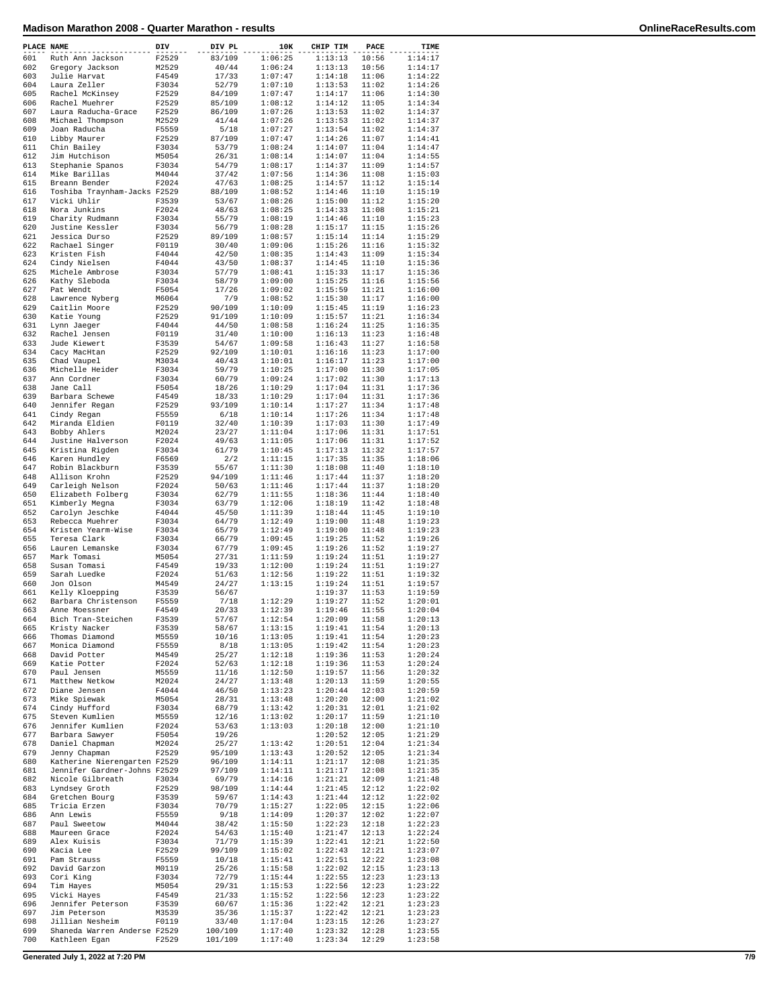| PLACE NAME |                              | DIV   | DIV PL  | 10K     | CHIP TIM           | PACE  | TIME    |
|------------|------------------------------|-------|---------|---------|--------------------|-------|---------|
| 601        | Ruth Ann Jackson             | F2529 | 83/109  | 1:06:25 | 1:13:13            | 10:56 | 1:14:17 |
| 602        | Gregory Jackson              | M2529 | 40/44   | 1:06:24 | 1:13:13            | 10:56 | 1:14:17 |
| 603        | Julie Harvat                 | F4549 | 17/33   | 1:07:47 | 1:14:18            | 11:06 | 1:14:22 |
| 604        | Laura Zeller                 | F3034 | 52/79   | 1:07:10 | 1:13:53            | 11:02 | 1:14:26 |
| 605        | Rachel McKinsey              | F2529 | 84/109  | 1:07:47 | 1:14:17            | 11:06 | 1:14:30 |
| 606        | Rachel Muehrer               | F2529 | 85/109  | 1:08:12 | 1:14:12            | 11:05 | 1:14:34 |
| 607        | Laura Raducha-Grace          | F2529 | 86/109  | 1:07:26 | 1:13:53            | 11:02 | 1:14:37 |
| 608        | Michael Thompson             | M2529 | 41/44   | 1:07:26 | 1:13:53            | 11:02 | 1:14:37 |
| 609        | Joan Raducha                 | F5559 | 5/18    | 1:07:27 | 1:13:54            | 11:02 | 1:14:37 |
| 610        | Libby Maurer                 | F2529 | 87/109  | 1:07:47 | 1:14:26            | 11:07 | 1:14:41 |
| 611        | Chin Bailey                  | F3034 | 53/79   | 1:08:24 | 1:14:07            | 11:04 | 1:14:47 |
| 612        | Jim Hutchison                | M5054 | 26/31   | 1:08:14 | 1:14:07            | 11:04 | 1:14:55 |
| 613        | Stephanie Spanos             | F3034 | 54/79   | 1:08:17 | 1:14:37            | 11:09 | 1:14:57 |
| 614        | Mike Barillas                | M4044 | 37/42   | 1:07:56 | 1:14:36            | 11:08 | 1:15:03 |
| 615        | Breann Bender                | F2024 | 47/63   | 1:08:25 | 1:14:57            | 11:12 | 1:15:14 |
|            |                              |       |         |         |                    | 11:10 |         |
| 616        | Toshiba Traynham-Jacks F2529 |       | 88/109  | 1:08:52 | 1:14:46            |       | 1:15:19 |
| 617        | Vicki Uhlir                  | F3539 | 53/67   | 1:08:26 | 1:15:00            | 11:12 | 1:15:20 |
| 618        | Nora Junkins                 | F2024 | 48/63   | 1:08:25 | 1:14:33            | 11:08 | 1:15:21 |
| 619        | Charity Rudmann              | F3034 | 55/79   | 1:08:19 | 1:14:46            | 11:10 | 1:15:23 |
| 620        | Justine Kessler              | F3034 | 56/79   | 1:08:28 | 1:15:17            | 11:15 | 1:15:26 |
| 621        | Jessica Durso                | F2529 | 89/109  | 1:08:57 | 1:15:14            | 11:14 | 1:15:29 |
| 622        | Rachael Singer               | F0119 | 30/40   | 1:09:06 | 1:15:26            | 11:16 | 1:15:32 |
| 623        | Kristen Fish                 | F4044 | 42/50   | 1:08:35 | 1:14:43            | 11:09 | 1:15:34 |
| 624        | Cindy Nielsen                | F4044 | 43/50   | 1:08:37 | 1:14:45            | 11:10 | 1:15:36 |
| 625        | Michele Ambrose              | F3034 | 57/79   | 1:08:41 | 1:15:33            | 11:17 | 1:15:36 |
| 626        | Kathy Sleboda                | F3034 | 58/79   | 1:09:00 | 1:15:25            | 11:16 | 1:15:56 |
| 627        | Pat Wendt                    | F5054 | 17/26   | 1:09:02 | 1:15:59            | 11:21 | 1:16:00 |
| 628        | Lawrence Nyberg              | M6064 | 7/9     | 1:08:52 | 1:15:30            | 11:17 | 1:16:00 |
| 629        | Caitlin Moore                | F2529 | 90/109  | 1:10:09 | 1:15:45            | 11:19 | 1:16:23 |
| 630        | Katie Young                  | F2529 | 91/109  | 1:10:09 | 1:15:57            | 11:21 | 1:16:34 |
| 631        | Lynn Jaeger                  | F4044 | 44/50   | 1:08:58 | 1:16:24            | 11:25 | 1:16:35 |
| 632        |                              | F0119 | 31/40   | 1:10:00 | 1:16:13            | 11:23 | 1:16:48 |
|            | Rachel Jensen                |       | 54/67   |         |                    |       |         |
| 633        | Jude Kiewert                 | F3539 |         | 1:09:58 | 1:16:43            | 11:27 | 1:16:58 |
| 634        | Cacy MacHtan                 | F2529 | 92/109  | 1:10:01 | 1:16:16            | 11:23 | 1:17:00 |
| 635        | Chad Vaupel                  | M3034 | 40/43   | 1:10:01 | 1:16:17            | 11:23 | 1:17:00 |
| 636        | Michelle Heider              | F3034 | 59/79   | 1:10:25 | 1:17:00            | 11:30 | 1:17:05 |
| 637        | Ann Cordner                  | F3034 | 60/79   | 1:09:24 | 1:17:02            | 11:30 | 1:17:13 |
| 638        | Jane Call                    | F5054 | 18/26   | 1:10:29 | 1:17:04            | 11:31 | 1:17:36 |
| 639        | Barbara Schewe               | F4549 | 18/33   | 1:10:29 | 1:17:04            | 11:31 | 1:17:36 |
| 640        | Jennifer Regan               | F2529 | 93/109  | 1:10:14 | 1:17:27            | 11:34 | 1:17:48 |
| 641        | Cindy Regan                  | F5559 | 6/18    | 1:10:14 | 1:17:26            | 11:34 | 1:17:48 |
| 642        | Miranda Eldien               | F0119 | 32/40   | 1:10:39 | 1:17:03            | 11:30 | 1:17:49 |
| 643        | Bobby Ahlers                 | M2024 | 23/27   | 1:11:04 | 1:17:06            | 11:31 | 1:17:51 |
| 644        | Justine Halverson            | F2024 | 49/63   | 1:11:05 | 1:17:06            | 11:31 | 1:17:52 |
| 645        | Kristina Rigden              | F3034 | 61/79   | 1:10:45 | 1:17:13            | 11:32 | 1:17:57 |
| 646        | Karen Hundley                | F6569 | 2/2     | 1:11:15 | 1:17:35            | 11:35 | 1:18:06 |
| 647        | Robin Blackburn              | F3539 | 55/67   | 1:11:30 | 1:18:08            | 11:40 | 1:18:10 |
| 648        | Allison Krohn                | F2529 | 94/109  | 1:11:46 | 1:17:44            | 11:37 | 1:18:20 |
| 649        | Carleigh Nelson              | F2024 | 50/63   | 1:11:46 | 1:17:44            | 11:37 | 1:18:20 |
| 650        | Elizabeth Folberg            | F3034 | 62/79   | 1:11:55 | 1:18:36            | 11:44 | 1:18:40 |
| 651        |                              | F3034 | 63/79   | 1:12:06 |                    | 11:42 | 1:18:48 |
|            | Kimberly Megna               |       |         |         | 1:18:19            |       |         |
| 652        | Carolyn Jeschke              | F4044 | 45/50   | 1:11:39 | 1:18:44            | 11:45 | 1:19:10 |
| 653        | Rebecca Muehrer              | F3034 | 64/79   | 1:12:49 | 1:19:00            | 11:48 | 1:19:23 |
| 654        | Kristen Yearm-Wise           | F3034 | 65/79   | 1:12:49 | 1:19:00            | 11:48 | 1:19:23 |
| 655        | Teresa Clark                 | F3034 | 66/79   | 1:09:45 | 1:19:25            | 11:52 | 1:19:26 |
| 656        | Lauren Lemanske              | F3034 | 67/79   | 1:09:45 | 1:19:26            | 11:52 | 1:19:27 |
| 657        | Mark Tomasi                  | M5054 | 27/31   | 1:11:59 | 1:19:24            | 11:51 | 1:19:27 |
| 658        | Susan Tomasi                 | F4549 | 19/33   | 1:12:00 | 1:19:24            | 11:51 | 1:19:27 |
| 659        | Sarah Luedke                 | F2024 | 51/63   | 1:12:56 | 1:19:22            | 11:51 | 1:19:32 |
| 660        | Jon Olson                    | M4549 | 24/27   | 1:13:15 | 1:19:24            | 11:51 | 1:19:57 |
| 661        | Kelly Kloepping              | F3539 | 56/67   |         | 1:19:37            | 11:53 | 1:19:59 |
| 662        | Barbara Christenson          | F5559 | 7/18    | 1:12:29 | 1:19:27            | 11:52 | 1:20:01 |
| 663        | Anne Moessner                | F4549 | 20/33   | 1:12:39 | 1:19:46            | 11:55 | 1:20:04 |
| 664        | Bich Tran-Steichen           | F3539 | 57/67   | 1:12:54 | 1:20:09            | 11:58 | 1:20:13 |
| 665        | Kristy Nacker                | F3539 | 58/67   | 1:13:15 | 1:19:41            | 11:54 | 1:20:13 |
| 666        | Thomas Diamond               | M5559 | 10/16   | 1:13:05 | 1:19:41            | 11:54 | 1:20:23 |
| 667        | Monica Diamond               | F5559 | 8/18    | 1:13:05 | 1:19:42            | 11:54 | 1:20:23 |
| 668        | David Potter                 | M4549 | 25/27   | 1:12:18 | 1:19:36            | 11:53 | 1:20:24 |
| 669        | Katie Potter                 | F2024 | 52/63   | 1:12:18 | 1:19:36            | 11:53 | 1:20:24 |
| 670        | Paul Jensen                  | M5559 | 11/16   | 1:12:50 | 1:19:57            | 11:56 | 1:20:32 |
| 671        | Matthew Netkow               | M2024 | 24/27   | 1:13:48 | 1:20:13            | 11:59 | 1:20:55 |
| 672        | Diane Jensen                 | F4044 | 46/50   | 1:13:23 | 1:20:44            | 12:03 | 1:20:59 |
| 673        | Mike Spiewak                 | M5054 | 28/31   | 1:13:48 | 1:20:20            | 12:00 | 1:21:02 |
| 674        | Cindy Hufford                | F3034 | 68/79   | 1:13:42 | 1:20:31            | 12:01 | 1:21:02 |
| 675        | Steven Kumlien               | M5559 | 12/16   | 1:13:02 | 1:20:17            | 11:59 | 1:21:10 |
| 676        | Jennifer Kumlien             |       | 53/63   | 1:13:03 |                    | 12:00 | 1:21:10 |
|            |                              | F2024 |         |         | 1:20:18<br>1:20:52 |       |         |
| 677        | Barbara Sawyer               | F5054 | 19/26   |         |                    | 12:05 | 1:21:29 |
| 678        | Daniel Chapman               | M2024 | 25/27   | 1:13:42 | 1:20:51            | 12:04 | 1:21:34 |
| 679        | Jenny Chapman                | F2529 | 95/109  | 1:13:43 | 1:20:52            | 12:05 | 1:21:34 |
| 680        | Katherine Nierengarten F2529 |       | 96/109  | 1:14:11 | 1:21:17            | 12:08 | 1:21:35 |
| 681        | Jennifer Gardner-Johns F2529 |       | 97/109  | 1:14:11 | 1:21:17            | 12:08 | 1:21:35 |
| 682        | Nicole Gilbreath             | F3034 | 69/79   | 1:14:16 | 1:21:21            | 12:09 | 1:21:48 |
| 683        | Lyndsey Groth                | F2529 | 98/109  | 1:14:44 | 1:21:45            | 12:12 | 1:22:02 |
| 684        | Gretchen Bourg               | F3539 | 59/67   | 1:14:43 | 1:21:44            | 12:12 | 1:22:02 |
| 685        | Tricia Erzen                 | F3034 | 70/79   | 1:15:27 | 1:22:05            | 12:15 | 1:22:06 |
| 686        | Ann Lewis                    | F5559 | 9/18    | 1:14:09 | 1:20:37            | 12:02 | 1:22:07 |
| 687        | Paul Sweetow                 | M4044 | 38/42   | 1:15:50 | 1:22:23            | 12:18 | 1:22:23 |
| 688        | Maureen Grace                | F2024 | 54/63   | 1:15:40 | 1:21:47            | 12:13 | 1:22:24 |
| 689        | Alex Kuisis                  | F3034 | 71/79   | 1:15:39 | 1:22:41            | 12:21 | 1:22:50 |
| 690        | Kacia Lee                    | F2529 | 99/109  | 1:15:02 | 1:22:43            | 12:21 | 1:23:07 |
| 691        | Pam Strauss                  | F5559 | 10/18   | 1:15:41 | 1:22:51            | 12:22 | 1:23:08 |
| 692        | David Garzon                 | M0119 | 25/26   | 1:15:58 | 1:22:02            | 12:15 | 1:23:13 |
| 693        | Cori King                    | F3034 | 72/79   | 1:15:44 | 1:22:55            | 12:23 | 1:23:13 |
| 694        | Tim Hayes                    | M5054 | 29/31   | 1:15:53 | 1:22:56            | 12:23 | 1:23:22 |
| 695        | Vicki Hayes                  | F4549 | 21/33   | 1:15:52 | 1:22:56            | 12:23 | 1:23:22 |
| 696        | Jennifer Peterson            | F3539 | 60/67   | 1:15:36 | 1:22:42            | 12:21 | 1:23:23 |
| 697        | Jim Peterson                 | M3539 | 35/36   | 1:15:37 | 1:22:42            | 12:21 | 1:23:23 |
| 698        | Jillian Nesheim              | F0119 | 33/40   | 1:17:04 | 1:23:15            | 12:26 | 1:23:27 |
| 699        | Shaneda Warren Anderse F2529 |       |         | 1:17:40 |                    | 12:28 | 1:23:55 |
|            |                              |       | 100/109 |         | 1:23:32            |       |         |
| 700        | Kathleen Egan                | F2529 | 101/109 | 1:17:40 | 1:23:34            | 12:29 | 1:23:58 |

**Generated July 1, 2022 at 7:20 PM 7/9**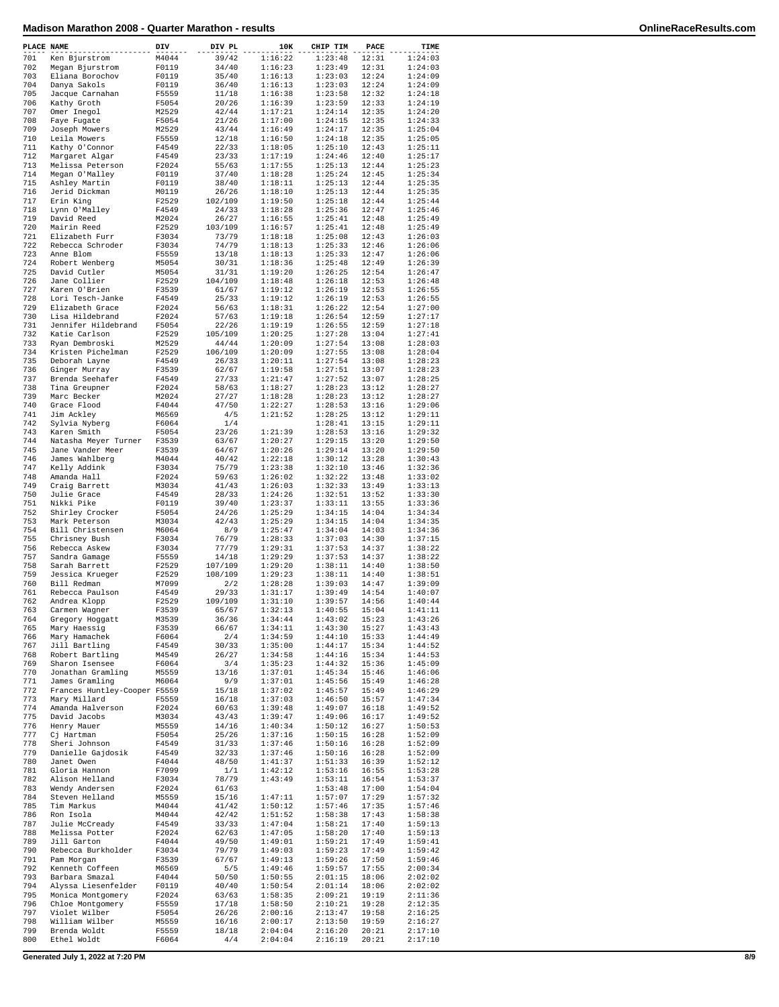| PLACE NAME |                                        | DIV            | DIV PL           | 10K                | CHIP TIM           | PACE           | TIME               |
|------------|----------------------------------------|----------------|------------------|--------------------|--------------------|----------------|--------------------|
| 701        | Ken Bjurstrom                          | M4044          | 39/42            | 1:16:22            | 1:23:48            | 12:31          | 1:24:03            |
| 702        | Megan Bjurstrom                        | F0119          | 34/40            | 1:16:23            | 1:23:49            | 12:31          | 1:24:03            |
| 703        | Eliana Borochov                        | F0119          | 35/40            | 1:16:13            | 1:23:03            | 12:24          | 1:24:09            |
| 704        | Danya Sakols                           | F0119          | 36/40            | 1:16:13            | 1:23:03            | 12:24          | 1:24:09            |
| 705<br>706 | Jacque Carnahan<br>Kathy Groth         | F5559<br>F5054 | 11/18<br>20/26   | 1:16:38<br>1:16:39 | 1:23:58<br>1:23:59 | 12:32<br>12:33 | 1:24:18<br>1:24:19 |
| 707        | Omer Inegol                            | M2529          | 42/44            | 1:17:21            | 1:24:14            | 12:35          | 1:24:20            |
| 708        | Faye Fugate                            | F5054          | 21/26            | 1:17:00            | 1:24:15            | 12:35          | 1:24:33            |
| 709        | Joseph Mowers                          | M2529          | 43/44            | 1:16:49            | 1:24:17            | 12:35          | 1:25:04            |
| 710        | Leila Mowers                           | F5559          | 12/18            | 1:16:50            | 1:24:18            | 12:35          | 1:25:05            |
| 711<br>712 | Kathy O'Connor<br>Margaret Algar       | F4549<br>F4549 | 22/33<br>23/33   | 1:18:05<br>1:17:19 | 1:25:10<br>1:24:46 | 12:43<br>12:40 | 1:25:11<br>1:25:17 |
| 713        | Melissa Peterson                       | F2024          | 55/63            | 1:17:55            | 1:25:13            | 12:44          | 1:25:23            |
| 714        | Megan O'Malley                         | F0119          | 37/40            | 1:18:28            | 1:25:24            | 12:45          | 1:25:34            |
| 715        | Ashley Martin                          | F0119          | 38/40            | 1:18:11            | 1:25:13            | 12:44          | 1:25:35            |
| 716        | Jerid Dickman                          | M0119          | 26/26            | 1:18:10            | 1:25:13            | 12:44          | 1:25:35            |
| 717<br>718 | Erin King<br>Lynn O'Malley             | F2529<br>F4549 | 102/109<br>24/33 | 1:19:50<br>1:18:28 | 1:25:18<br>1:25:36 | 12:44<br>12:47 | 1:25:44<br>1:25:46 |
| 719        | David Reed                             | M2024          | 26/27            | 1:16:55            | 1:25:41            | 12:48          | 1:25:49            |
| 720        | Mairin Reed                            | F2529          | 103/109          | 1:16:57            | 1:25:41            | 12:48          | 1:25:49            |
| 721        | Elizabeth Furr                         | F3034          | 73/79            | 1:18:18            | 1:25:08            | 12:43          | 1:26:03            |
| 722        | Rebecca Schroder                       | F3034          | 74/79            | 1:18:13            | 1:25:33            | 12:46          | 1:26:06            |
| 723<br>724 | Anne Blom<br>Robert Wenberg            | F5559<br>M5054 | 13/18<br>30/31   | 1:18:13<br>1:18:36 | 1:25:33<br>1:25:48 | 12:47<br>12:49 | 1:26:06<br>1:26:39 |
| 725        | David Cutler                           | M5054          | 31/31            | 1:19:20            | 1:26:25            | 12:54          | 1:26:47            |
| 726        | Jane Collier                           | F2529          | 104/109          | 1:18:48            | 1:26:18            | 12:53          | 1:26:48            |
| 727        | Karen O'Brien                          | F3539          | 61/67            | 1:19:12            | 1:26:19            | 12:53          | 1:26:55            |
| 728        | Lori Tesch-Janke                       | F4549          | 25/33            | 1:19:12            | 1:26:19            | 12:53          | 1:26:55            |
| 729<br>730 | Elizabeth Grace                        | F2024<br>F2024 | 56/63            | 1:18:31            | 1:26:22<br>1:26:54 | 12:54<br>12:59 | 1:27:00            |
| 731        | Lisa Hildebrand<br>Jennifer Hildebrand | F5054          | 57/63<br>22/26   | 1:19:18<br>1:19:19 | 1:26:55            | 12:59          | 1:27:17<br>1:27:18 |
| 732        | Katie Carlson                          | F2529          | 105/109          | 1:20:25            | 1:27:28            | 13:04          | 1:27:41            |
| 733        | Ryan Dembroski                         | M2529          | 44/44            | 1:20:09            | 1:27:54            | 13:08          | 1:28:03            |
| 734        | Kristen Pichelman                      | F2529          | 106/109          | 1:20:09            | 1:27:55            | 13:08          | 1:28:04            |
| 735        | Deborah Layne                          | F4549          | 26/33            | 1:20:11            | 1:27:54<br>1:27:51 | 13:08          | 1:28:23            |
| 736<br>737 | Ginger Murray<br>Brenda Seehafer       | F3539<br>F4549 | 62/67<br>27/33   | 1:19:58<br>1:21:47 | 1:27:52            | 13:07<br>13:07 | 1:28:23<br>1:28:25 |
| 738        | Tina Greupner                          | F2024          | 58/63            | 1:18:27            | 1:28:23            | 13:12          | 1:28:27            |
| 739        | Marc Becker                            | M2024          | 27/27            | 1:18:28            | 1:28:23            | 13:12          | 1:28:27            |
| 740        | Grace Flood                            | F4044          | 47/50            | 1:22:27            | 1:28:53            | 13:16          | 1:29:06            |
| 741        | Jim Ackley                             | M6569          | 4/5              | 1:21:52            | 1:28:25            | 13:12          | 1:29:11            |
| 742<br>743 | Sylvia Nyberg                          | F6064          | 1/4              |                    | 1:28:41            | 13:15          | 1:29:11            |
| 744        | Karen Smith<br>Natasha Meyer Turner    | F5054<br>F3539 | 23/26<br>63/67   | 1:21:39<br>1:20:27 | 1:28:53<br>1:29:15 | 13:16<br>13:20 | 1:29:32<br>1:29:50 |
| 745        | Jane Vander Meer                       | F3539          | 64/67            | 1:20:26            | 1:29:14            | 13:20          | 1:29:50            |
| 746        | James Wahlberg                         | M4044          | 40/42            | 1:22:18            | 1:30:12            | 13:28          | 1:30:43            |
| 747        | Kelly Addink                           | F3034          | 75/79            | 1:23:38            | 1:32:10            | 13:46          | 1:32:36            |
| 748        | Amanda Hall                            | F2024          | 59/63            | 1:26:02            | 1:32:22            | 13:48          | 1:33:02            |
| 749<br>750 | Craig Barrett<br>Julie Grace           | M3034<br>F4549 | 41/43<br>28/33   | 1:26:03<br>1:24:26 | 1:32:33<br>1:32:51 | 13:49<br>13:52 | 1:33:13<br>1:33:30 |
| 751        | Nikki Pike                             | F0119          | 39/40            | 1:23:37            | 1:33:11            | 13:55          | 1:33:36            |
| 752        | Shirley Crocker                        | F5054          | 24/26            | 1:25:29            | 1:34:15            | 14:04          | 1:34:34            |
| 753        | Mark Peterson                          | M3034          | 42/43            | 1:25:29            | 1:34:15            | 14:04          | 1:34:35            |
| 754        | Bill Christensen                       | M6064          | 8/9              | 1:25:47            | 1:34:04            | 14:03          | 1:34:36            |
| 755<br>756 | Chrisney Bush<br>Rebecca Askew         | F3034<br>F3034 | 76/79<br>77/79   | 1:28:33<br>1:29:31 | 1:37:03<br>1:37:53 | 14:30<br>14:37 | 1:37:15<br>1:38:22 |
| 757        | Sandra Gamage                          | F5559          | 14/18            | 1:29:29            | 1:37:53            | 14:37          | 1:38:22            |
| 758        | Sarah Barrett                          | F2529          | 107/109          | 1:29:20            | 1:38:11            | 14:40          | 1:38:50            |
| 759        | Jessica Krueger                        | F2529          | 108/109          | 1:29:23            | 1:38:11            | 14:40          | 1:38:51            |
| 760        | Bill Redman                            | M7099          | 2/2              | 1:28:28            | 1:39:03            | 14:47          | 1:39:09            |
| 761<br>762 | Rebecca Paulson<br>Andrea Klopp        | F4549<br>F2529 | 29/33<br>109/109 | 1:31:17<br>1:31:10 | 1:39:49<br>1:39:57 | 14:54<br>14:56 | 1:40:07<br>1:40:44 |
| 763        | Carmen Wagner                          | F3539          | 65/67            | 1:32:13            | 1:40:55            | 15:04          | 1:41:11            |
| 764        | Gregory Hoggatt                        | M3539          | 36/36            | 1:34:44            | 1:43:02            | 15:23          | 1:43:26            |
| 765        | Mary Haessig                           | F3539          | 66/67            | 1:34:11            | 1:43:30            | 15:27          | 1:43:43            |
| 766        | Mary Hamachek                          | F6064          | 2/4              | 1:34:59            | 1:44:10            | 15:33          | 1:44:49            |
| 767<br>768 | Jill Bartling<br>Robert Bartling       | F4549<br>M4549 | 30/33<br>26/27   | 1:35:00<br>1:34:58 | 1:44:17<br>1:44:16 | 15:34<br>15:34 | 1:44:52<br>1:44:53 |
| 769        | Sharon Isensee                         | F6064          | 3/4              | 1:35:23            | 1:44:32            | 15:36          | 1:45:09            |
| 770        | Jonathan Gramling                      | M5559          | 13/16            | 1:37:01            | 1:45:34            | 15:46          | 1:46:06            |
| 771        | James Gramling                         | M6064          | 9/9              | 1:37:01            | 1:45:56            | 15:49          | 1:46:28            |
| 772        | Frances Huntley-Cooper F5559           |                | 15/18            | 1:37:02            | 1:45:57            | 15:49          | 1:46:29            |
| 773<br>774 | Mary Millard                           | F5559          | 16/18            | 1:37:03            | 1:46:50            | 15:57          | 1:47:34<br>1:49:52 |
| 775        | Amanda Halverson<br>David Jacobs       | F2024<br>M3034 | 60/63<br>43/43   | 1:39:48<br>1:39:47 | 1:49:07<br>1:49:06 | 16:18<br>16:17 | 1:49:52            |
| 776        | Henry Mauer                            | M5559          | 14/16            | 1:40:34            | 1:50:12            | 16:27          | 1:50:53            |
| 777        | Cj Hartman                             | F5054          | 25/26            | 1:37:16            | 1:50:15            | 16:28          | 1:52:09            |
| 778        | Sheri Johnson                          | F4549          | 31/33            | 1:37:46            | 1:50:16            | 16:28          | 1:52:09            |
| 779<br>780 | Danielle Gajdosik                      | F4549<br>F4044 | 32/33            | 1:37:46            | 1:50:16<br>1:51:33 | 16:28          | 1:52:09<br>1:52:12 |
| 781        | Janet Owen<br>Gloria Hannon            | F7099          | 48/50<br>1/1     | 1:41:37<br>1:42:12 | 1:53:16            | 16:39<br>16:55 | 1:53:28            |
| 782        | Alison Helland                         | F3034          | 78/79            | 1:43:49            | 1:53:11            | 16:54          | 1:53:37            |
| 783        | Wendy Andersen                         | F2024          | 61/63            |                    | 1:53:48            | 17:00          | 1:54:04            |
| 784        | Steven Helland                         | M5559          | 15/16            | 1:47:11            | 1:57:07            | 17:29          | 1:57:32            |
| 785        | Tim Markus                             | M4044          | 41/42            | 1:50:12            | 1:57:46            | 17:35          | 1:57:46            |
| 786<br>787 | Ron Isola<br>Julie McCready            | M4044<br>F4549 | 42/42<br>33/33   | 1:51:52<br>1:47:04 | 1:58:38<br>1:58:21 | 17:43<br>17:40 | 1:58:38<br>1:59:13 |
| 788        | Melissa Potter                         | F2024          | 62/63            | 1:47:05            | 1:58:20            | 17:40          | 1:59:13            |
| 789        | Jill Garton                            | F4044          | 49/50            | 1:49:01            | 1:59:21            | 17:49          | 1:59:41            |
| 790        | Rebecca Burkholder                     | F3034          | 79/79            | 1:49:03            | 1:59:23            | 17:49          | 1:59:42            |
| 791        | Pam Morgan                             | F3539          | 67/67            | 1:49:13            | 1:59:26            | 17:50          | 1:59:46            |
| 792<br>793 | Kenneth Coffeen<br>Barbara Smazal      | M6569<br>F4044 | 5/5<br>50/50     | 1:49:46<br>1:50:55 | 1:59:57<br>2:01:15 | 17:55<br>18:06 | 2:00:34<br>2:02:02 |
| 794        | Alyssa Liesenfelder                    | F0119          | 40/40            | 1:50:54            | 2:01:14            | 18:06          | 2:02:02            |
| 795        | Monica Montgomery                      | F2024          | 63/63            | 1:58:35            | 2:09:21            | 19:19          | 2:11:36            |
| 796        | Chloe Montgomery                       | F5559          | 17/18            | 1:58:50            | 2:10:21            | 19:28          | 2:12:35            |
| 797        | Violet Wilber                          | F5054          | 26/26            | 2:00:16            | 2:13:47            | 19:58          | 2:16:25            |
| 798<br>799 | William Wilber<br>Brenda Woldt         | M5559<br>F5559 | 16/16<br>18/18   | 2:00:17<br>2:04:04 | 2:13:50<br>2:16:20 | 19:59<br>20:21 | 2:16:27<br>2:17:10 |
| 800        | Ethel Woldt                            | F6064          | 4/4              | 2:04:04            | 2:16:19            | 20:21          | 2:17:10            |
|            |                                        |                |                  |                    |                    |                |                    |